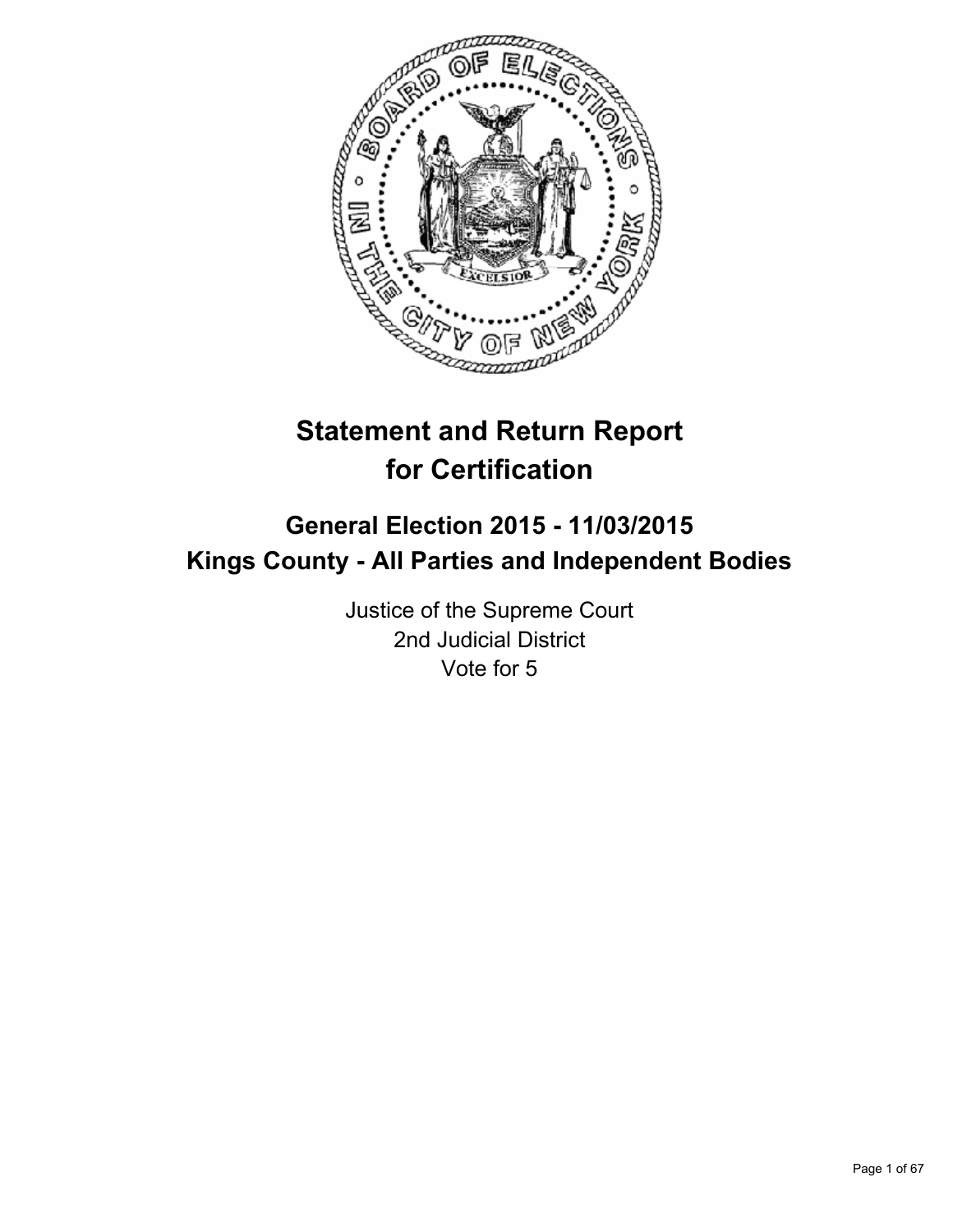

# **Statement and Return Report for Certification**

## **General Election 2015 - 11/03/2015 Kings County - All Parties and Independent Bodies**

Justice of the Supreme Court 2nd Judicial District Vote for 5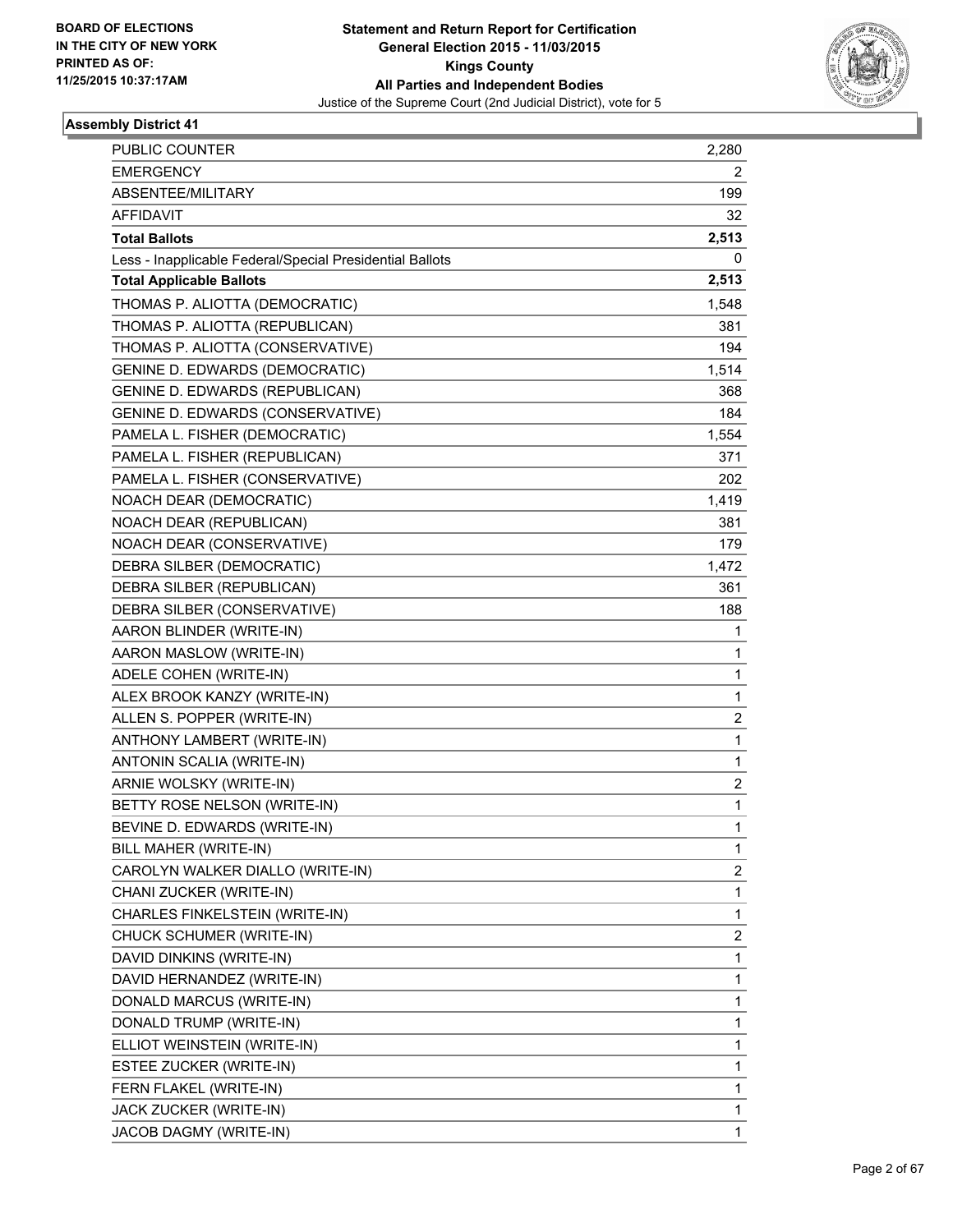

| <b>PUBLIC COUNTER</b>                                    | 2,280       |
|----------------------------------------------------------|-------------|
| <b>EMERGENCY</b>                                         | 2           |
| ABSENTEE/MILITARY                                        | 199         |
| <b>AFFIDAVIT</b>                                         | 32          |
| <b>Total Ballots</b>                                     | 2,513       |
| Less - Inapplicable Federal/Special Presidential Ballots | 0           |
| <b>Total Applicable Ballots</b>                          | 2,513       |
| THOMAS P. ALIOTTA (DEMOCRATIC)                           | 1,548       |
| THOMAS P. ALIOTTA (REPUBLICAN)                           | 381         |
| THOMAS P. ALIOTTA (CONSERVATIVE)                         | 194         |
| <b>GENINE D. EDWARDS (DEMOCRATIC)</b>                    | 1,514       |
| <b>GENINE D. EDWARDS (REPUBLICAN)</b>                    | 368         |
| GENINE D. EDWARDS (CONSERVATIVE)                         | 184         |
| PAMELA L. FISHER (DEMOCRATIC)                            | 1,554       |
| PAMELA L. FISHER (REPUBLICAN)                            | 371         |
| PAMELA L. FISHER (CONSERVATIVE)                          | 202         |
| NOACH DEAR (DEMOCRATIC)                                  | 1,419       |
| NOACH DEAR (REPUBLICAN)                                  | 381         |
| NOACH DEAR (CONSERVATIVE)                                | 179         |
| DEBRA SILBER (DEMOCRATIC)                                | 1,472       |
| DEBRA SILBER (REPUBLICAN)                                | 361         |
| DEBRA SILBER (CONSERVATIVE)                              | 188         |
| AARON BLINDER (WRITE-IN)                                 | 1           |
| AARON MASLOW (WRITE-IN)                                  | 1           |
| ADELE COHEN (WRITE-IN)                                   | 1           |
| ALEX BROOK KANZY (WRITE-IN)                              | 1           |
| ALLEN S. POPPER (WRITE-IN)                               | 2           |
| ANTHONY LAMBERT (WRITE-IN)                               | 1           |
| ANTONIN SCALIA (WRITE-IN)                                | 1           |
| ARNIE WOLSKY (WRITE-IN)                                  | 2           |
| BETTY ROSE NELSON (WRITE-IN)                             | 1           |
| BEVINE D. EDWARDS (WRITE-IN)                             | 1           |
| BILL MAHER (WRITE-IN)                                    | 1           |
| CAROLYN WALKER DIALLO (WRITE-IN)                         | 2           |
| CHANI ZUCKER (WRITE-IN)                                  | $\mathbf 1$ |
| CHARLES FINKELSTEIN (WRITE-IN)                           | 1           |
| CHUCK SCHUMER (WRITE-IN)                                 | 2           |
| DAVID DINKINS (WRITE-IN)                                 | 1           |
| DAVID HERNANDEZ (WRITE-IN)                               | 1           |
| DONALD MARCUS (WRITE-IN)                                 | 1           |
| DONALD TRUMP (WRITE-IN)                                  | 1           |
| ELLIOT WEINSTEIN (WRITE-IN)                              | 1           |
| ESTEE ZUCKER (WRITE-IN)                                  | 1           |
| FERN FLAKEL (WRITE-IN)                                   | 1           |
| JACK ZUCKER (WRITE-IN)                                   | 1           |
| JACOB DAGMY (WRITE-IN)                                   | 1           |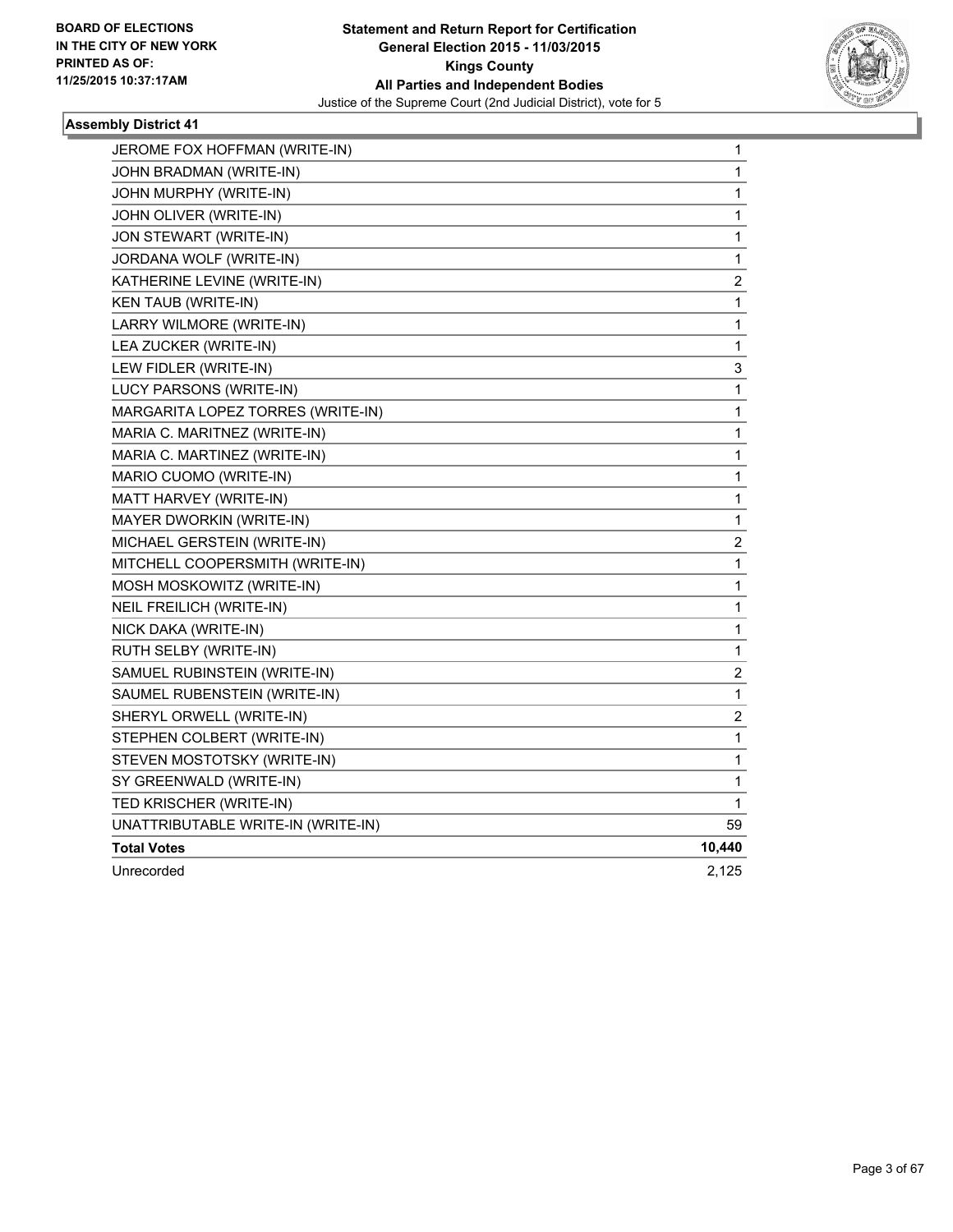

| JOHN BRADMAN (WRITE-IN)<br>JOHN MURPHY (WRITE-IN) | 1                       |
|---------------------------------------------------|-------------------------|
|                                                   |                         |
|                                                   | 1                       |
| JOHN OLIVER (WRITE-IN)                            | 1                       |
| JON STEWART (WRITE-IN)                            | $\mathbf 1$             |
| JORDANA WOLF (WRITE-IN)                           | $\mathbf 1$             |
| KATHERINE LEVINE (WRITE-IN)                       | 2                       |
| <b>KEN TAUB (WRITE-IN)</b>                        | 1                       |
| LARRY WILMORE (WRITE-IN)                          | $\mathbf 1$             |
| LEA ZUCKER (WRITE-IN)                             | 1                       |
| LEW FIDLER (WRITE-IN)                             | 3                       |
| LUCY PARSONS (WRITE-IN)                           | 1                       |
| MARGARITA LOPEZ TORRES (WRITE-IN)                 | 1                       |
| MARIA C. MARITNEZ (WRITE-IN)                      | 1                       |
| MARIA C. MARTINEZ (WRITE-IN)                      | 1                       |
| MARIO CUOMO (WRITE-IN)                            | 1                       |
| MATT HARVEY (WRITE-IN)                            | $\mathbf 1$             |
| <b>MAYER DWORKIN (WRITE-IN)</b>                   | 1                       |
| MICHAEL GERSTEIN (WRITE-IN)                       | $\overline{\mathbf{c}}$ |
| MITCHELL COOPERSMITH (WRITE-IN)                   | 1                       |
| MOSH MOSKOWITZ (WRITE-IN)                         | 1                       |
| NEIL FREILICH (WRITE-IN)                          | 1                       |
| NICK DAKA (WRITE-IN)                              | 1                       |
| RUTH SELBY (WRITE-IN)                             | 1                       |
| SAMUEL RUBINSTEIN (WRITE-IN)                      | 2                       |
| SAUMEL RUBENSTEIN (WRITE-IN)                      | 1                       |
| SHERYL ORWELL (WRITE-IN)                          | 2                       |
| STEPHEN COLBERT (WRITE-IN)                        | 1                       |
| STEVEN MOSTOTSKY (WRITE-IN)                       | 1                       |
| SY GREENWALD (WRITE-IN)                           | 1                       |
| TED KRISCHER (WRITE-IN)                           | 1                       |
| UNATTRIBUTABLE WRITE-IN (WRITE-IN)                | 59                      |
| <b>Total Votes</b>                                | 10,440                  |
| Unrecorded                                        | 2,125                   |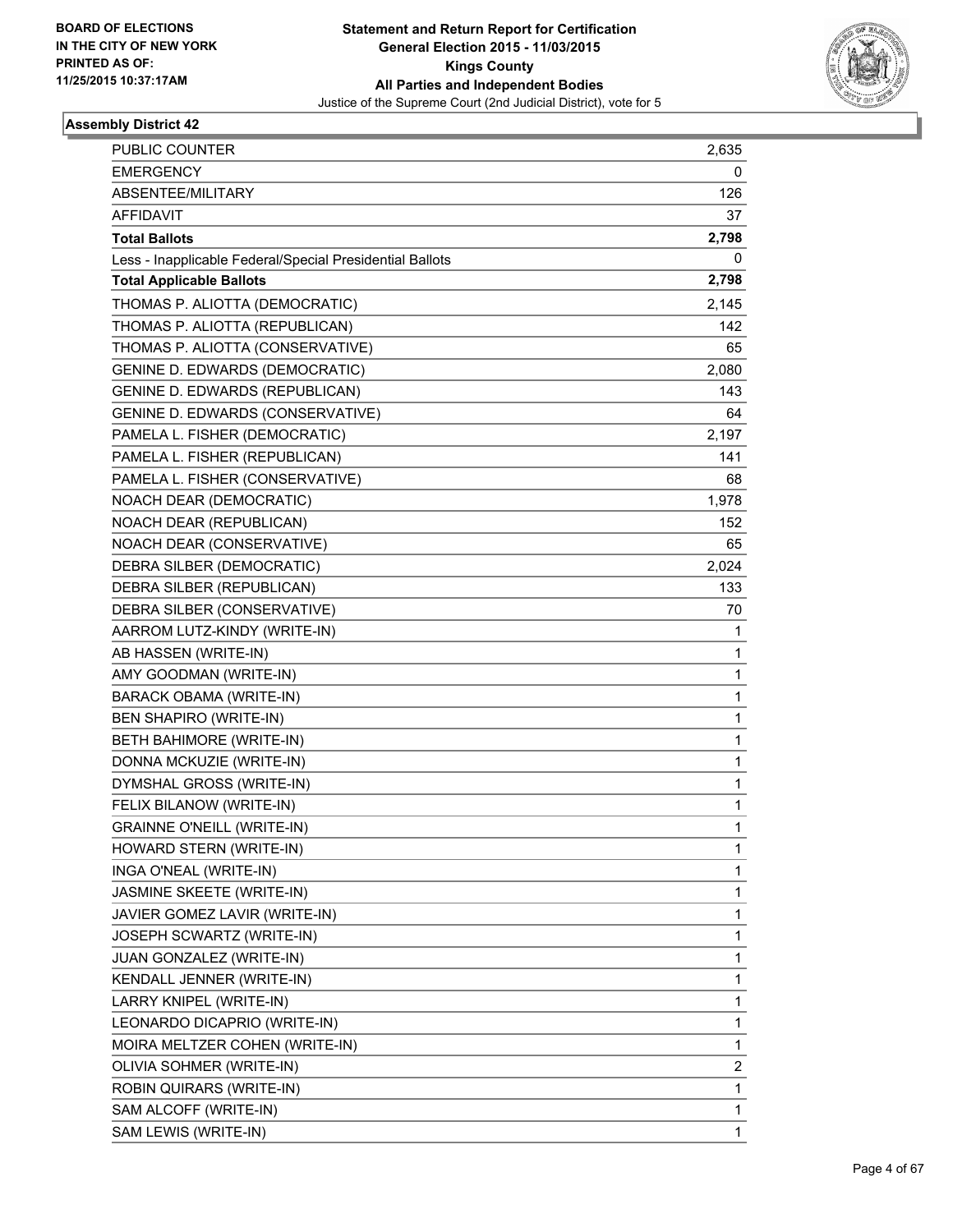

| PUBLIC COUNTER                                           | 2,635 |
|----------------------------------------------------------|-------|
| <b>EMERGENCY</b>                                         | 0     |
| ABSENTEE/MILITARY                                        | 126   |
| <b>AFFIDAVIT</b>                                         | 37    |
| <b>Total Ballots</b>                                     | 2,798 |
| Less - Inapplicable Federal/Special Presidential Ballots | 0     |
| <b>Total Applicable Ballots</b>                          | 2,798 |
| THOMAS P. ALIOTTA (DEMOCRATIC)                           | 2,145 |
| THOMAS P. ALIOTTA (REPUBLICAN)                           | 142   |
| THOMAS P. ALIOTTA (CONSERVATIVE)                         | 65    |
| <b>GENINE D. EDWARDS (DEMOCRATIC)</b>                    | 2,080 |
| GENINE D. EDWARDS (REPUBLICAN)                           | 143   |
| GENINE D. EDWARDS (CONSERVATIVE)                         | 64    |
| PAMELA L. FISHER (DEMOCRATIC)                            | 2,197 |
| PAMELA L. FISHER (REPUBLICAN)                            | 141   |
| PAMELA L. FISHER (CONSERVATIVE)                          | 68    |
| NOACH DEAR (DEMOCRATIC)                                  | 1,978 |
| NOACH DEAR (REPUBLICAN)                                  | 152   |
| NOACH DEAR (CONSERVATIVE)                                | 65    |
| DEBRA SILBER (DEMOCRATIC)                                | 2,024 |
| DEBRA SILBER (REPUBLICAN)                                | 133   |
| DEBRA SILBER (CONSERVATIVE)                              | 70    |
| AARROM LUTZ-KINDY (WRITE-IN)                             | 1     |
| AB HASSEN (WRITE-IN)                                     | 1     |
| AMY GOODMAN (WRITE-IN)                                   | 1     |
| BARACK OBAMA (WRITE-IN)                                  | 1     |
| <b>BEN SHAPIRO (WRITE-IN)</b>                            | 1     |
| BETH BAHIMORE (WRITE-IN)                                 | 1     |
| DONNA MCKUZIE (WRITE-IN)                                 | 1     |
| DYMSHAL GROSS (WRITE-IN)                                 | 1     |
| FELIX BILANOW (WRITE-IN)                                 | 1     |
| <b>GRAINNE O'NEILL (WRITE-IN)</b>                        | 1     |
| HOWARD STERN (WRITE-IN)                                  | 1     |
| INGA O'NEAL (WRITE-IN)                                   | 1     |
| JASMINE SKEETE (WRITE-IN)                                | 1     |
| JAVIER GOMEZ LAVIR (WRITE-IN)                            | 1     |
| JOSEPH SCWARTZ (WRITE-IN)                                | 1     |
| JUAN GONZALEZ (WRITE-IN)                                 | 1     |
| KENDALL JENNER (WRITE-IN)                                | 1     |
| LARRY KNIPEL (WRITE-IN)                                  | 1     |
| LEONARDO DICAPRIO (WRITE-IN)                             | 1     |
| MOIRA MELTZER COHEN (WRITE-IN)                           | 1     |
| OLIVIA SOHMER (WRITE-IN)                                 | 2     |
| ROBIN QUIRARS (WRITE-IN)                                 | 1     |
| SAM ALCOFF (WRITE-IN)                                    | 1     |
| SAM LEWIS (WRITE-IN)                                     | 1     |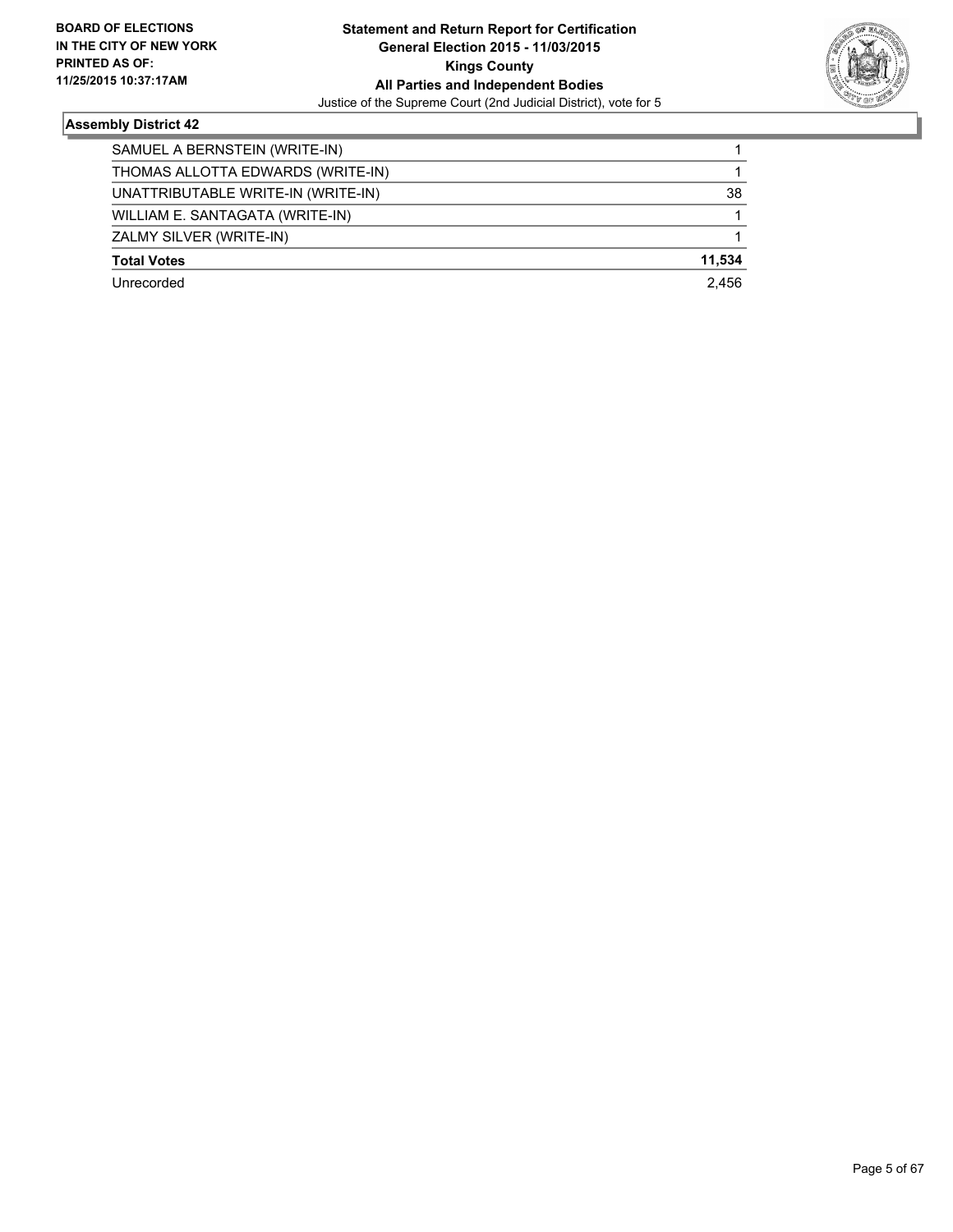

| SAMUEL A BERNSTEIN (WRITE-IN)      |        |
|------------------------------------|--------|
| THOMAS ALLOTTA EDWARDS (WRITE-IN)  |        |
| UNATTRIBUTABLE WRITE-IN (WRITE-IN) | 38     |
| WILLIAM E. SANTAGATA (WRITE-IN)    |        |
| ZALMY SILVER (WRITE-IN)            |        |
| <b>Total Votes</b>                 | 11.534 |
| Unrecorded                         | 2.456  |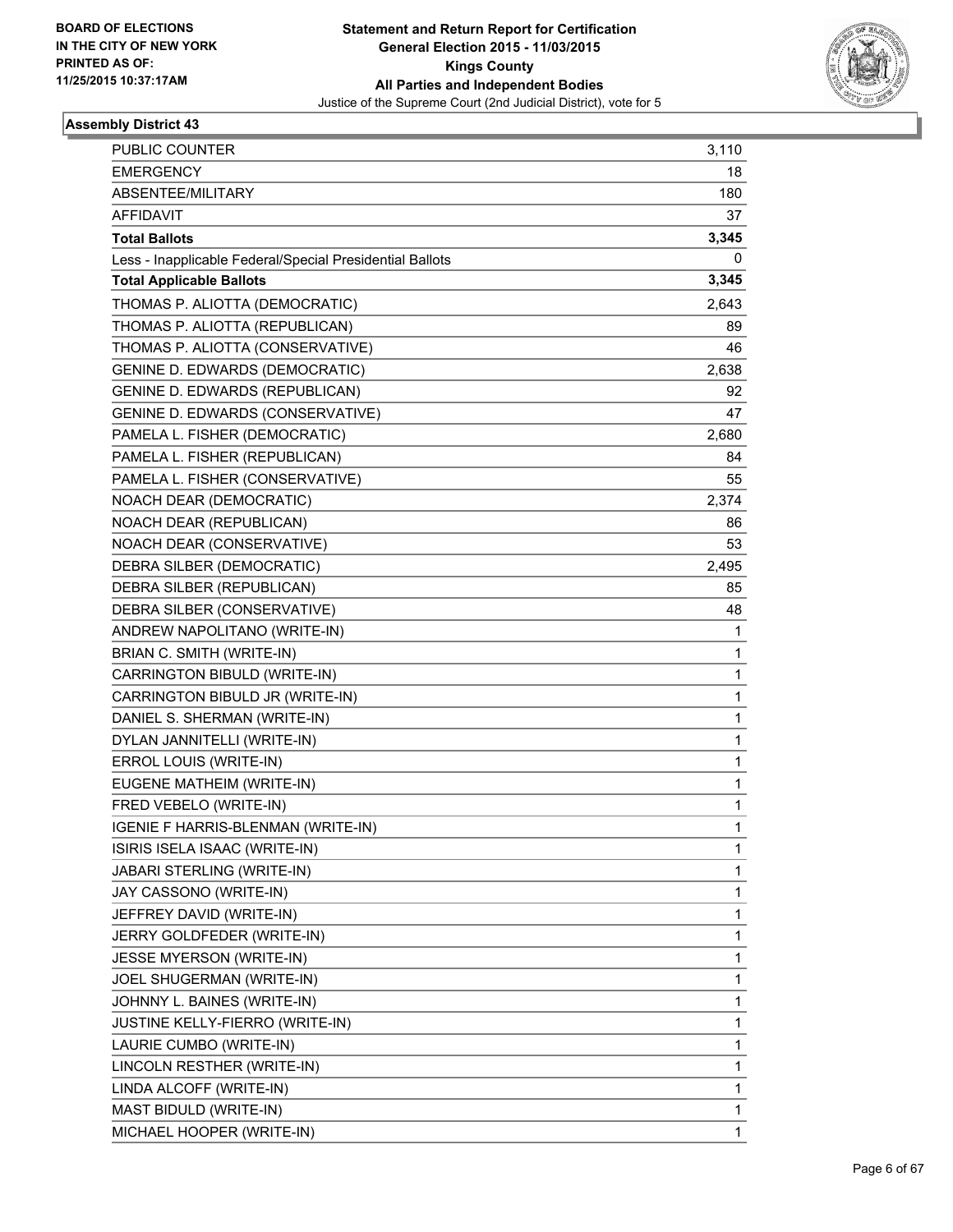

| PUBLIC COUNTER                                           | 3,110 |
|----------------------------------------------------------|-------|
| <b>EMERGENCY</b>                                         | 18    |
| ABSENTEE/MILITARY                                        | 180   |
| <b>AFFIDAVIT</b>                                         | 37    |
| <b>Total Ballots</b>                                     | 3,345 |
| Less - Inapplicable Federal/Special Presidential Ballots | 0     |
| <b>Total Applicable Ballots</b>                          | 3,345 |
| THOMAS P. ALIOTTA (DEMOCRATIC)                           | 2,643 |
| THOMAS P. ALIOTTA (REPUBLICAN)                           | 89    |
| THOMAS P. ALIOTTA (CONSERVATIVE)                         | 46    |
| GENINE D. EDWARDS (DEMOCRATIC)                           | 2,638 |
| GENINE D. EDWARDS (REPUBLICAN)                           | 92    |
| GENINE D. EDWARDS (CONSERVATIVE)                         | 47    |
| PAMELA L. FISHER (DEMOCRATIC)                            | 2,680 |
| PAMELA L. FISHER (REPUBLICAN)                            | 84    |
| PAMELA L. FISHER (CONSERVATIVE)                          | 55    |
| NOACH DEAR (DEMOCRATIC)                                  | 2,374 |
| NOACH DEAR (REPUBLICAN)                                  | 86    |
| NOACH DEAR (CONSERVATIVE)                                | 53    |
| DEBRA SILBER (DEMOCRATIC)                                | 2,495 |
| DEBRA SILBER (REPUBLICAN)                                | 85    |
| DEBRA SILBER (CONSERVATIVE)                              | 48    |
| ANDREW NAPOLITANO (WRITE-IN)                             | 1     |
| BRIAN C. SMITH (WRITE-IN)                                | 1     |
| CARRINGTON BIBULD (WRITE-IN)                             | 1     |
| CARRINGTON BIBULD JR (WRITE-IN)                          | 1     |
| DANIEL S. SHERMAN (WRITE-IN)                             | 1     |
| DYLAN JANNITELLI (WRITE-IN)                              | 1     |
| ERROL LOUIS (WRITE-IN)                                   | 1     |
| EUGENE MATHEIM (WRITE-IN)                                | 1     |
| FRED VEBELO (WRITE-IN)                                   | 1     |
| IGENIE F HARRIS-BLENMAN (WRITE-IN)                       | 1     |
| ISIRIS ISELA ISAAC (WRITE-IN)                            | 1     |
| JABARI STERLING (WRITE-IN)                               | 1     |
| JAY CASSONO (WRITE-IN)                                   | 1     |
| JEFFREY DAVID (WRITE-IN)                                 | 1     |
| JERRY GOLDFEDER (WRITE-IN)                               | 1     |
| JESSE MYERSON (WRITE-IN)                                 | 1     |
| JOEL SHUGERMAN (WRITE-IN)                                | 1     |
| JOHNNY L. BAINES (WRITE-IN)                              | 1     |
| JUSTINE KELLY-FIERRO (WRITE-IN)                          | 1     |
| LAURIE CUMBO (WRITE-IN)                                  | 1     |
| LINCOLN RESTHER (WRITE-IN)                               | 1     |
| LINDA ALCOFF (WRITE-IN)                                  | 1     |
| MAST BIDULD (WRITE-IN)                                   | 1     |
| MICHAEL HOOPER (WRITE-IN)                                | 1     |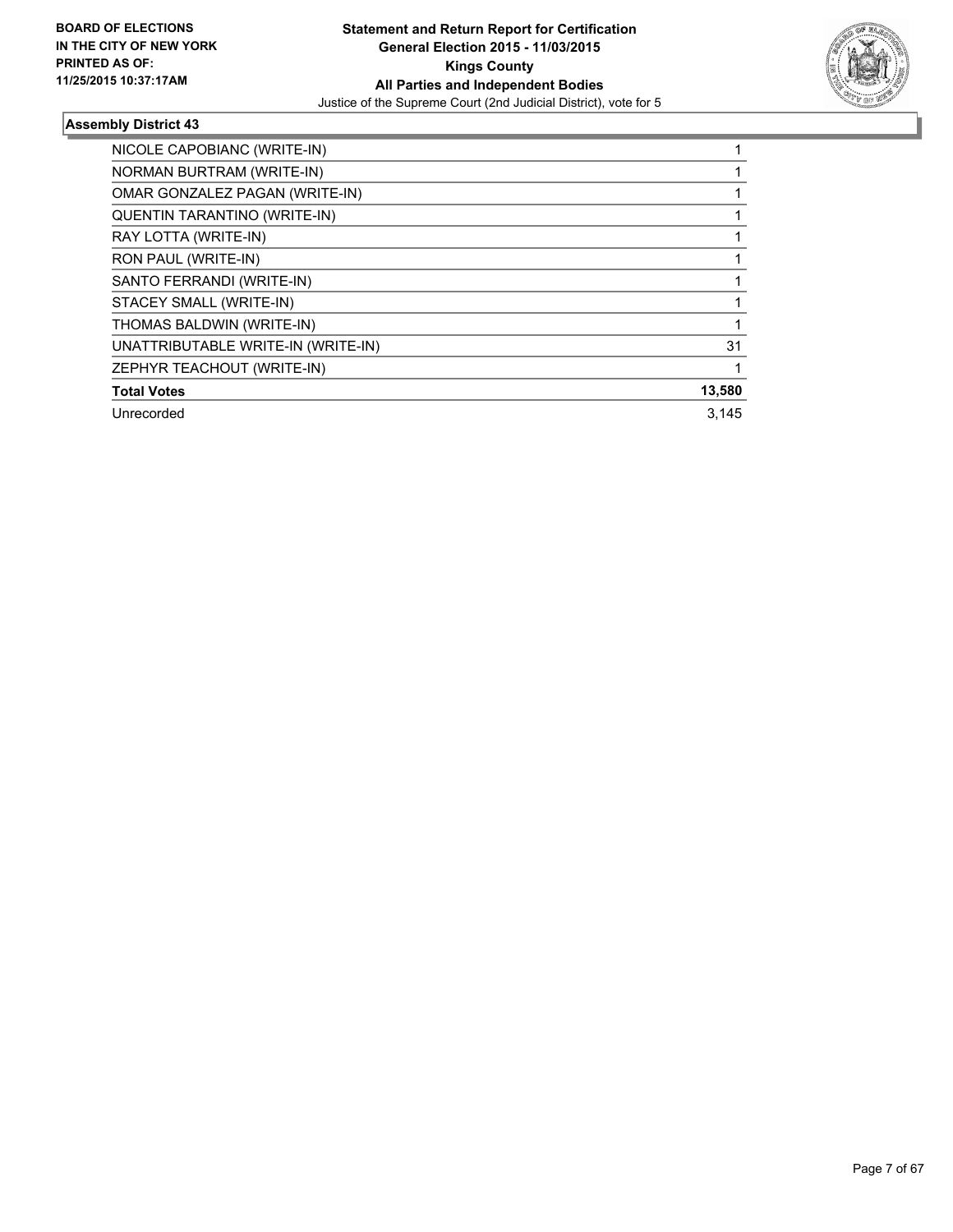

| NICOLE CAPOBIANC (WRITE-IN)         |        |
|-------------------------------------|--------|
| NORMAN BURTRAM (WRITE-IN)           |        |
| OMAR GONZALEZ PAGAN (WRITE-IN)      |        |
| <b>QUENTIN TARANTINO (WRITE-IN)</b> |        |
| RAY LOTTA (WRITE-IN)                |        |
| RON PAUL (WRITE-IN)                 |        |
| SANTO FERRANDI (WRITE-IN)           |        |
| STACEY SMALL (WRITE-IN)             |        |
| THOMAS BALDWIN (WRITE-IN)           |        |
| UNATTRIBUTABLE WRITE-IN (WRITE-IN)  | 31     |
| ZEPHYR TEACHOUT (WRITE-IN)          |        |
| <b>Total Votes</b>                  | 13,580 |
| Unrecorded                          | 3.145  |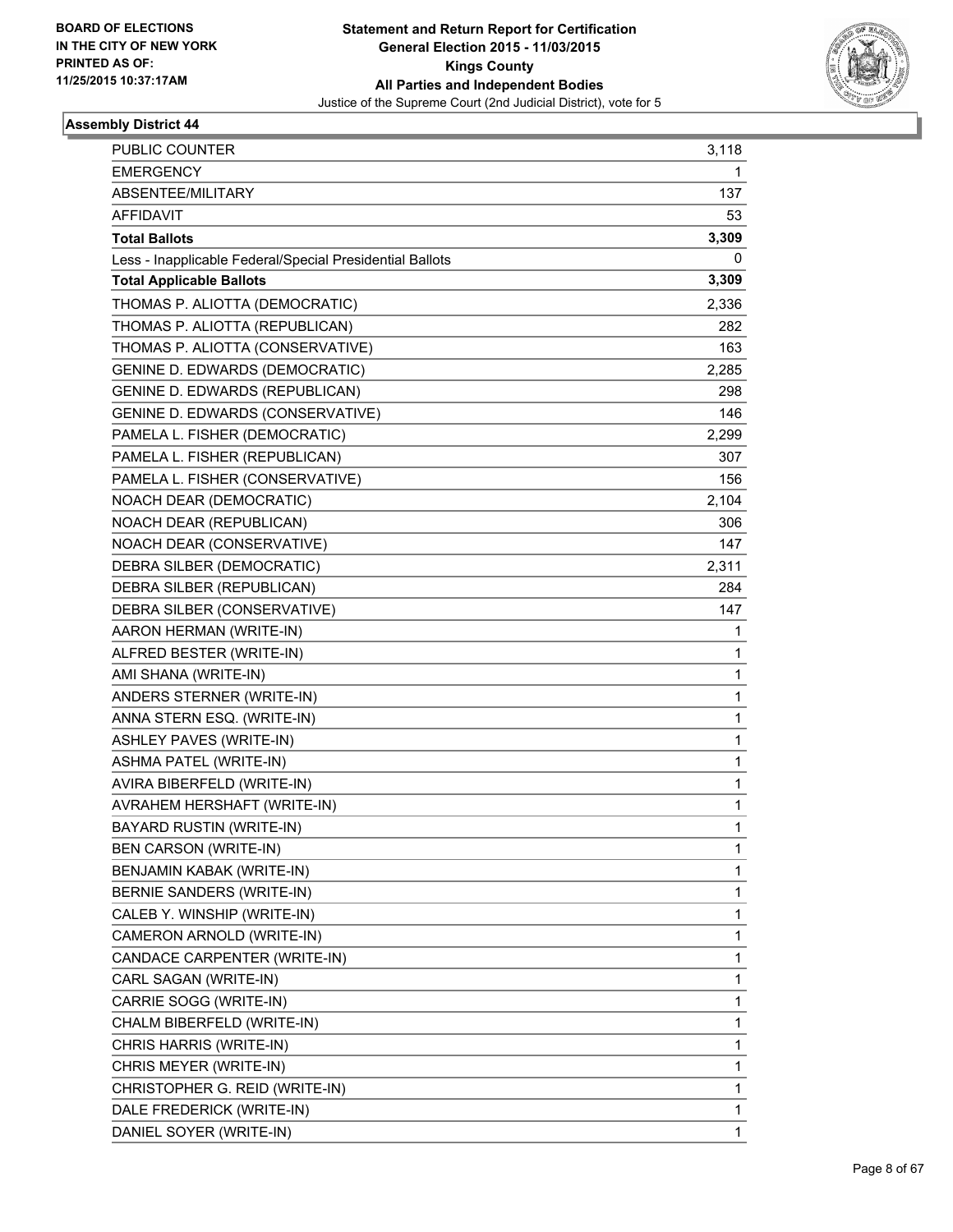

| PUBLIC COUNTER                                           | 3,118 |
|----------------------------------------------------------|-------|
| <b>EMERGENCY</b>                                         | 1     |
| ABSENTEE/MILITARY                                        | 137   |
| <b>AFFIDAVIT</b>                                         | 53    |
| <b>Total Ballots</b>                                     | 3,309 |
| Less - Inapplicable Federal/Special Presidential Ballots | 0     |
| <b>Total Applicable Ballots</b>                          | 3,309 |
| THOMAS P. ALIOTTA (DEMOCRATIC)                           | 2,336 |
| THOMAS P. ALIOTTA (REPUBLICAN)                           | 282   |
| THOMAS P. ALIOTTA (CONSERVATIVE)                         | 163   |
| <b>GENINE D. EDWARDS (DEMOCRATIC)</b>                    | 2,285 |
| GENINE D. EDWARDS (REPUBLICAN)                           | 298   |
| GENINE D. EDWARDS (CONSERVATIVE)                         | 146   |
| PAMELA L. FISHER (DEMOCRATIC)                            | 2,299 |
| PAMELA L. FISHER (REPUBLICAN)                            | 307   |
| PAMELA L. FISHER (CONSERVATIVE)                          | 156   |
| NOACH DEAR (DEMOCRATIC)                                  | 2,104 |
| NOACH DEAR (REPUBLICAN)                                  | 306   |
| NOACH DEAR (CONSERVATIVE)                                | 147   |
| DEBRA SILBER (DEMOCRATIC)                                | 2,311 |
| DEBRA SILBER (REPUBLICAN)                                | 284   |
| DEBRA SILBER (CONSERVATIVE)                              | 147   |
| AARON HERMAN (WRITE-IN)                                  | 1     |
| ALFRED BESTER (WRITE-IN)                                 | 1     |
| AMI SHANA (WRITE-IN)                                     | 1     |
| ANDERS STERNER (WRITE-IN)                                | 1     |
| ANNA STERN ESQ. (WRITE-IN)                               | 1     |
| ASHLEY PAVES (WRITE-IN)                                  | 1     |
| ASHMA PATEL (WRITE-IN)                                   | 1     |
| AVIRA BIBERFELD (WRITE-IN)                               | 1     |
| AVRAHEM HERSHAFT (WRITE-IN)                              | 1     |
| BAYARD RUSTIN (WRITE-IN)                                 | 1     |
| BEN CARSON (WRITE-IN)                                    | 1     |
| BENJAMIN KABAK (WRITE-IN)                                | 1     |
| BERNIE SANDERS (WRITE-IN)                                | 1     |
| CALEB Y. WINSHIP (WRITE-IN)                              | 1     |
| CAMERON ARNOLD (WRITE-IN)                                | 1     |
| CANDACE CARPENTER (WRITE-IN)                             | 1     |
| CARL SAGAN (WRITE-IN)                                    | 1     |
| CARRIE SOGG (WRITE-IN)                                   | 1     |
| CHALM BIBERFELD (WRITE-IN)                               | 1     |
| CHRIS HARRIS (WRITE-IN)                                  | 1     |
| CHRIS MEYER (WRITE-IN)                                   | 1     |
| CHRISTOPHER G. REID (WRITE-IN)                           | 1     |
| DALE FREDERICK (WRITE-IN)                                | 1     |
| DANIEL SOYER (WRITE-IN)                                  | 1     |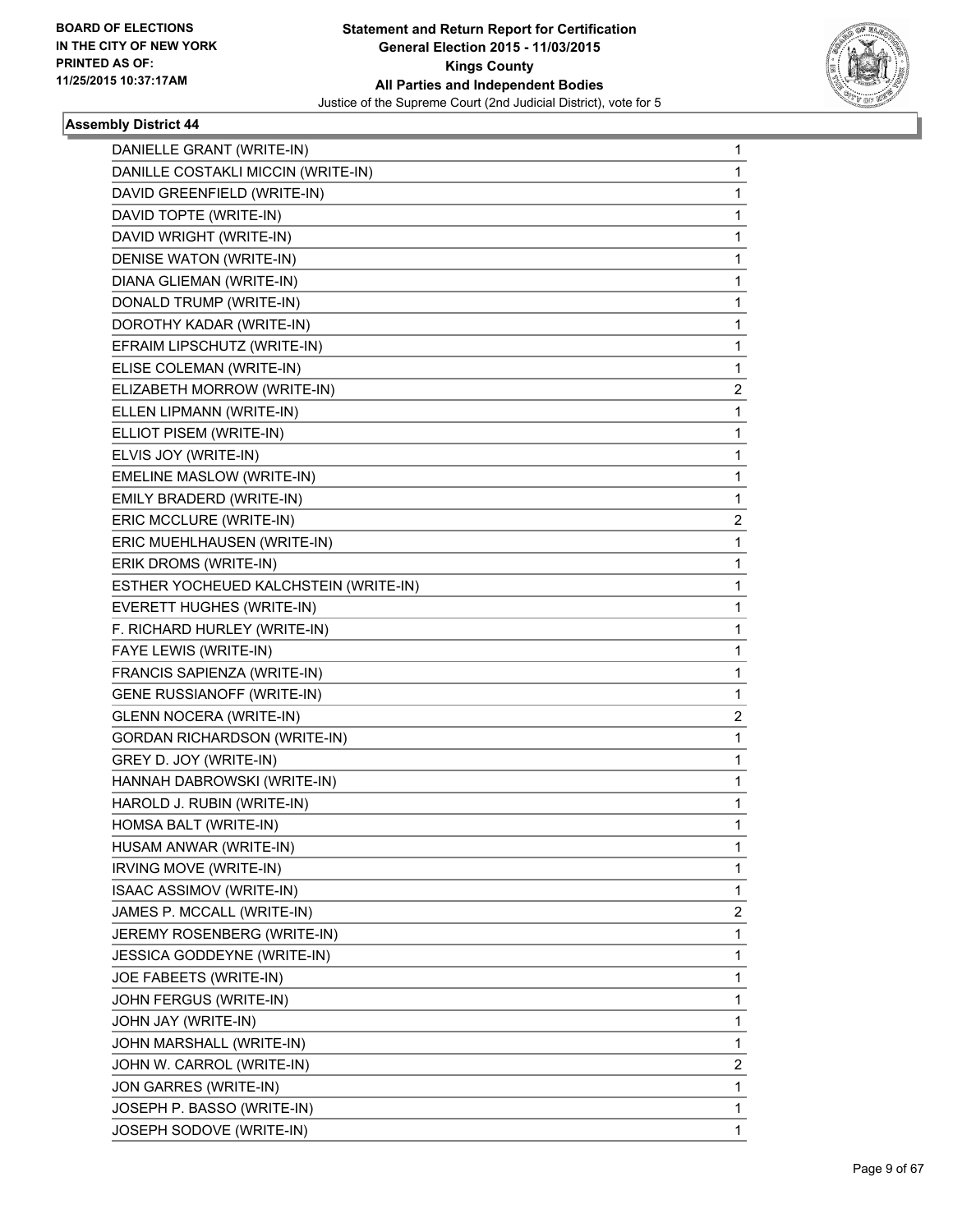

| DANIELLE GRANT (WRITE-IN)             | $\mathbf{1}$   |
|---------------------------------------|----------------|
| DANILLE COSTAKLI MICCIN (WRITE-IN)    | 1              |
| DAVID GREENFIELD (WRITE-IN)           | 1              |
| DAVID TOPTE (WRITE-IN)                | 1              |
| DAVID WRIGHT (WRITE-IN)               | 1              |
| DENISE WATON (WRITE-IN)               | 1              |
| DIANA GLIEMAN (WRITE-IN)              | 1              |
| DONALD TRUMP (WRITE-IN)               | 1              |
| DOROTHY KADAR (WRITE-IN)              | 1              |
| EFRAIM LIPSCHUTZ (WRITE-IN)           | 1              |
| ELISE COLEMAN (WRITE-IN)              | 1              |
| ELIZABETH MORROW (WRITE-IN)           | 2              |
| ELLEN LIPMANN (WRITE-IN)              | 1              |
| ELLIOT PISEM (WRITE-IN)               | 1              |
| ELVIS JOY (WRITE-IN)                  | 1              |
| EMELINE MASLOW (WRITE-IN)             | 1              |
| EMILY BRADERD (WRITE-IN)              | 1              |
| ERIC MCCLURE (WRITE-IN)               | 2              |
| ERIC MUEHLHAUSEN (WRITE-IN)           | 1              |
| ERIK DROMS (WRITE-IN)                 | 1              |
| ESTHER YOCHEUED KALCHSTEIN (WRITE-IN) | 1              |
| EVERETT HUGHES (WRITE-IN)             | 1              |
| F. RICHARD HURLEY (WRITE-IN)          | 1              |
| FAYE LEWIS (WRITE-IN)                 | 1              |
| FRANCIS SAPIENZA (WRITE-IN)           | 1              |
| GENE RUSSIANOFF (WRITE-IN)            | 1              |
| <b>GLENN NOCERA (WRITE-IN)</b>        | $\overline{2}$ |
| <b>GORDAN RICHARDSON (WRITE-IN)</b>   | 1              |
| GREY D. JOY (WRITE-IN)                | 1              |
| HANNAH DABROWSKI (WRITE-IN)           | 1              |
| HAROLD J. RUBIN (WRITE-IN)            | 1              |
| HOMSA BALT (WRITE-IN)                 | 1              |
| HUSAM ANWAR (WRITE-IN)                | 1              |
| IRVING MOVE (WRITE-IN)                | 1              |
| ISAAC ASSIMOV (WRITE-IN)              | 1              |
| JAMES P. MCCALL (WRITE-IN)            | $\overline{2}$ |
| JEREMY ROSENBERG (WRITE-IN)           | 1              |
| JESSICA GODDEYNE (WRITE-IN)           | 1              |
| JOE FABEETS (WRITE-IN)                | 1              |
| JOHN FERGUS (WRITE-IN)                | 1              |
| JOHN JAY (WRITE-IN)                   | 1              |
| JOHN MARSHALL (WRITE-IN)              | 1              |
| JOHN W. CARROL (WRITE-IN)             | 2              |
| JON GARRES (WRITE-IN)                 | 1              |
| JOSEPH P. BASSO (WRITE-IN)            | $\mathbf{1}$   |
| JOSEPH SODOVE (WRITE-IN)              | 1              |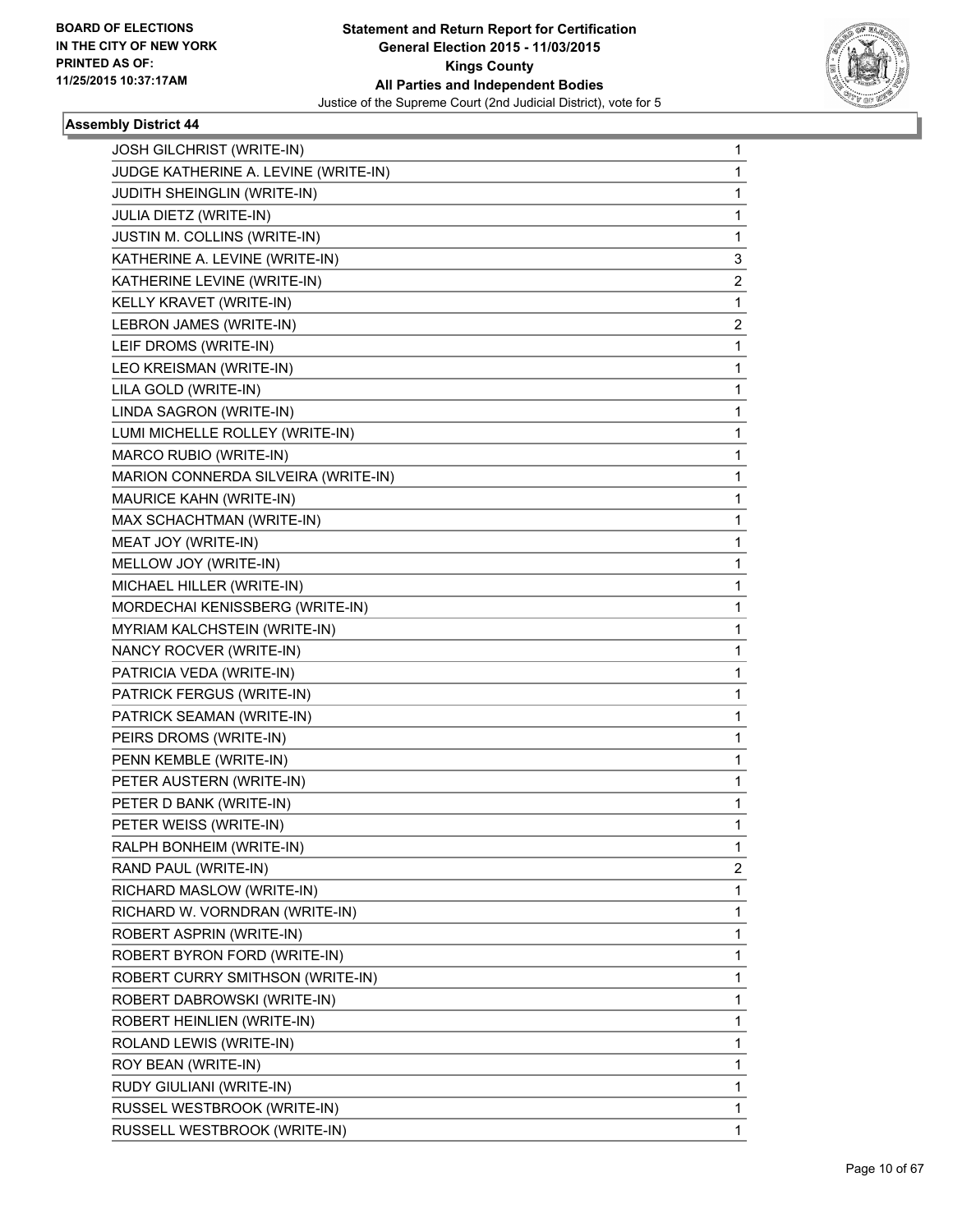

| <b>JOSH GILCHRIST (WRITE-IN)</b>     | 1            |
|--------------------------------------|--------------|
| JUDGE KATHERINE A. LEVINE (WRITE-IN) | 1            |
| JUDITH SHEINGLIN (WRITE-IN)          | 1            |
| JULIA DIETZ (WRITE-IN)               | 1            |
| JUSTIN M. COLLINS (WRITE-IN)         | 1            |
| KATHERINE A. LEVINE (WRITE-IN)       | 3            |
| KATHERINE LEVINE (WRITE-IN)          | 2            |
| KELLY KRAVET (WRITE-IN)              | 1            |
| LEBRON JAMES (WRITE-IN)              | 2            |
| LEIF DROMS (WRITE-IN)                | 1            |
| LEO KREISMAN (WRITE-IN)              | 1            |
| LILA GOLD (WRITE-IN)                 | 1            |
| LINDA SAGRON (WRITE-IN)              | 1            |
| LUMI MICHELLE ROLLEY (WRITE-IN)      | 1            |
| MARCO RUBIO (WRITE-IN)               | 1            |
| MARION CONNERDA SILVEIRA (WRITE-IN)  | 1            |
| MAURICE KAHN (WRITE-IN)              | 1            |
| MAX SCHACHTMAN (WRITE-IN)            | 1            |
| MEAT JOY (WRITE-IN)                  | 1            |
| MELLOW JOY (WRITE-IN)                | 1            |
| MICHAEL HILLER (WRITE-IN)            | 1            |
| MORDECHAI KENISSBERG (WRITE-IN)      | 1            |
| MYRIAM KALCHSTEIN (WRITE-IN)         | 1            |
| NANCY ROCVER (WRITE-IN)              | 1            |
| PATRICIA VEDA (WRITE-IN)             | 1            |
| PATRICK FERGUS (WRITE-IN)            | 1            |
| PATRICK SEAMAN (WRITE-IN)            | 1            |
| PEIRS DROMS (WRITE-IN)               | 1            |
| PENN KEMBLE (WRITE-IN)               | 1            |
| PETER AUSTERN (WRITE-IN)             | 1            |
| PETER D BANK (WRITE-IN)              | 1            |
| PETER WEISS (WRITE-IN)               | 1            |
| RALPH BONHEIM (WRITE-IN)             | 1            |
| RAND PAUL (WRITE-IN)                 | 2            |
| RICHARD MASLOW (WRITE-IN)            | 1            |
| RICHARD W. VORNDRAN (WRITE-IN)       | 1            |
| ROBERT ASPRIN (WRITE-IN)             | 1            |
| ROBERT BYRON FORD (WRITE-IN)         | 1            |
| ROBERT CURRY SMITHSON (WRITE-IN)     | 1            |
| ROBERT DABROWSKI (WRITE-IN)          | 1            |
| ROBERT HEINLIEN (WRITE-IN)           | 1            |
| ROLAND LEWIS (WRITE-IN)              | 1            |
| ROY BEAN (WRITE-IN)                  | 1            |
| RUDY GIULIANI (WRITE-IN)             | 1            |
| RUSSEL WESTBROOK (WRITE-IN)          | $\mathbf{1}$ |
| RUSSELL WESTBROOK (WRITE-IN)         | 1            |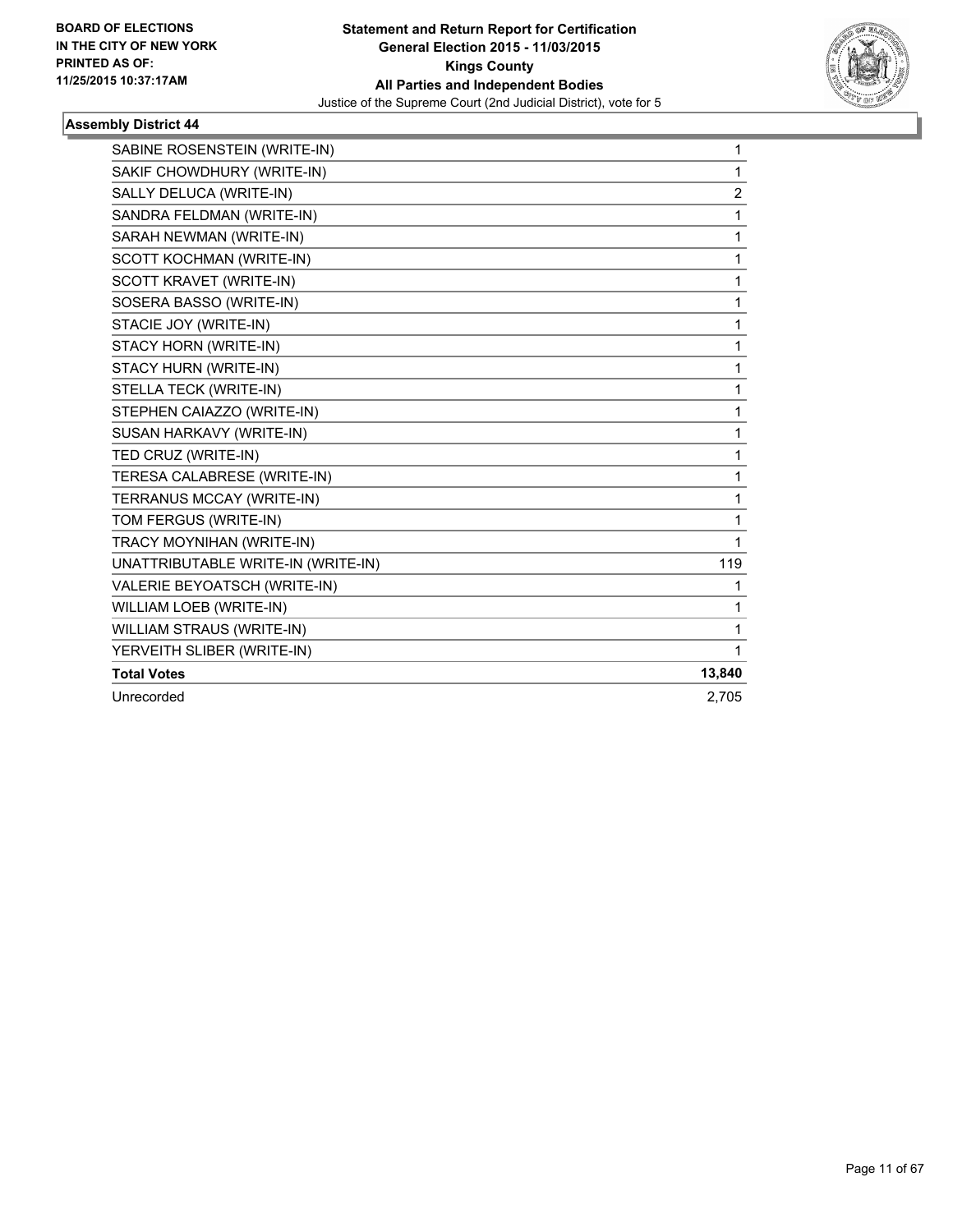

| SABINE ROSENSTEIN (WRITE-IN)        | 1              |
|-------------------------------------|----------------|
| SAKIF CHOWDHURY (WRITE-IN)          | 1              |
| SALLY DELUCA (WRITE-IN)             | $\overline{2}$ |
| SANDRA FELDMAN (WRITE-IN)           | 1              |
| SARAH NEWMAN (WRITE-IN)             | 1              |
| SCOTT KOCHMAN (WRITE-IN)            | 1              |
| <b>SCOTT KRAVET (WRITE-IN)</b>      | 1              |
| SOSERA BASSO (WRITE-IN)             | 1              |
| STACIE JOY (WRITE-IN)               | 1              |
| STACY HORN (WRITE-IN)               | 1              |
| STACY HURN (WRITE-IN)               | 1              |
| STELLA TECK (WRITE-IN)              | 1              |
| STEPHEN CAIAZZO (WRITE-IN)          | 1              |
| SUSAN HARKAVY (WRITE-IN)            | 1              |
| TED CRUZ (WRITE-IN)                 | 1              |
| TERESA CALABRESE (WRITE-IN)         | 1              |
| TERRANUS MCCAY (WRITE-IN)           | 1              |
| TOM FERGUS (WRITE-IN)               | 1              |
| TRACY MOYNIHAN (WRITE-IN)           | 1              |
| UNATTRIBUTABLE WRITE-IN (WRITE-IN)  | 119            |
| <b>VALERIE BEYOATSCH (WRITE-IN)</b> | 1              |
| WILLIAM LOEB (WRITE-IN)             | 1              |
| <b>WILLIAM STRAUS (WRITE-IN)</b>    | 1              |
| YERVEITH SLIBER (WRITE-IN)          | 1              |
| <b>Total Votes</b>                  | 13,840         |
| Unrecorded                          | 2,705          |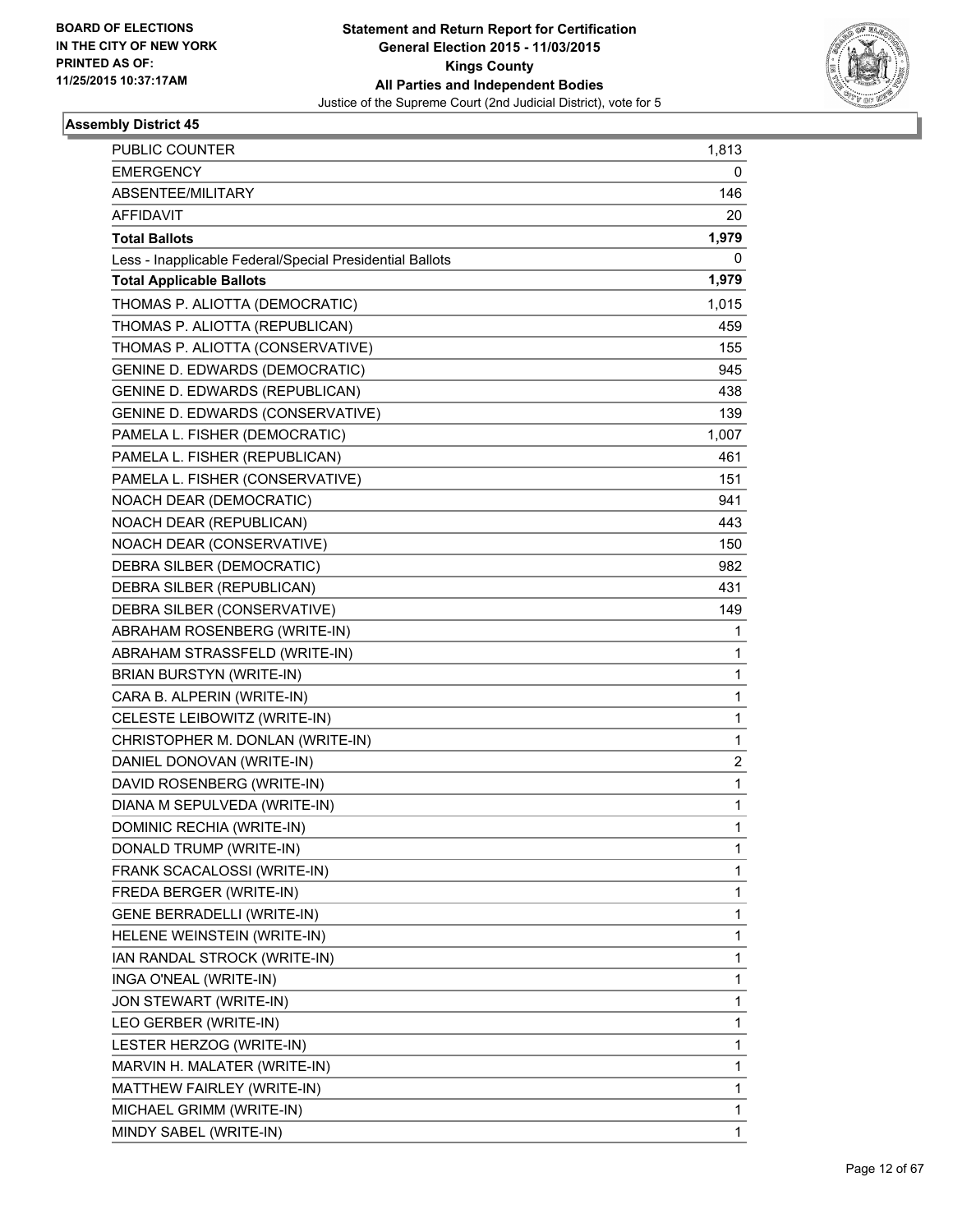

| PUBLIC COUNTER                                           | 1,813 |
|----------------------------------------------------------|-------|
| <b>EMERGENCY</b>                                         | 0     |
| ABSENTEE/MILITARY                                        | 146   |
| <b>AFFIDAVIT</b>                                         | 20    |
| <b>Total Ballots</b>                                     | 1,979 |
| Less - Inapplicable Federal/Special Presidential Ballots | 0     |
| <b>Total Applicable Ballots</b>                          | 1,979 |
| THOMAS P. ALIOTTA (DEMOCRATIC)                           | 1,015 |
| THOMAS P. ALIOTTA (REPUBLICAN)                           | 459   |
| THOMAS P. ALIOTTA (CONSERVATIVE)                         | 155   |
| <b>GENINE D. EDWARDS (DEMOCRATIC)</b>                    | 945   |
| GENINE D. EDWARDS (REPUBLICAN)                           | 438   |
| GENINE D. EDWARDS (CONSERVATIVE)                         | 139   |
| PAMELA L. FISHER (DEMOCRATIC)                            | 1,007 |
| PAMELA L. FISHER (REPUBLICAN)                            | 461   |
| PAMELA L. FISHER (CONSERVATIVE)                          | 151   |
| NOACH DEAR (DEMOCRATIC)                                  | 941   |
| NOACH DEAR (REPUBLICAN)                                  | 443   |
| NOACH DEAR (CONSERVATIVE)                                | 150   |
| DEBRA SILBER (DEMOCRATIC)                                | 982   |
| DEBRA SILBER (REPUBLICAN)                                | 431   |
| DEBRA SILBER (CONSERVATIVE)                              | 149   |
| ABRAHAM ROSENBERG (WRITE-IN)                             | 1     |
| ABRAHAM STRASSFELD (WRITE-IN)                            | 1     |
| BRIAN BURSTYN (WRITE-IN)                                 | 1     |
| CARA B. ALPERIN (WRITE-IN)                               | 1     |
| CELESTE LEIBOWITZ (WRITE-IN)                             | 1     |
| CHRISTOPHER M. DONLAN (WRITE-IN)                         | 1     |
| DANIEL DONOVAN (WRITE-IN)                                | 2     |
| DAVID ROSENBERG (WRITE-IN)                               | 1     |
| DIANA M SEPULVEDA (WRITE-IN)                             | 1     |
| DOMINIC RECHIA (WRITE-IN)                                | 1     |
| DONALD TRUMP (WRITE-IN)                                  | 1     |
| FRANK SCACALOSSI (WRITE-IN)                              | 1     |
| FREDA BERGER (WRITE-IN)                                  | 1     |
| GENE BERRADELLI (WRITE-IN)                               | 1     |
| HELENE WEINSTEIN (WRITE-IN)                              | 1     |
| IAN RANDAL STROCK (WRITE-IN)                             | 1     |
| INGA O'NEAL (WRITE-IN)                                   | 1     |
| JON STEWART (WRITE-IN)                                   | 1     |
| LEO GERBER (WRITE-IN)                                    | 1     |
| LESTER HERZOG (WRITE-IN)                                 | 1     |
| MARVIN H. MALATER (WRITE-IN)                             | 1     |
| MATTHEW FAIRLEY (WRITE-IN)                               | 1     |
| MICHAEL GRIMM (WRITE-IN)                                 | 1     |
| MINDY SABEL (WRITE-IN)                                   | 1     |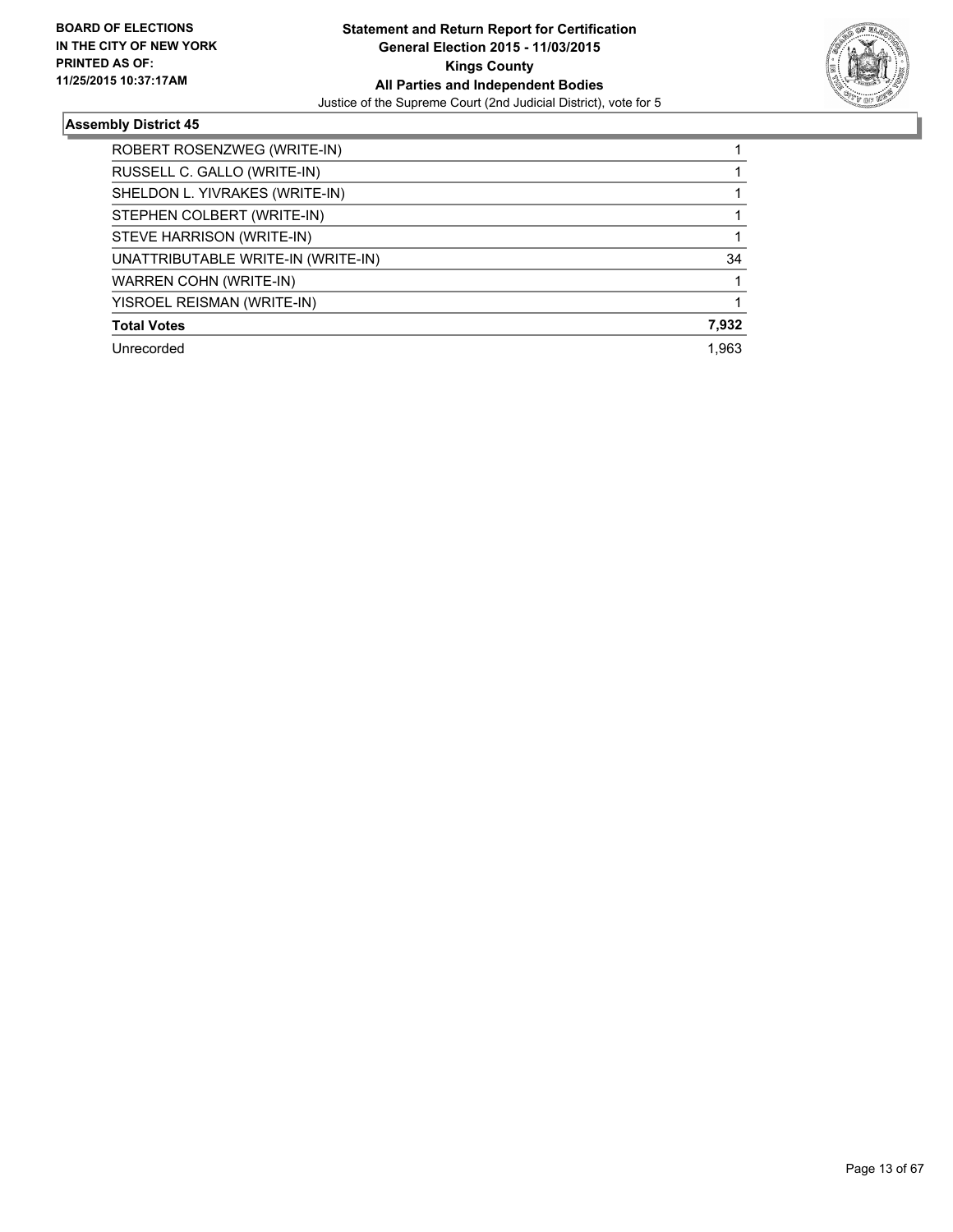

| ROBERT ROSENZWEG (WRITE-IN)        |       |
|------------------------------------|-------|
| RUSSELL C. GALLO (WRITE-IN)        |       |
| SHELDON L. YIVRAKES (WRITE-IN)     |       |
| STEPHEN COLBERT (WRITE-IN)         |       |
| STEVE HARRISON (WRITE-IN)          |       |
| UNATTRIBUTABLE WRITE-IN (WRITE-IN) | 34    |
| WARREN COHN (WRITE-IN)             |       |
| YISROEL REISMAN (WRITE-IN)         |       |
| <b>Total Votes</b>                 | 7,932 |
| Unrecorded                         | 1.963 |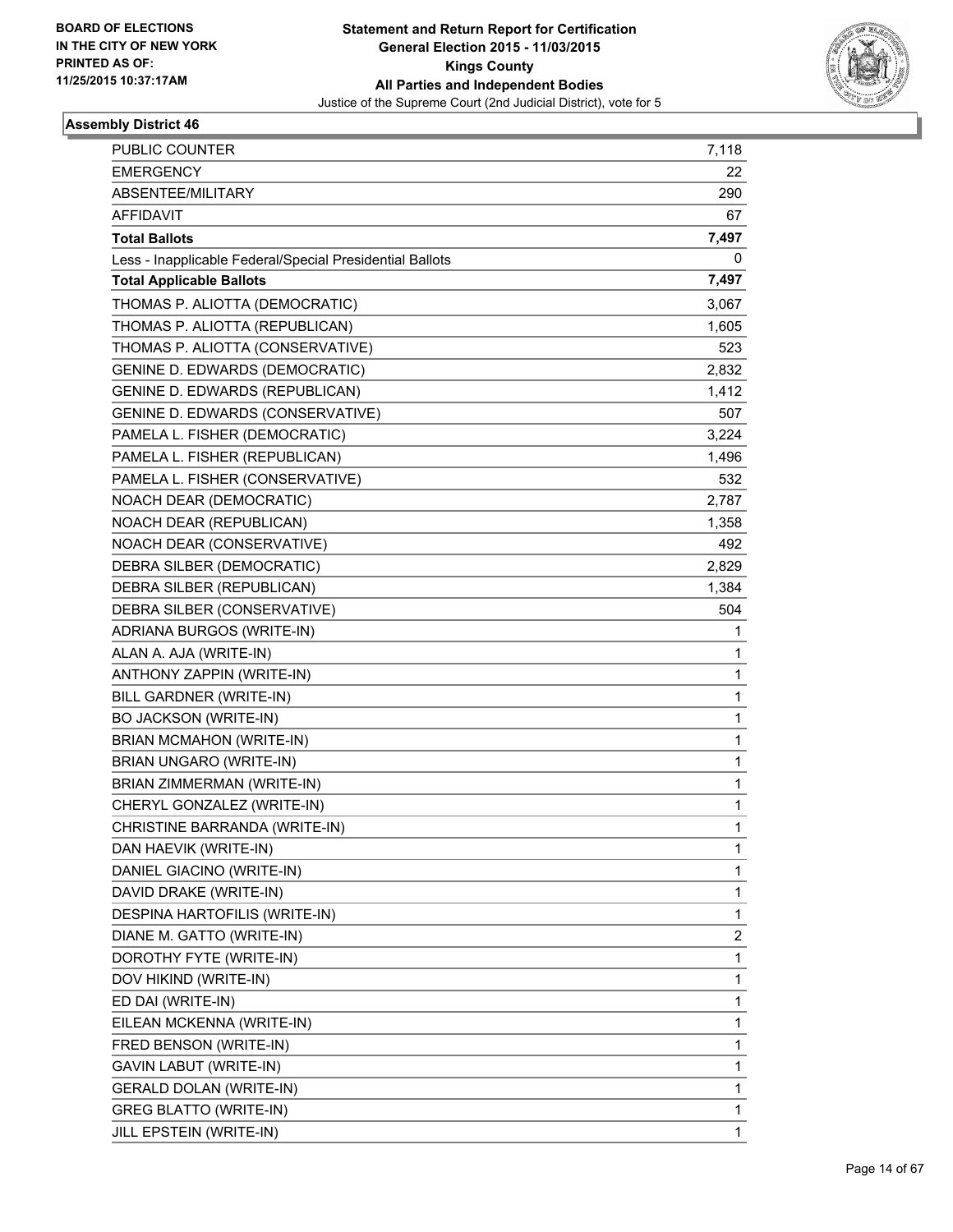

| PUBLIC COUNTER                                           | 7,118 |
|----------------------------------------------------------|-------|
| <b>EMERGENCY</b>                                         | 22    |
| ABSENTEE/MILITARY                                        | 290   |
| <b>AFFIDAVIT</b>                                         | 67    |
| <b>Total Ballots</b>                                     | 7,497 |
| Less - Inapplicable Federal/Special Presidential Ballots | 0     |
| <b>Total Applicable Ballots</b>                          | 7,497 |
| THOMAS P. ALIOTTA (DEMOCRATIC)                           | 3,067 |
| THOMAS P. ALIOTTA (REPUBLICAN)                           | 1,605 |
| THOMAS P. ALIOTTA (CONSERVATIVE)                         | 523   |
| GENINE D. EDWARDS (DEMOCRATIC)                           | 2,832 |
| GENINE D. EDWARDS (REPUBLICAN)                           | 1,412 |
| GENINE D. EDWARDS (CONSERVATIVE)                         | 507   |
| PAMELA L. FISHER (DEMOCRATIC)                            | 3,224 |
| PAMELA L. FISHER (REPUBLICAN)                            | 1,496 |
| PAMELA L. FISHER (CONSERVATIVE)                          | 532   |
| NOACH DEAR (DEMOCRATIC)                                  | 2,787 |
| NOACH DEAR (REPUBLICAN)                                  | 1,358 |
| NOACH DEAR (CONSERVATIVE)                                | 492   |
| DEBRA SILBER (DEMOCRATIC)                                | 2,829 |
| DEBRA SILBER (REPUBLICAN)                                | 1,384 |
| DEBRA SILBER (CONSERVATIVE)                              | 504   |
| ADRIANA BURGOS (WRITE-IN)                                | 1     |
| ALAN A. AJA (WRITE-IN)                                   | 1     |
| ANTHONY ZAPPIN (WRITE-IN)                                | 1     |
| BILL GARDNER (WRITE-IN)                                  | 1     |
| <b>BO JACKSON (WRITE-IN)</b>                             | 1     |
| <b>BRIAN MCMAHON (WRITE-IN)</b>                          | 1     |
| BRIAN UNGARO (WRITE-IN)                                  | 1     |
| BRIAN ZIMMERMAN (WRITE-IN)                               | 1     |
| CHERYL GONZALEZ (WRITE-IN)                               | 1     |
| CHRISTINE BARRANDA (WRITE-IN)                            | 1     |
| DAN HAEVIK (WRITE-IN)                                    | 1     |
| DANIEL GIACINO (WRITE-IN)                                | 1     |
| DAVID DRAKE (WRITE-IN)                                   | 1     |
| DESPINA HARTOFILIS (WRITE-IN)                            | 1     |
| DIANE M. GATTO (WRITE-IN)                                | 2     |
| DOROTHY FYTE (WRITE-IN)                                  | 1     |
| DOV HIKIND (WRITE-IN)                                    | 1     |
| ED DAI (WRITE-IN)                                        | 1     |
| EILEAN MCKENNA (WRITE-IN)                                | 1     |
| FRED BENSON (WRITE-IN)                                   | 1     |
| GAVIN LABUT (WRITE-IN)                                   | 1     |
| <b>GERALD DOLAN (WRITE-IN)</b>                           | 1     |
| <b>GREG BLATTO (WRITE-IN)</b>                            | 1     |
| JILL EPSTEIN (WRITE-IN)                                  | 1     |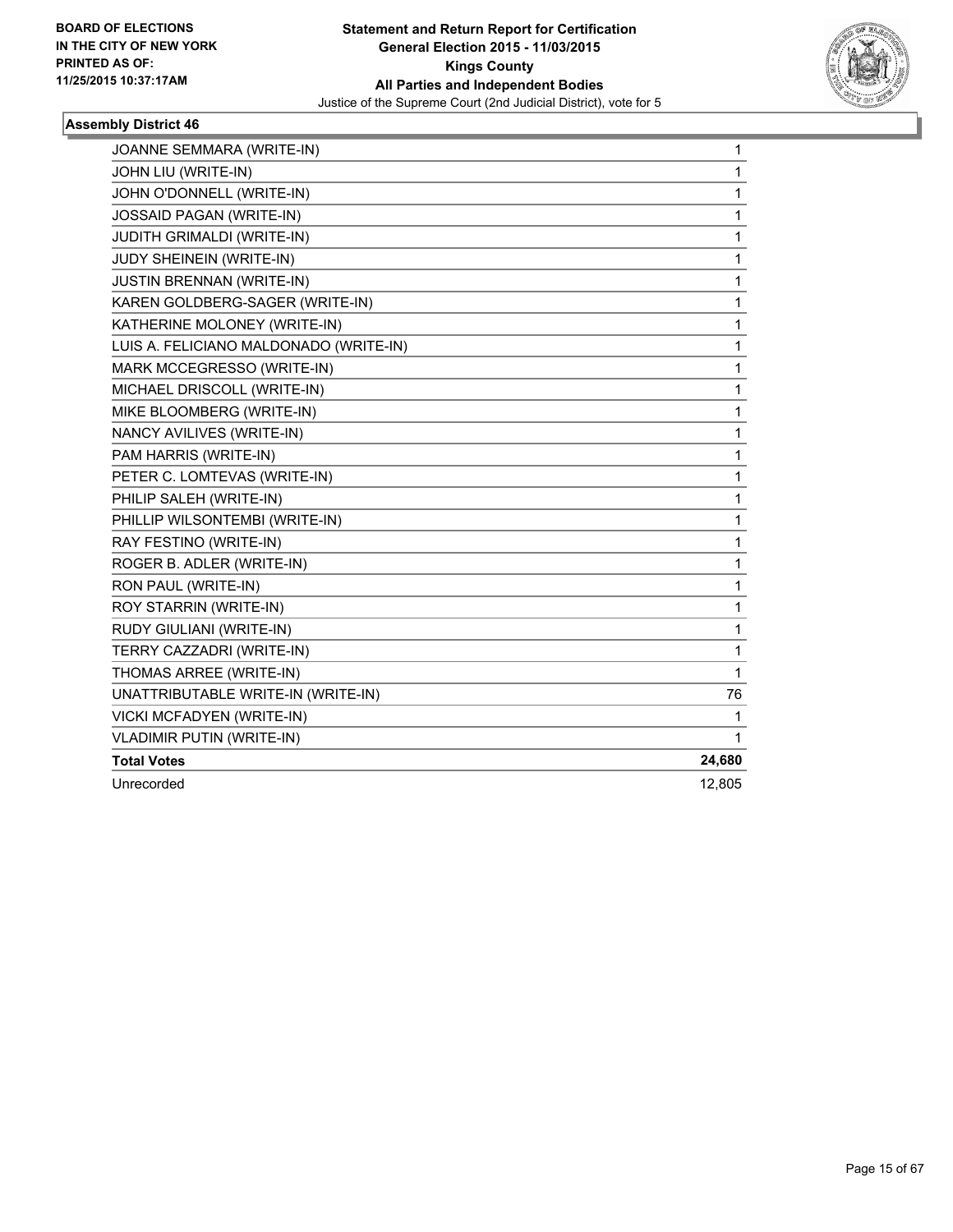

| JOANNE SEMMARA (WRITE-IN)              | 1            |
|----------------------------------------|--------------|
| JOHN LIU (WRITE-IN)                    | $\mathbf{1}$ |
| JOHN O'DONNELL (WRITE-IN)              | 1            |
| JOSSAID PAGAN (WRITE-IN)               | 1            |
| <b>JUDITH GRIMALDI (WRITE-IN)</b>      | 1            |
| JUDY SHEINEIN (WRITE-IN)               | 1            |
| <b>JUSTIN BRENNAN (WRITE-IN)</b>       | 1            |
| KAREN GOLDBERG-SAGER (WRITE-IN)        | 1            |
| KATHERINE MOLONEY (WRITE-IN)           | 1            |
| LUIS A. FELICIANO MALDONADO (WRITE-IN) | 1            |
| MARK MCCEGRESSO (WRITE-IN)             | $\mathbf 1$  |
| MICHAEL DRISCOLL (WRITE-IN)            | 1            |
| MIKE BLOOMBERG (WRITE-IN)              | 1            |
| NANCY AVILIVES (WRITE-IN)              | 1            |
| PAM HARRIS (WRITE-IN)                  | $\mathbf 1$  |
| PETER C. LOMTEVAS (WRITE-IN)           | $\mathbf{1}$ |
| PHILIP SALEH (WRITE-IN)                | $\mathbf 1$  |
| PHILLIP WILSONTEMBI (WRITE-IN)         | $\mathbf{1}$ |
| RAY FESTINO (WRITE-IN)                 | $\mathbf 1$  |
| ROGER B. ADLER (WRITE-IN)              | $\mathbf 1$  |
| RON PAUL (WRITE-IN)                    | 1            |
| ROY STARRIN (WRITE-IN)                 | $\mathbf 1$  |
| RUDY GIULIANI (WRITE-IN)               | 1            |
| TERRY CAZZADRI (WRITE-IN)              | 1            |
| THOMAS ARREE (WRITE-IN)                | 1            |
| UNATTRIBUTABLE WRITE-IN (WRITE-IN)     | 76           |
| VICKI MCFADYEN (WRITE-IN)              | 1            |
| <b>VLADIMIR PUTIN (WRITE-IN)</b>       | 1            |
| <b>Total Votes</b>                     | 24,680       |
| Unrecorded                             | 12,805       |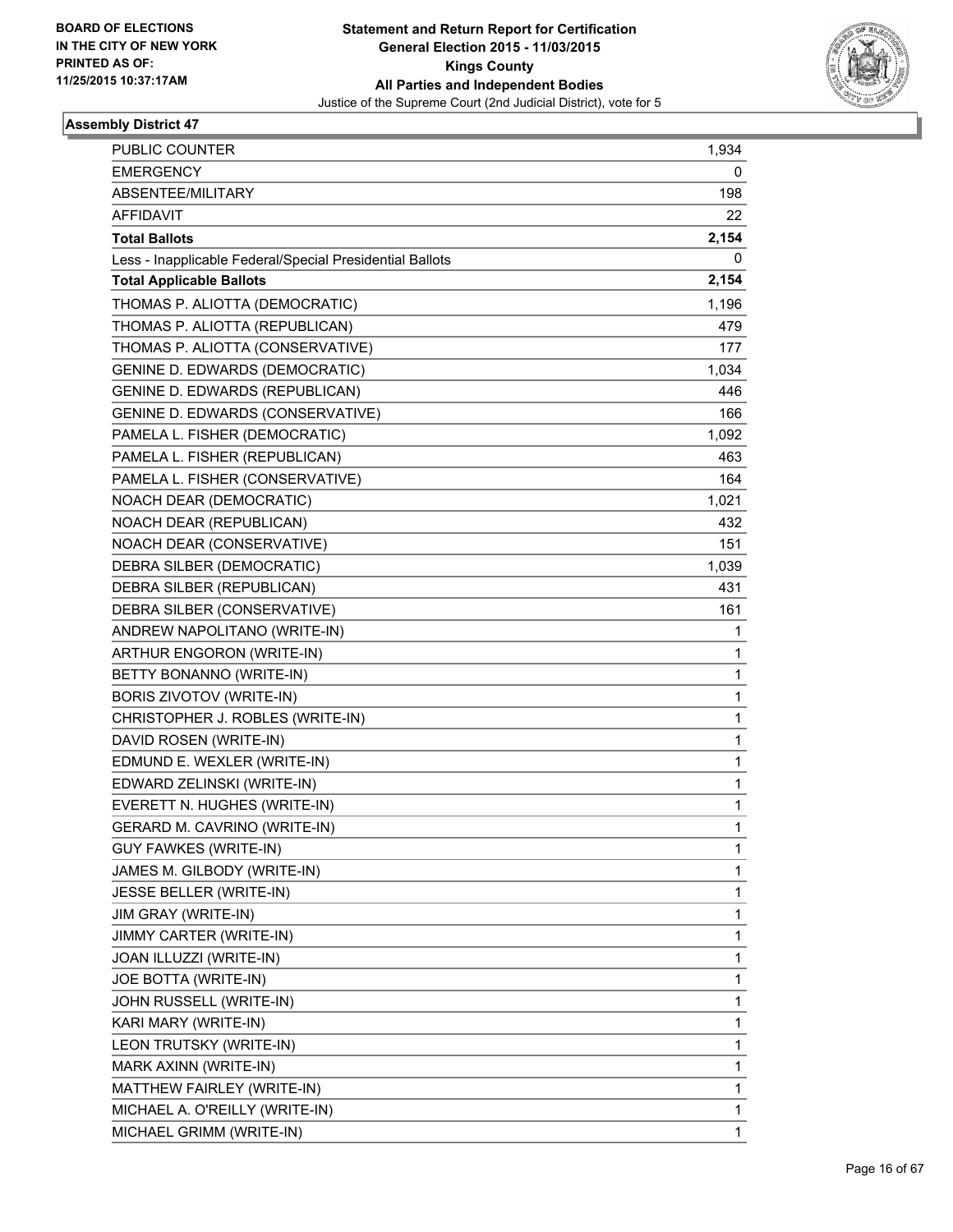

| PUBLIC COUNTER                                           | 1,934 |
|----------------------------------------------------------|-------|
| <b>EMERGENCY</b>                                         | 0     |
| ABSENTEE/MILITARY                                        | 198   |
| <b>AFFIDAVIT</b>                                         | 22    |
| <b>Total Ballots</b>                                     | 2,154 |
| Less - Inapplicable Federal/Special Presidential Ballots | 0     |
| <b>Total Applicable Ballots</b>                          | 2,154 |
| THOMAS P. ALIOTTA (DEMOCRATIC)                           | 1,196 |
| THOMAS P. ALIOTTA (REPUBLICAN)                           | 479   |
| THOMAS P. ALIOTTA (CONSERVATIVE)                         | 177   |
| <b>GENINE D. EDWARDS (DEMOCRATIC)</b>                    | 1,034 |
| GENINE D. EDWARDS (REPUBLICAN)                           | 446   |
| GENINE D. EDWARDS (CONSERVATIVE)                         | 166   |
| PAMELA L. FISHER (DEMOCRATIC)                            | 1,092 |
| PAMELA L. FISHER (REPUBLICAN)                            | 463   |
| PAMELA L. FISHER (CONSERVATIVE)                          | 164   |
| NOACH DEAR (DEMOCRATIC)                                  | 1,021 |
| NOACH DEAR (REPUBLICAN)                                  | 432   |
| NOACH DEAR (CONSERVATIVE)                                | 151   |
| DEBRA SILBER (DEMOCRATIC)                                | 1,039 |
| DEBRA SILBER (REPUBLICAN)                                | 431   |
| DEBRA SILBER (CONSERVATIVE)                              | 161   |
| ANDREW NAPOLITANO (WRITE-IN)                             | 1     |
| ARTHUR ENGORON (WRITE-IN)                                | 1     |
| BETTY BONANNO (WRITE-IN)                                 | 1     |
| BORIS ZIVOTOV (WRITE-IN)                                 | 1     |
| CHRISTOPHER J. ROBLES (WRITE-IN)                         | 1     |
| DAVID ROSEN (WRITE-IN)                                   | 1     |
| EDMUND E. WEXLER (WRITE-IN)                              | 1     |
| EDWARD ZELINSKI (WRITE-IN)                               | 1     |
| EVERETT N. HUGHES (WRITE-IN)                             | 1     |
| GERARD M. CAVRINO (WRITE-IN)                             | 1     |
| <b>GUY FAWKES (WRITE-IN)</b>                             | 1     |
| JAMES M. GILBODY (WRITE-IN)                              | 1     |
| JESSE BELLER (WRITE-IN)                                  | 1     |
| JIM GRAY (WRITE-IN)                                      | 1     |
| JIMMY CARTER (WRITE-IN)                                  | 1     |
| JOAN ILLUZZI (WRITE-IN)                                  | 1     |
| JOE BOTTA (WRITE-IN)                                     | 1     |
| JOHN RUSSELL (WRITE-IN)                                  | 1     |
| KARI MARY (WRITE-IN)                                     | 1     |
| LEON TRUTSKY (WRITE-IN)                                  | 1     |
| MARK AXINN (WRITE-IN)                                    | 1     |
| MATTHEW FAIRLEY (WRITE-IN)                               | 1     |
| MICHAEL A. O'REILLY (WRITE-IN)                           | 1     |
| MICHAEL GRIMM (WRITE-IN)                                 | 1     |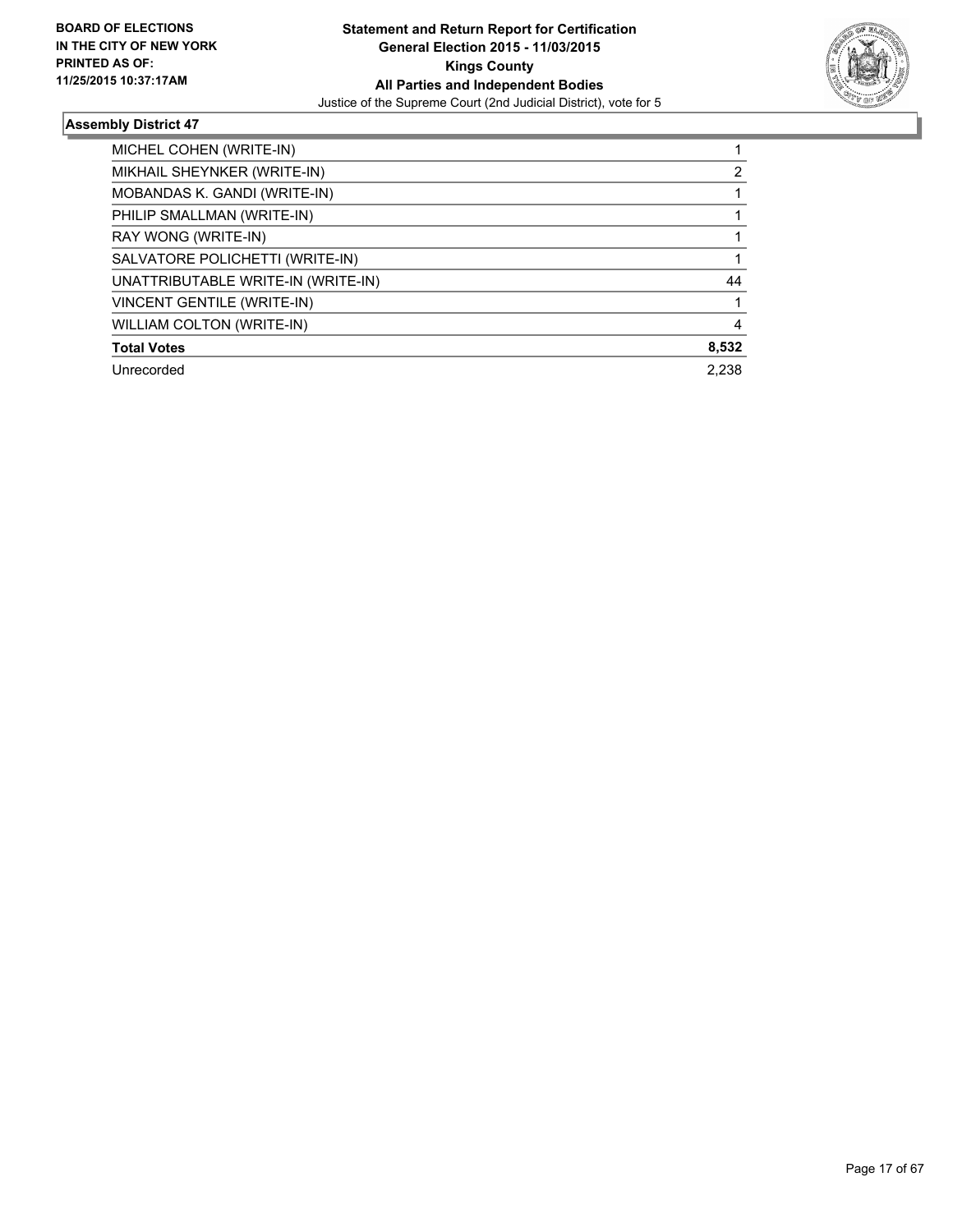

| MICHEL COHEN (WRITE-IN)            |       |
|------------------------------------|-------|
| MIKHAIL SHEYNKER (WRITE-IN)        | 2     |
| MOBANDAS K. GANDI (WRITE-IN)       |       |
| PHILIP SMALLMAN (WRITE-IN)         |       |
| RAY WONG (WRITE-IN)                |       |
| SALVATORE POLICHETTI (WRITE-IN)    |       |
| UNATTRIBUTABLE WRITE-IN (WRITE-IN) | 44    |
| VINCENT GENTILE (WRITE-IN)         |       |
| <b>WILLIAM COLTON (WRITE-IN)</b>   | 4     |
| <b>Total Votes</b>                 | 8,532 |
| Unrecorded                         | 2.238 |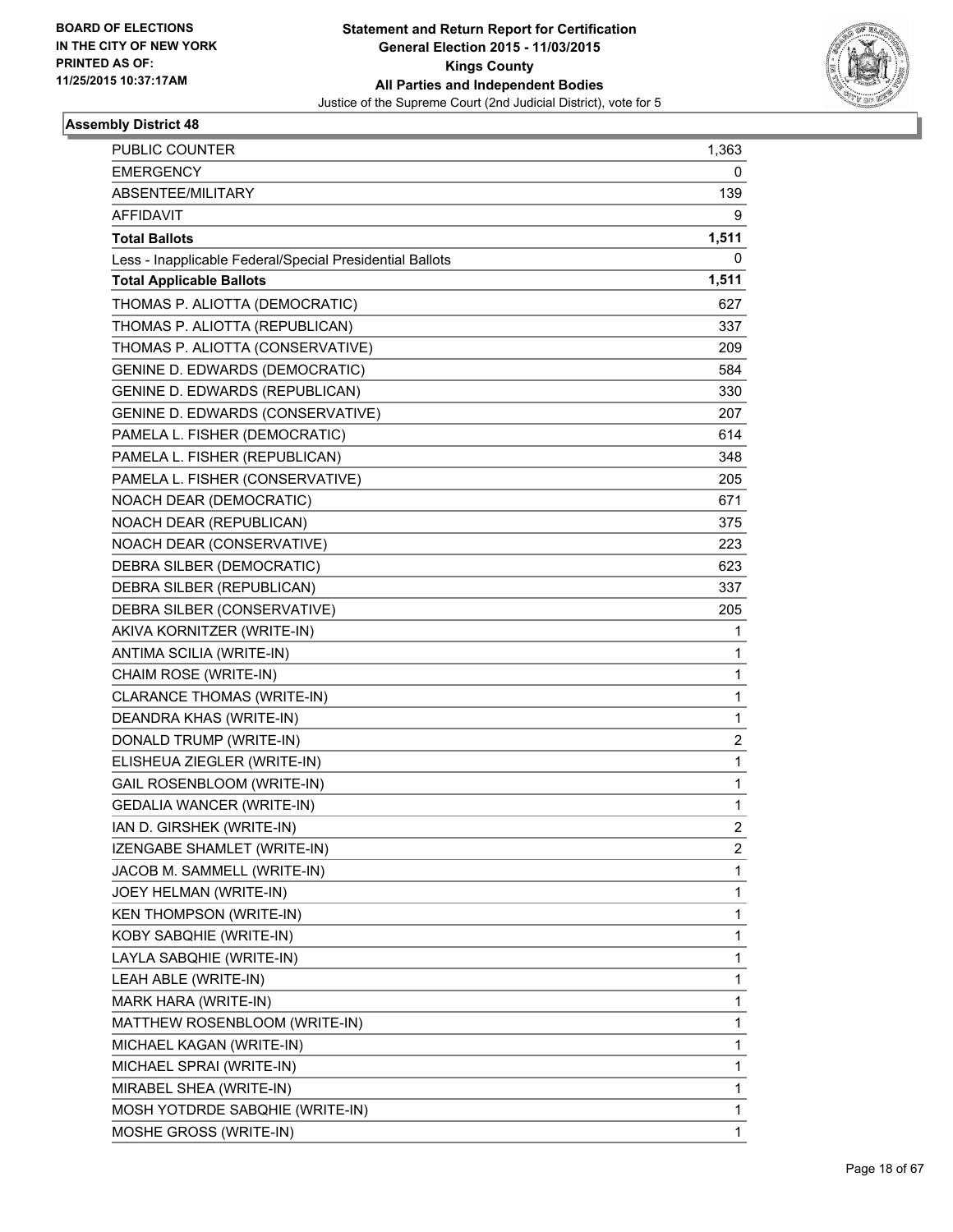

| PUBLIC COUNTER                                           | 1,363          |
|----------------------------------------------------------|----------------|
| <b>EMERGENCY</b>                                         | 0              |
| ABSENTEE/MILITARY                                        | 139            |
| <b>AFFIDAVIT</b>                                         | 9              |
| <b>Total Ballots</b>                                     | 1,511          |
| Less - Inapplicable Federal/Special Presidential Ballots | 0              |
| <b>Total Applicable Ballots</b>                          | 1,511          |
| THOMAS P. ALIOTTA (DEMOCRATIC)                           | 627            |
| THOMAS P. ALIOTTA (REPUBLICAN)                           | 337            |
| THOMAS P. ALIOTTA (CONSERVATIVE)                         | 209            |
| <b>GENINE D. EDWARDS (DEMOCRATIC)</b>                    | 584            |
| <b>GENINE D. EDWARDS (REPUBLICAN)</b>                    | 330            |
| GENINE D. EDWARDS (CONSERVATIVE)                         | 207            |
| PAMELA L. FISHER (DEMOCRATIC)                            | 614            |
| PAMELA L. FISHER (REPUBLICAN)                            | 348            |
| PAMELA L. FISHER (CONSERVATIVE)                          | 205            |
| NOACH DEAR (DEMOCRATIC)                                  | 671            |
| NOACH DEAR (REPUBLICAN)                                  | 375            |
| NOACH DEAR (CONSERVATIVE)                                | 223            |
| DEBRA SILBER (DEMOCRATIC)                                | 623            |
| DEBRA SILBER (REPUBLICAN)                                | 337            |
| DEBRA SILBER (CONSERVATIVE)                              | 205            |
| AKIVA KORNITZER (WRITE-IN)                               | 1              |
| ANTIMA SCILIA (WRITE-IN)                                 | 1              |
| CHAIM ROSE (WRITE-IN)                                    | 1              |
| CLARANCE THOMAS (WRITE-IN)                               | 1              |
| DEANDRA KHAS (WRITE-IN)                                  | 1              |
| DONALD TRUMP (WRITE-IN)                                  | 2              |
| ELISHEUA ZIEGLER (WRITE-IN)                              | 1              |
| GAIL ROSENBLOOM (WRITE-IN)                               | 1              |
| <b>GEDALIA WANCER (WRITE-IN)</b>                         | 1              |
| IAN D. GIRSHEK (WRITE-IN)                                | 2              |
| IZENGABE SHAMLET (WRITE-IN)                              | $\overline{c}$ |
| JACOB M. SAMMELL (WRITE-IN)                              | 1              |
| JOEY HELMAN (WRITE-IN)                                   | 1              |
| KEN THOMPSON (WRITE-IN)                                  | 1              |
| KOBY SABQHIE (WRITE-IN)                                  | 1              |
| LAYLA SABQHIE (WRITE-IN)                                 | 1              |
| LEAH ABLE (WRITE-IN)                                     | 1              |
| MARK HARA (WRITE-IN)                                     | 1              |
| MATTHEW ROSENBLOOM (WRITE-IN)                            | 1              |
| MICHAEL KAGAN (WRITE-IN)                                 | 1              |
| MICHAEL SPRAI (WRITE-IN)                                 | 1              |
| MIRABEL SHEA (WRITE-IN)                                  | 1              |
| MOSH YOTDRDE SABQHIE (WRITE-IN)                          | 1              |
| MOSHE GROSS (WRITE-IN)                                   | 1              |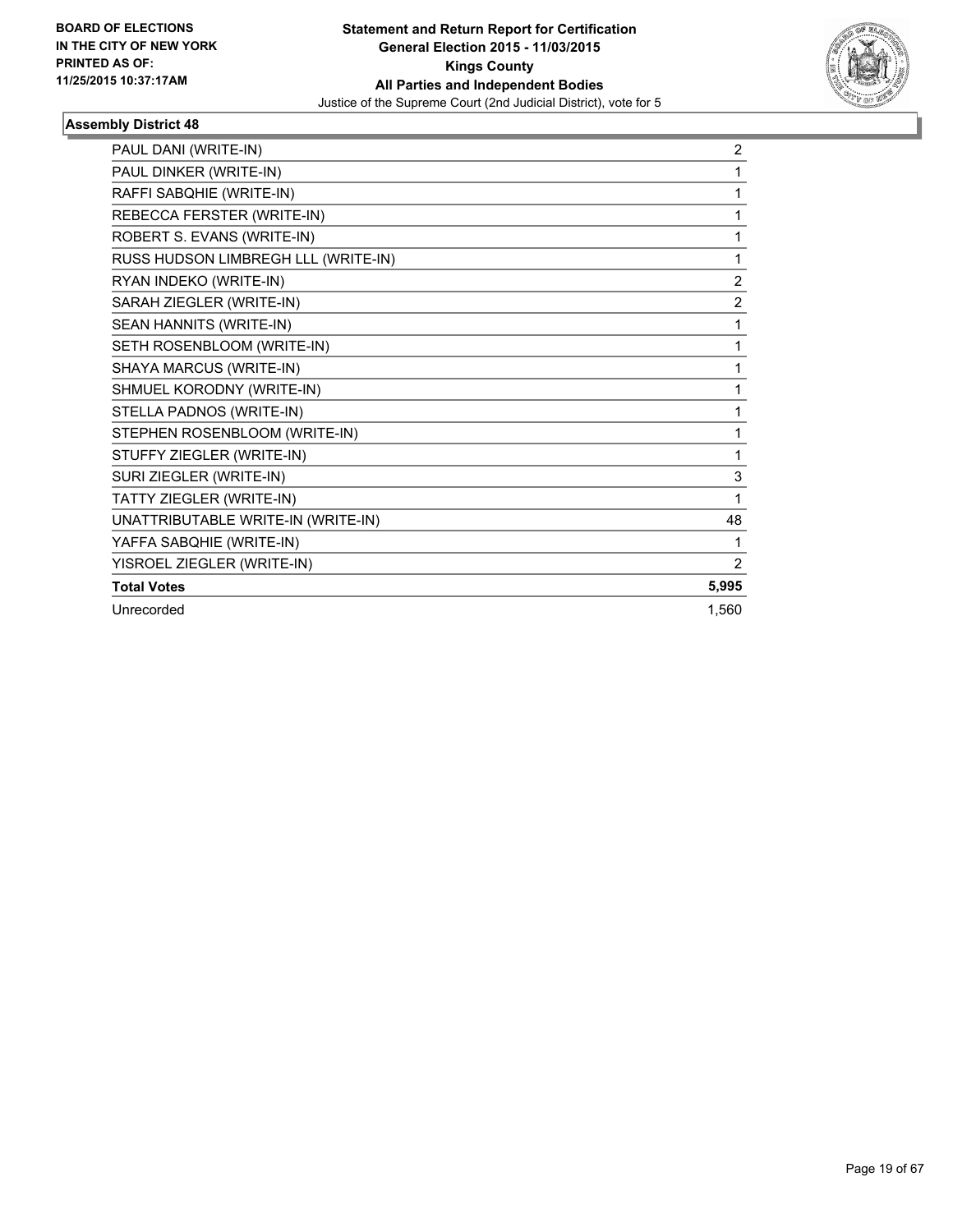

| PAUL DANI (WRITE-IN)                | 2              |
|-------------------------------------|----------------|
| PAUL DINKER (WRITE-IN)              | 1              |
| RAFFI SABQHIE (WRITE-IN)            | 1              |
| REBECCA FERSTER (WRITE-IN)          | 1              |
| ROBERT S. EVANS (WRITE-IN)          | 1              |
| RUSS HUDSON LIMBREGH LLL (WRITE-IN) | 1              |
| RYAN INDEKO (WRITE-IN)              | $\overline{2}$ |
| SARAH ZIEGLER (WRITE-IN)            | $\overline{2}$ |
| SEAN HANNITS (WRITE-IN)             | 1              |
| SETH ROSENBLOOM (WRITE-IN)          | 1              |
| SHAYA MARCUS (WRITE-IN)             | 1              |
| SHMUEL KORODNY (WRITE-IN)           | 1              |
| STELLA PADNOS (WRITE-IN)            | 1              |
| STEPHEN ROSENBLOOM (WRITE-IN)       | 1              |
| STUFFY ZIEGLER (WRITE-IN)           | 1              |
| SURI ZIEGLER (WRITE-IN)             | 3              |
| TATTY ZIEGLER (WRITE-IN)            | 1              |
| UNATTRIBUTABLE WRITE-IN (WRITE-IN)  | 48             |
| YAFFA SABQHIE (WRITE-IN)            | 1              |
| YISROEL ZIEGLER (WRITE-IN)          | $\overline{2}$ |
| <b>Total Votes</b>                  | 5,995          |
| Unrecorded                          | 1.560          |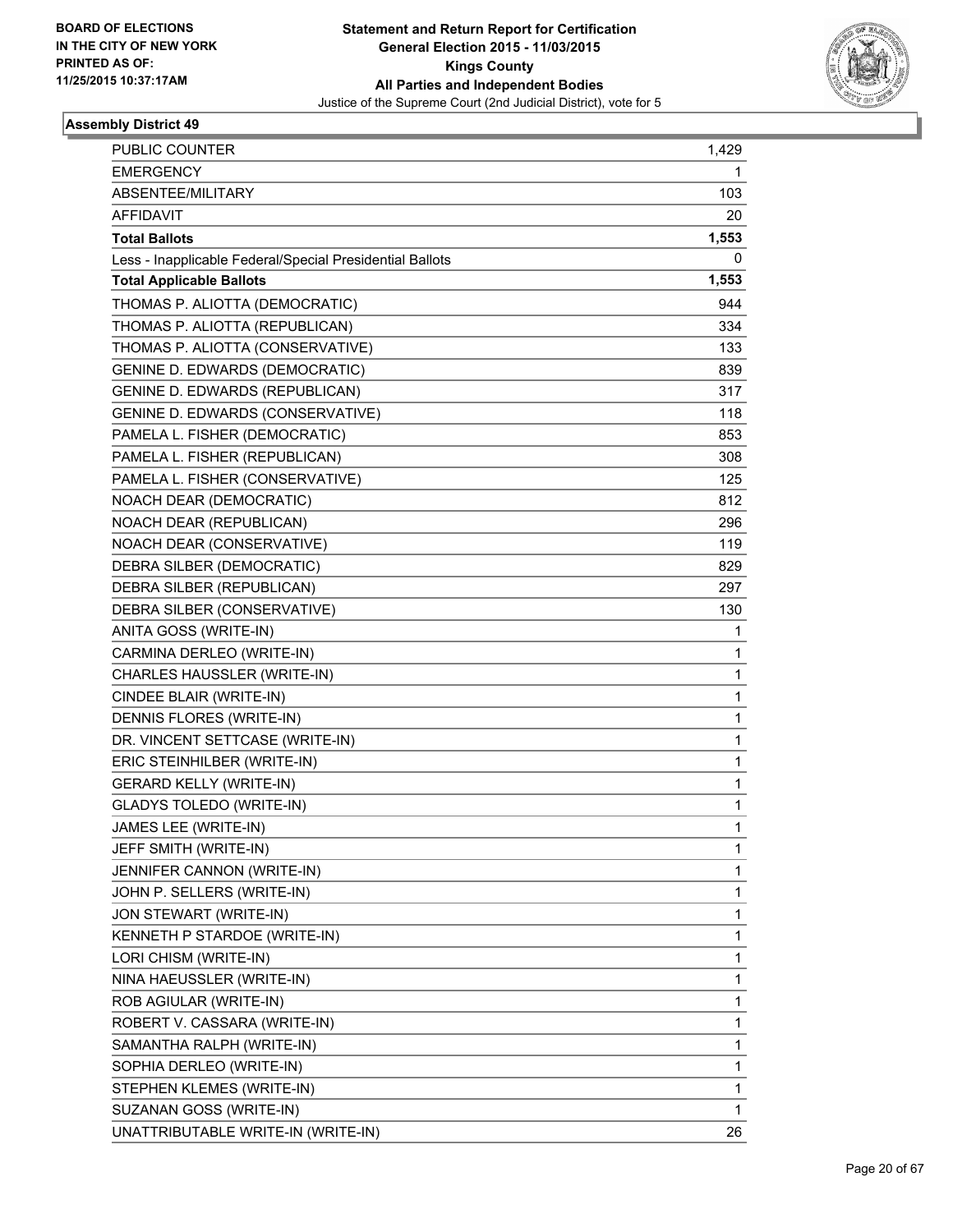

| <b>PUBLIC COUNTER</b>                                    | 1,429 |
|----------------------------------------------------------|-------|
| <b>EMERGENCY</b>                                         | 1     |
| ABSENTEE/MILITARY                                        | 103   |
| <b>AFFIDAVIT</b>                                         | 20    |
| <b>Total Ballots</b>                                     | 1,553 |
| Less - Inapplicable Federal/Special Presidential Ballots | 0     |
| <b>Total Applicable Ballots</b>                          | 1,553 |
| THOMAS P. ALIOTTA (DEMOCRATIC)                           | 944   |
| THOMAS P. ALIOTTA (REPUBLICAN)                           | 334   |
| THOMAS P. ALIOTTA (CONSERVATIVE)                         | 133   |
| GENINE D. EDWARDS (DEMOCRATIC)                           | 839   |
| <b>GENINE D. EDWARDS (REPUBLICAN)</b>                    | 317   |
| GENINE D. EDWARDS (CONSERVATIVE)                         | 118   |
| PAMELA L. FISHER (DEMOCRATIC)                            | 853   |
| PAMELA L. FISHER (REPUBLICAN)                            | 308   |
| PAMELA L. FISHER (CONSERVATIVE)                          | 125   |
| NOACH DEAR (DEMOCRATIC)                                  | 812   |
| NOACH DEAR (REPUBLICAN)                                  | 296   |
| NOACH DEAR (CONSERVATIVE)                                | 119   |
| DEBRA SILBER (DEMOCRATIC)                                | 829   |
| DEBRA SILBER (REPUBLICAN)                                | 297   |
| DEBRA SILBER (CONSERVATIVE)                              | 130   |
| ANITA GOSS (WRITE-IN)                                    | 1     |
| CARMINA DERLEO (WRITE-IN)                                | 1     |
| CHARLES HAUSSLER (WRITE-IN)                              | 1     |
| CINDEE BLAIR (WRITE-IN)                                  | 1     |
| DENNIS FLORES (WRITE-IN)                                 | 1     |
| DR. VINCENT SETTCASE (WRITE-IN)                          | 1     |
| ERIC STEINHILBER (WRITE-IN)                              | 1     |
| <b>GERARD KELLY (WRITE-IN)</b>                           | 1     |
| <b>GLADYS TOLEDO (WRITE-IN)</b>                          | 1     |
| JAMES LEE (WRITE-IN)                                     | 1     |
| JEFF SMITH (WRITE-IN)                                    | 1     |
| JENNIFER CANNON (WRITE-IN)                               | 1     |
| JOHN P. SELLERS (WRITE-IN)                               | 1     |
| JON STEWART (WRITE-IN)                                   | 1     |
| KENNETH P STARDOE (WRITE-IN)                             | 1     |
| LORI CHISM (WRITE-IN)                                    | 1     |
| NINA HAEUSSLER (WRITE-IN)                                | 1     |
| ROB AGIULAR (WRITE-IN)                                   | 1     |
| ROBERT V. CASSARA (WRITE-IN)                             | 1     |
| SAMANTHA RALPH (WRITE-IN)                                | 1     |
| SOPHIA DERLEO (WRITE-IN)                                 | 1     |
| STEPHEN KLEMES (WRITE-IN)                                | 1     |
| SUZANAN GOSS (WRITE-IN)                                  | 1     |
| UNATTRIBUTABLE WRITE-IN (WRITE-IN)                       | 26    |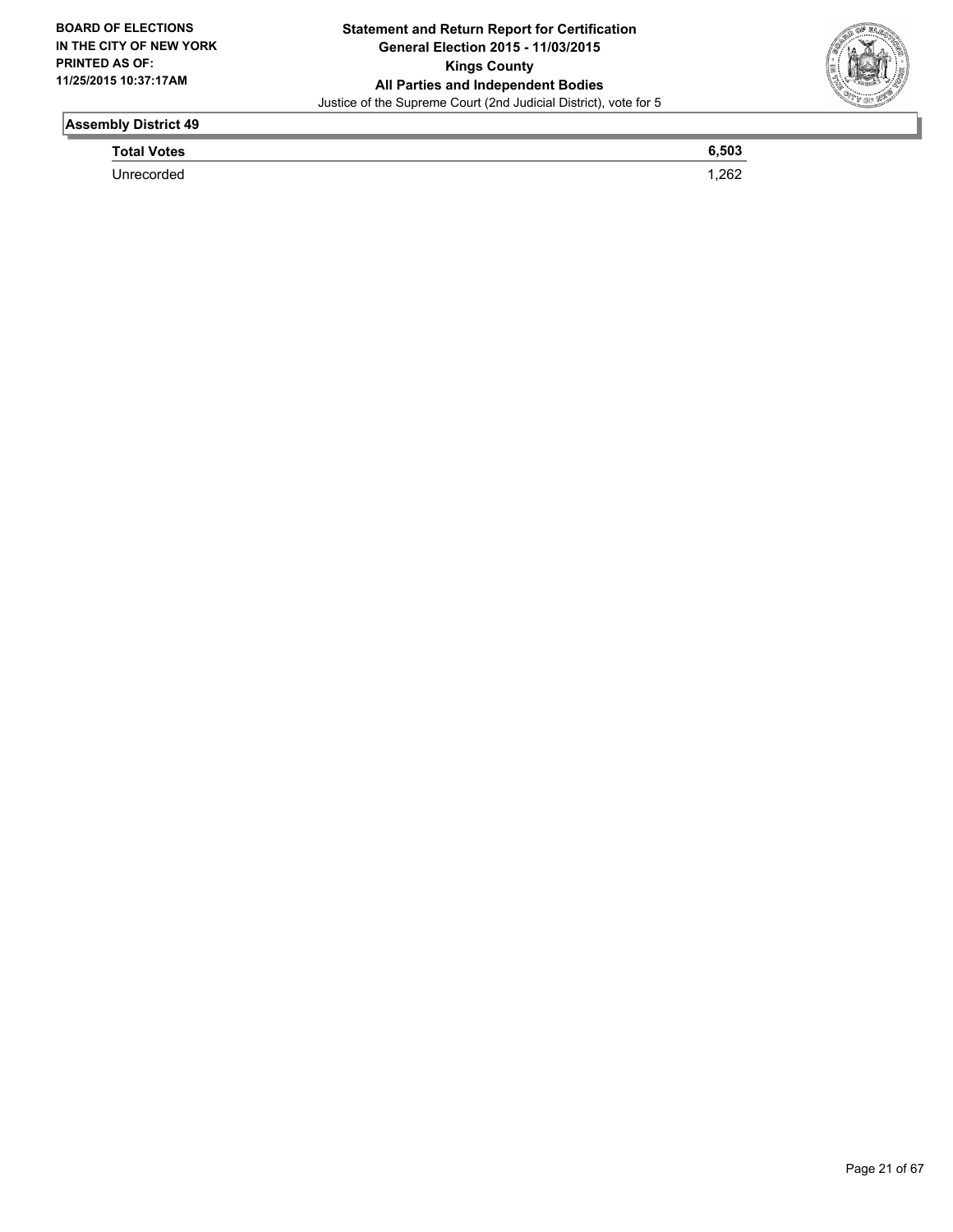

**Total Votes 6,503** 

Unrecorded 1,262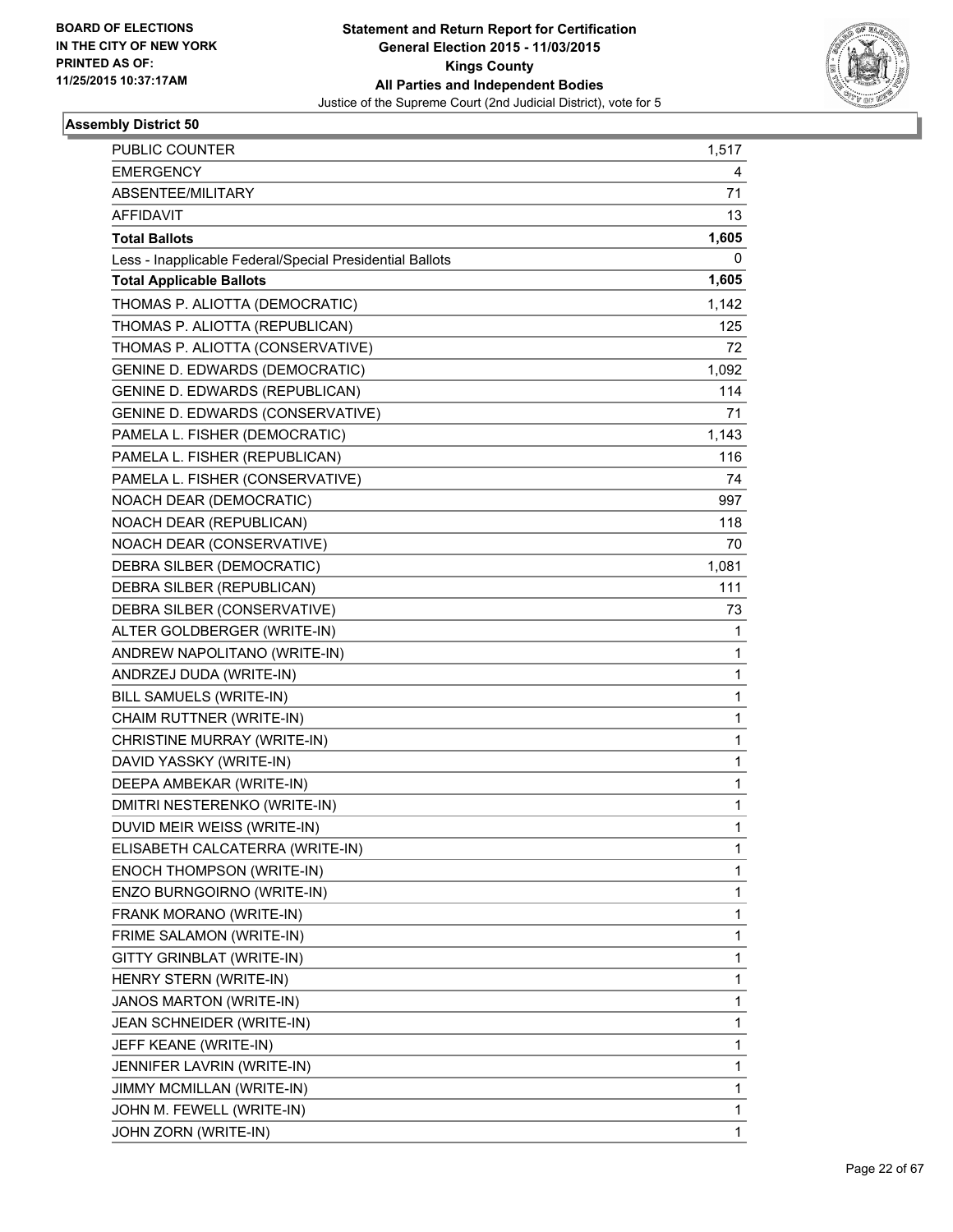

| PUBLIC COUNTER                                           | 1,517 |
|----------------------------------------------------------|-------|
| <b>EMERGENCY</b>                                         | 4     |
| ABSENTEE/MILITARY                                        | 71    |
| <b>AFFIDAVIT</b>                                         | 13    |
| <b>Total Ballots</b>                                     | 1,605 |
| Less - Inapplicable Federal/Special Presidential Ballots | 0     |
| <b>Total Applicable Ballots</b>                          | 1,605 |
| THOMAS P. ALIOTTA (DEMOCRATIC)                           | 1,142 |
| THOMAS P. ALIOTTA (REPUBLICAN)                           | 125   |
| THOMAS P. ALIOTTA (CONSERVATIVE)                         | 72    |
| <b>GENINE D. EDWARDS (DEMOCRATIC)</b>                    | 1,092 |
| <b>GENINE D. EDWARDS (REPUBLICAN)</b>                    | 114   |
| GENINE D. EDWARDS (CONSERVATIVE)                         | 71    |
| PAMELA L. FISHER (DEMOCRATIC)                            | 1,143 |
| PAMELA L. FISHER (REPUBLICAN)                            | 116   |
| PAMELA L. FISHER (CONSERVATIVE)                          | 74    |
| NOACH DEAR (DEMOCRATIC)                                  | 997   |
| NOACH DEAR (REPUBLICAN)                                  | 118   |
| NOACH DEAR (CONSERVATIVE)                                | 70    |
| DEBRA SILBER (DEMOCRATIC)                                | 1,081 |
| DEBRA SILBER (REPUBLICAN)                                | 111   |
| DEBRA SILBER (CONSERVATIVE)                              | 73    |
| ALTER GOLDBERGER (WRITE-IN)                              | 1     |
| ANDREW NAPOLITANO (WRITE-IN)                             | 1     |
| ANDRZEJ DUDA (WRITE-IN)                                  | 1     |
| BILL SAMUELS (WRITE-IN)                                  | 1     |
| CHAIM RUTTNER (WRITE-IN)                                 | 1     |
| CHRISTINE MURRAY (WRITE-IN)                              | 1     |
| DAVID YASSKY (WRITE-IN)                                  | 1     |
| DEEPA AMBEKAR (WRITE-IN)                                 | 1     |
| DMITRI NESTERENKO (WRITE-IN)                             | 1     |
| DUVID MEIR WEISS (WRITE-IN)                              | 1     |
| ELISABETH CALCATERRA (WRITE-IN)                          | 1     |
| ENOCH THOMPSON (WRITE-IN)                                | 1     |
| ENZO BURNGOIRNO (WRITE-IN)                               | 1     |
| FRANK MORANO (WRITE-IN)                                  | 1     |
| FRIME SALAMON (WRITE-IN)                                 | 1     |
| GITTY GRINBLAT (WRITE-IN)                                | 1     |
| HENRY STERN (WRITE-IN)                                   | 1     |
| JANOS MARTON (WRITE-IN)                                  | 1     |
| JEAN SCHNEIDER (WRITE-IN)                                | 1     |
| JEFF KEANE (WRITE-IN)                                    | 1     |
| JENNIFER LAVRIN (WRITE-IN)                               | 1     |
| JIMMY MCMILLAN (WRITE-IN)                                | 1     |
| JOHN M. FEWELL (WRITE-IN)                                | 1     |
| JOHN ZORN (WRITE-IN)                                     | 1     |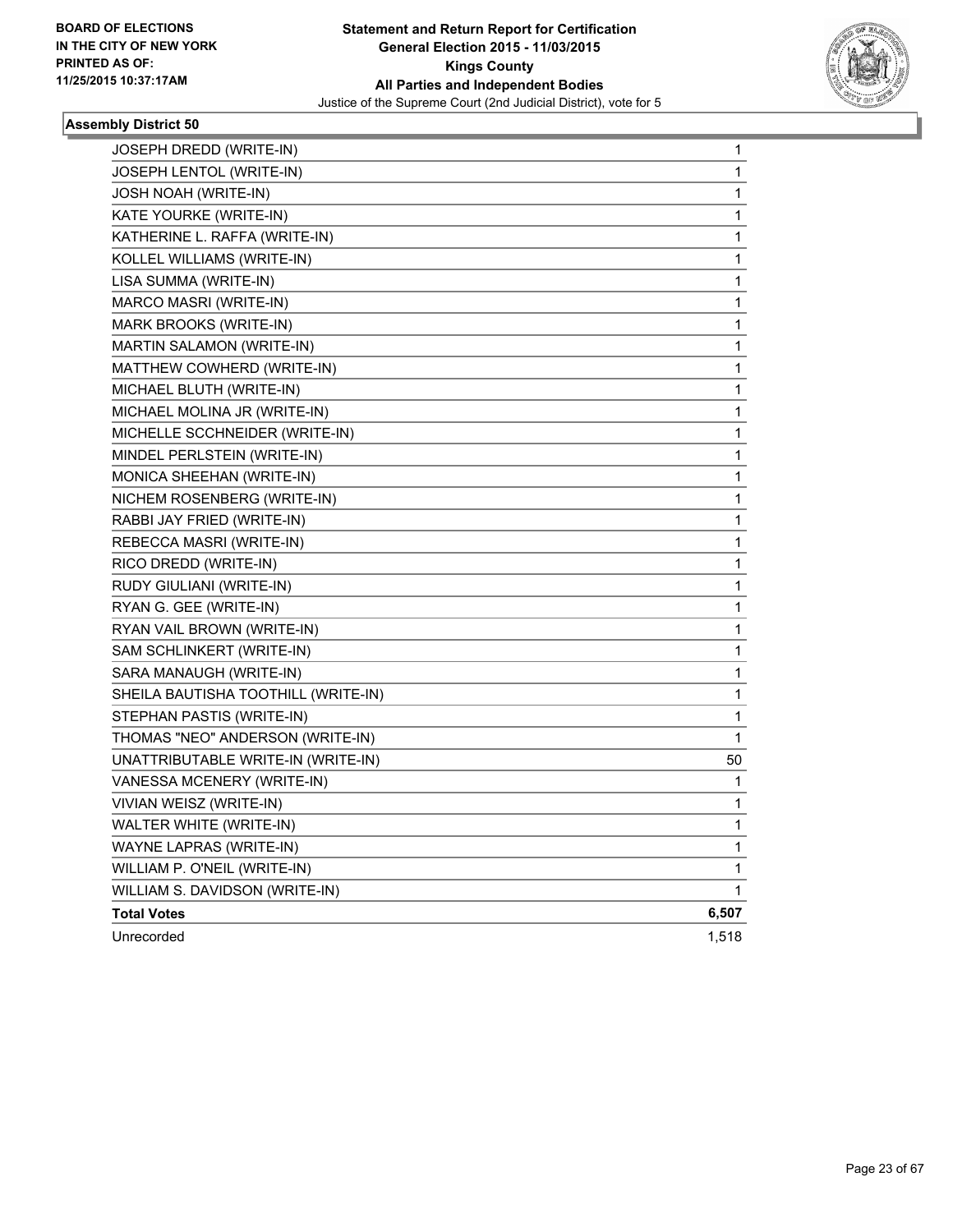

| <b>JOSEPH DREDD (WRITE-IN)</b>      | $\mathbf 1$ |
|-------------------------------------|-------------|
| JOSEPH LENTOL (WRITE-IN)            | 1           |
| <b>JOSH NOAH (WRITE-IN)</b>         | 1           |
| KATE YOURKE (WRITE-IN)              | 1           |
| KATHERINE L. RAFFA (WRITE-IN)       | 1           |
| KOLLEL WILLIAMS (WRITE-IN)          | 1           |
| LISA SUMMA (WRITE-IN)               | 1           |
| MARCO MASRI (WRITE-IN)              | 1           |
| MARK BROOKS (WRITE-IN)              | 1           |
| MARTIN SALAMON (WRITE-IN)           | 1           |
| MATTHEW COWHERD (WRITE-IN)          | 1           |
| MICHAEL BLUTH (WRITE-IN)            | 1           |
| MICHAEL MOLINA JR (WRITE-IN)        | 1           |
| MICHELLE SCCHNEIDER (WRITE-IN)      | 1           |
| MINDEL PERLSTEIN (WRITE-IN)         | 1           |
| MONICA SHEEHAN (WRITE-IN)           | 1           |
| NICHEM ROSENBERG (WRITE-IN)         | 1           |
| RABBI JAY FRIED (WRITE-IN)          | 1           |
| REBECCA MASRI (WRITE-IN)            | 1           |
| RICO DREDD (WRITE-IN)               | 1           |
| RUDY GIULIANI (WRITE-IN)            | 1           |
| RYAN G. GEE (WRITE-IN)              | 1           |
| RYAN VAIL BROWN (WRITE-IN)          | 1           |
| SAM SCHLINKERT (WRITE-IN)           | 1           |
| SARA MANAUGH (WRITE-IN)             | 1           |
| SHEILA BAUTISHA TOOTHILL (WRITE-IN) | 1           |
| STEPHAN PASTIS (WRITE-IN)           | 1           |
| THOMAS "NEO" ANDERSON (WRITE-IN)    | 1           |
| UNATTRIBUTABLE WRITE-IN (WRITE-IN)  | 50          |
| VANESSA MCENERY (WRITE-IN)          | 1           |
| VIVIAN WEISZ (WRITE-IN)             | 1           |
| WALTER WHITE (WRITE-IN)             | 1           |
| WAYNE LAPRAS (WRITE-IN)             | 1           |
| WILLIAM P. O'NEIL (WRITE-IN)        | 1           |
| WILLIAM S. DAVIDSON (WRITE-IN)      | 1           |
| <b>Total Votes</b>                  | 6,507       |
| Unrecorded                          | 1,518       |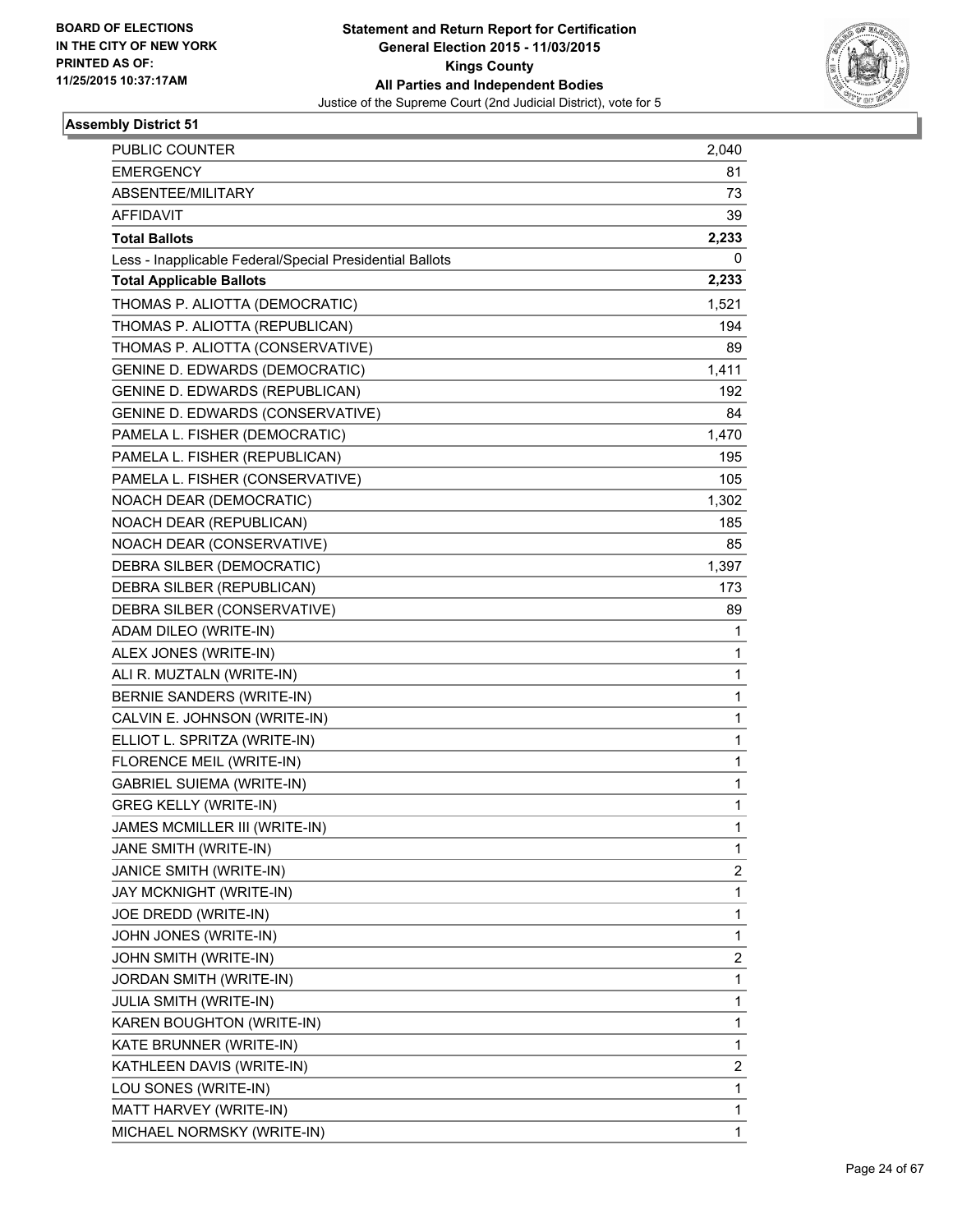

| PUBLIC COUNTER                                           | 2,040 |
|----------------------------------------------------------|-------|
| <b>EMERGENCY</b>                                         | 81    |
| ABSENTEE/MILITARY                                        | 73    |
| <b>AFFIDAVIT</b>                                         | 39    |
| <b>Total Ballots</b>                                     | 2,233 |
| Less - Inapplicable Federal/Special Presidential Ballots | 0     |
| <b>Total Applicable Ballots</b>                          | 2,233 |
| THOMAS P. ALIOTTA (DEMOCRATIC)                           | 1,521 |
| THOMAS P. ALIOTTA (REPUBLICAN)                           | 194   |
| THOMAS P. ALIOTTA (CONSERVATIVE)                         | 89    |
| <b>GENINE D. EDWARDS (DEMOCRATIC)</b>                    | 1,411 |
| <b>GENINE D. EDWARDS (REPUBLICAN)</b>                    | 192   |
| GENINE D. EDWARDS (CONSERVATIVE)                         | 84    |
| PAMELA L. FISHER (DEMOCRATIC)                            | 1,470 |
| PAMELA L. FISHER (REPUBLICAN)                            | 195   |
| PAMELA L. FISHER (CONSERVATIVE)                          | 105   |
| NOACH DEAR (DEMOCRATIC)                                  | 1,302 |
| NOACH DEAR (REPUBLICAN)                                  | 185   |
| NOACH DEAR (CONSERVATIVE)                                | 85    |
| DEBRA SILBER (DEMOCRATIC)                                | 1,397 |
| DEBRA SILBER (REPUBLICAN)                                | 173   |
| DEBRA SILBER (CONSERVATIVE)                              | 89    |
| ADAM DILEO (WRITE-IN)                                    | 1     |
| ALEX JONES (WRITE-IN)                                    | 1     |
| ALI R. MUZTALN (WRITE-IN)                                | 1     |
| <b>BERNIE SANDERS (WRITE-IN)</b>                         | 1     |
| CALVIN E. JOHNSON (WRITE-IN)                             | 1     |
| ELLIOT L. SPRITZA (WRITE-IN)                             | 1     |
| FLORENCE MEIL (WRITE-IN)                                 | 1     |
| <b>GABRIEL SUIEMA (WRITE-IN)</b>                         | 1     |
| <b>GREG KELLY (WRITE-IN)</b>                             | 1     |
| JAMES MCMILLER III (WRITE-IN)                            | 1     |
| JANE SMITH (WRITE-IN)                                    | 1     |
| JANICE SMITH (WRITE-IN)                                  | 2     |
| JAY MCKNIGHT (WRITE-IN)                                  | 1     |
| JOE DREDD (WRITE-IN)                                     | 1     |
| JOHN JONES (WRITE-IN)                                    | 1     |
| JOHN SMITH (WRITE-IN)                                    | 2     |
| JORDAN SMITH (WRITE-IN)                                  | 1     |
| <b>JULIA SMITH (WRITE-IN)</b>                            | 1     |
| KAREN BOUGHTON (WRITE-IN)                                | 1     |
| KATE BRUNNER (WRITE-IN)                                  | 1     |
| KATHLEEN DAVIS (WRITE-IN)                                | 2     |
| LOU SONES (WRITE-IN)                                     | 1     |
| MATT HARVEY (WRITE-IN)                                   | 1     |
| MICHAEL NORMSKY (WRITE-IN)                               | 1     |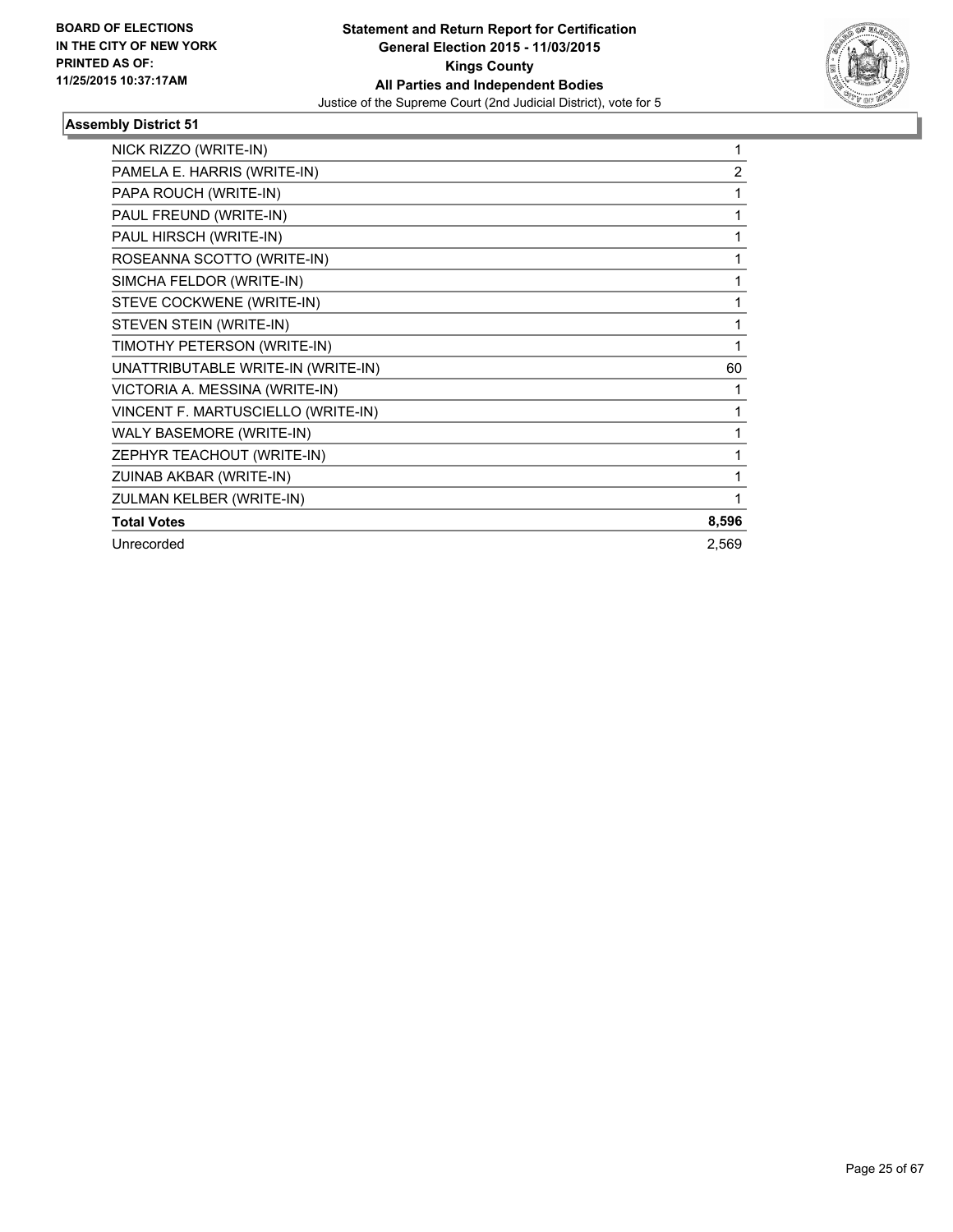

| NICK RIZZO (WRITE-IN)              | 1              |
|------------------------------------|----------------|
| PAMELA E. HARRIS (WRITE-IN)        | $\overline{2}$ |
| PAPA ROUCH (WRITE-IN)              |                |
| PAUL FREUND (WRITE-IN)             |                |
| PAUL HIRSCH (WRITE-IN)             |                |
| ROSEANNA SCOTTO (WRITE-IN)         |                |
| SIMCHA FELDOR (WRITE-IN)           | 1              |
| STEVE COCKWENE (WRITE-IN)          | 1              |
| STEVEN STEIN (WRITE-IN)            | 1              |
| TIMOTHY PETERSON (WRITE-IN)        | 1              |
| UNATTRIBUTABLE WRITE-IN (WRITE-IN) | 60             |
| VICTORIA A. MESSINA (WRITE-IN)     |                |
| VINCENT F. MARTUSCIELLO (WRITE-IN) |                |
| WALY BASEMORE (WRITE-IN)           | 1              |
| ZEPHYR TEACHOUT (WRITE-IN)         |                |
| ZUINAB AKBAR (WRITE-IN)            |                |
| ZULMAN KELBER (WRITE-IN)           |                |
| <b>Total Votes</b>                 | 8,596          |
| Unrecorded                         | 2,569          |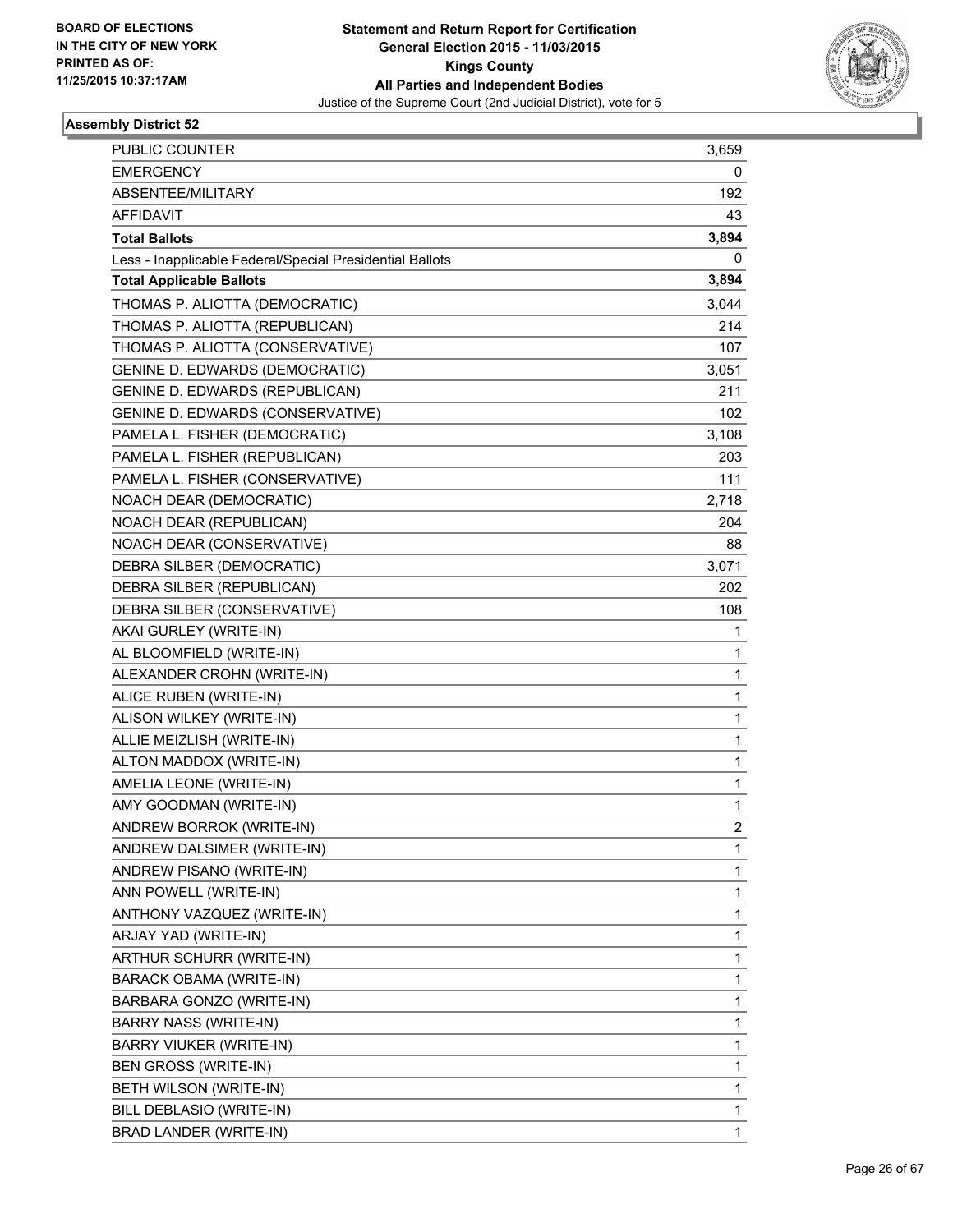

| PUBLIC COUNTER                                           | 3,659 |
|----------------------------------------------------------|-------|
| <b>EMERGENCY</b>                                         | 0     |
| ABSENTEE/MILITARY                                        | 192   |
| <b>AFFIDAVIT</b>                                         | 43    |
| <b>Total Ballots</b>                                     | 3,894 |
| Less - Inapplicable Federal/Special Presidential Ballots | 0     |
| <b>Total Applicable Ballots</b>                          | 3,894 |
| THOMAS P. ALIOTTA (DEMOCRATIC)                           | 3,044 |
| THOMAS P. ALIOTTA (REPUBLICAN)                           | 214   |
| THOMAS P. ALIOTTA (CONSERVATIVE)                         | 107   |
| <b>GENINE D. EDWARDS (DEMOCRATIC)</b>                    | 3,051 |
| <b>GENINE D. EDWARDS (REPUBLICAN)</b>                    | 211   |
| GENINE D. EDWARDS (CONSERVATIVE)                         | 102   |
| PAMELA L. FISHER (DEMOCRATIC)                            | 3,108 |
| PAMELA L. FISHER (REPUBLICAN)                            | 203   |
| PAMELA L. FISHER (CONSERVATIVE)                          | 111   |
| NOACH DEAR (DEMOCRATIC)                                  | 2,718 |
| NOACH DEAR (REPUBLICAN)                                  | 204   |
| NOACH DEAR (CONSERVATIVE)                                | 88    |
| DEBRA SILBER (DEMOCRATIC)                                | 3,071 |
| DEBRA SILBER (REPUBLICAN)                                | 202   |
| DEBRA SILBER (CONSERVATIVE)                              | 108   |
| AKAI GURLEY (WRITE-IN)                                   | 1     |
| AL BLOOMFIELD (WRITE-IN)                                 | 1     |
| ALEXANDER CROHN (WRITE-IN)                               | 1     |
| ALICE RUBEN (WRITE-IN)                                   | 1     |
| ALISON WILKEY (WRITE-IN)                                 | 1     |
| ALLIE MEIZLISH (WRITE-IN)                                | 1     |
| ALTON MADDOX (WRITE-IN)                                  | 1     |
| AMELIA LEONE (WRITE-IN)                                  | 1     |
| AMY GOODMAN (WRITE-IN)                                   | 1     |
| ANDREW BORROK (WRITE-IN)                                 | 2     |
| ANDREW DALSIMER (WRITE-IN)                               | 1     |
| ANDREW PISANO (WRITE-IN)                                 | 1     |
| ANN POWELL (WRITE-IN)                                    | 1     |
| ANTHONY VAZQUEZ (WRITE-IN)                               | 1     |
| ARJAY YAD (WRITE-IN)                                     | 1     |
| ARTHUR SCHURR (WRITE-IN)                                 | 1     |
| <b>BARACK OBAMA (WRITE-IN)</b>                           | 1     |
| BARBARA GONZO (WRITE-IN)                                 | 1     |
| BARRY NASS (WRITE-IN)                                    | 1     |
| BARRY VIUKER (WRITE-IN)                                  | 1     |
| BEN GROSS (WRITE-IN)                                     | 1     |
| BETH WILSON (WRITE-IN)                                   | 1     |
| BILL DEBLASIO (WRITE-IN)                                 | 1     |
| BRAD LANDER (WRITE-IN)                                   | 1     |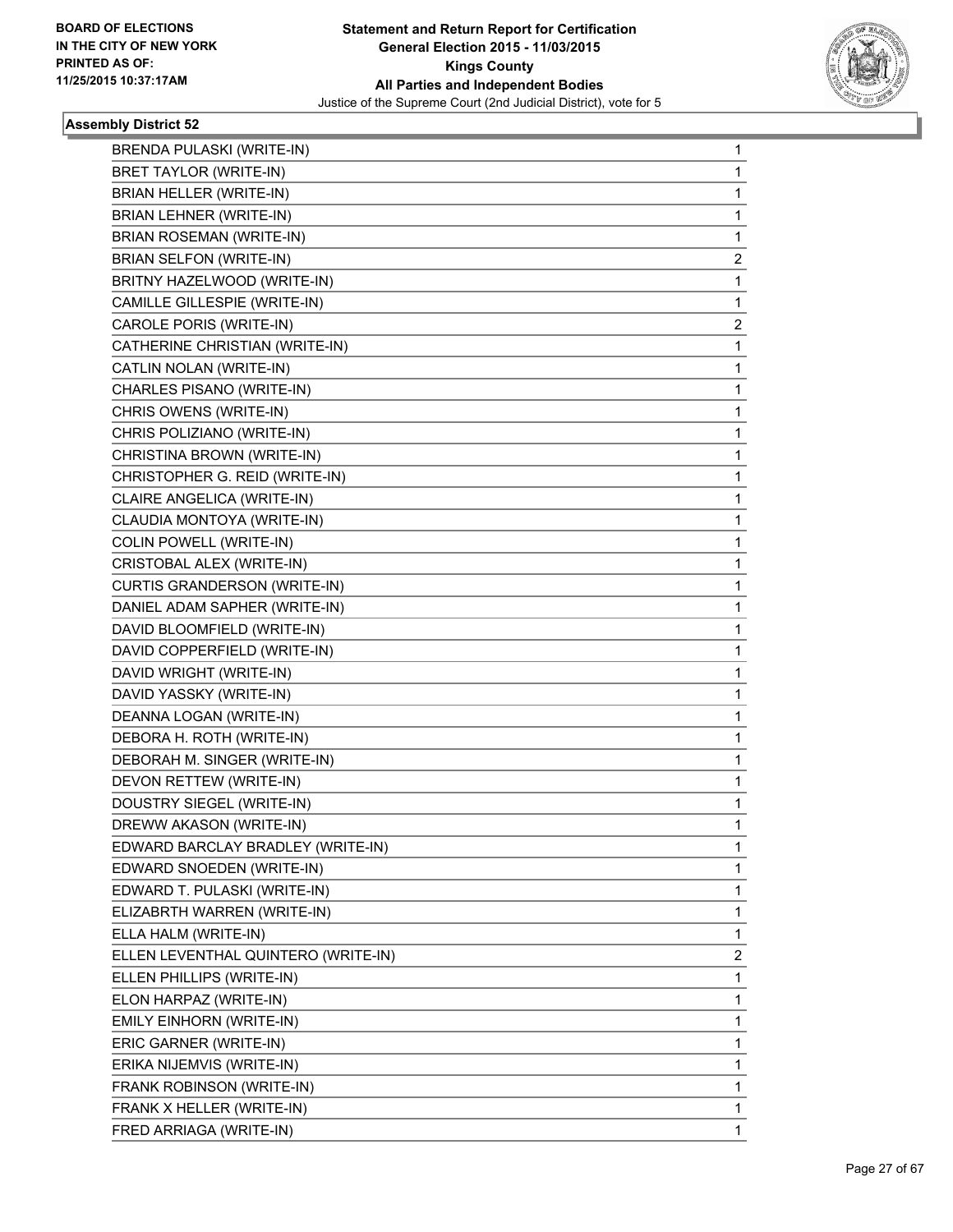

| BRENDA PULASKI (WRITE-IN)           | 1            |
|-------------------------------------|--------------|
| <b>BRET TAYLOR (WRITE-IN)</b>       | 1            |
| BRIAN HELLER (WRITE-IN)             | 1            |
| <b>BRIAN LEHNER (WRITE-IN)</b>      | $\mathbf{1}$ |
| BRIAN ROSEMAN (WRITE-IN)            | 1            |
| BRIAN SELFON (WRITE-IN)             | 2            |
| BRITNY HAZELWOOD (WRITE-IN)         | 1            |
| CAMILLE GILLESPIE (WRITE-IN)        | 1            |
| CAROLE PORIS (WRITE-IN)             | 2            |
| CATHERINE CHRISTIAN (WRITE-IN)      | $\mathbf{1}$ |
| CATLIN NOLAN (WRITE-IN)             | 1            |
| CHARLES PISANO (WRITE-IN)           | 1            |
| CHRIS OWENS (WRITE-IN)              | 1            |
| CHRIS POLIZIANO (WRITE-IN)          | 1            |
| CHRISTINA BROWN (WRITE-IN)          | 1            |
| CHRISTOPHER G. REID (WRITE-IN)      | $\mathbf{1}$ |
| CLAIRE ANGELICA (WRITE-IN)          | 1            |
| CLAUDIA MONTOYA (WRITE-IN)          | 1            |
| COLIN POWELL (WRITE-IN)             | 1            |
| CRISTOBAL ALEX (WRITE-IN)           | 1            |
| CURTIS GRANDERSON (WRITE-IN)        | 1            |
| DANIEL ADAM SAPHER (WRITE-IN)       | $\mathbf{1}$ |
| DAVID BLOOMFIELD (WRITE-IN)         | 1            |
| DAVID COPPERFIELD (WRITE-IN)        | 1            |
| DAVID WRIGHT (WRITE-IN)             | 1            |
| DAVID YASSKY (WRITE-IN)             | 1            |
| DEANNA LOGAN (WRITE-IN)             | 1            |
| DEBORA H. ROTH (WRITE-IN)           | $\mathbf{1}$ |
| DEBORAH M. SINGER (WRITE-IN)        | 1            |
| DEVON RETTEW (WRITE-IN)             | 1            |
| DOUSTRY SIEGEL (WRITE-IN)           | 1            |
| DREWW AKASON (WRITE-IN)             | 1            |
| EDWARD BARCLAY BRADLEY (WRITE-IN)   | 1            |
| EDWARD SNOEDEN (WRITE-IN)           | 1            |
| EDWARD T. PULASKI (WRITE-IN)        | 1            |
| ELIZABRTH WARREN (WRITE-IN)         | 1            |
| ELLA HALM (WRITE-IN)                | 1            |
| ELLEN LEVENTHAL QUINTERO (WRITE-IN) | 2            |
| ELLEN PHILLIPS (WRITE-IN)           | 1            |
| ELON HARPAZ (WRITE-IN)              | 1            |
| EMILY EINHORN (WRITE-IN)            | 1            |
| ERIC GARNER (WRITE-IN)              | 1            |
| ERIKA NIJEMVIS (WRITE-IN)           | 1            |
| FRANK ROBINSON (WRITE-IN)           | 1            |
| FRANK X HELLER (WRITE-IN)           | 1            |
| FRED ARRIAGA (WRITE-IN)             | 1            |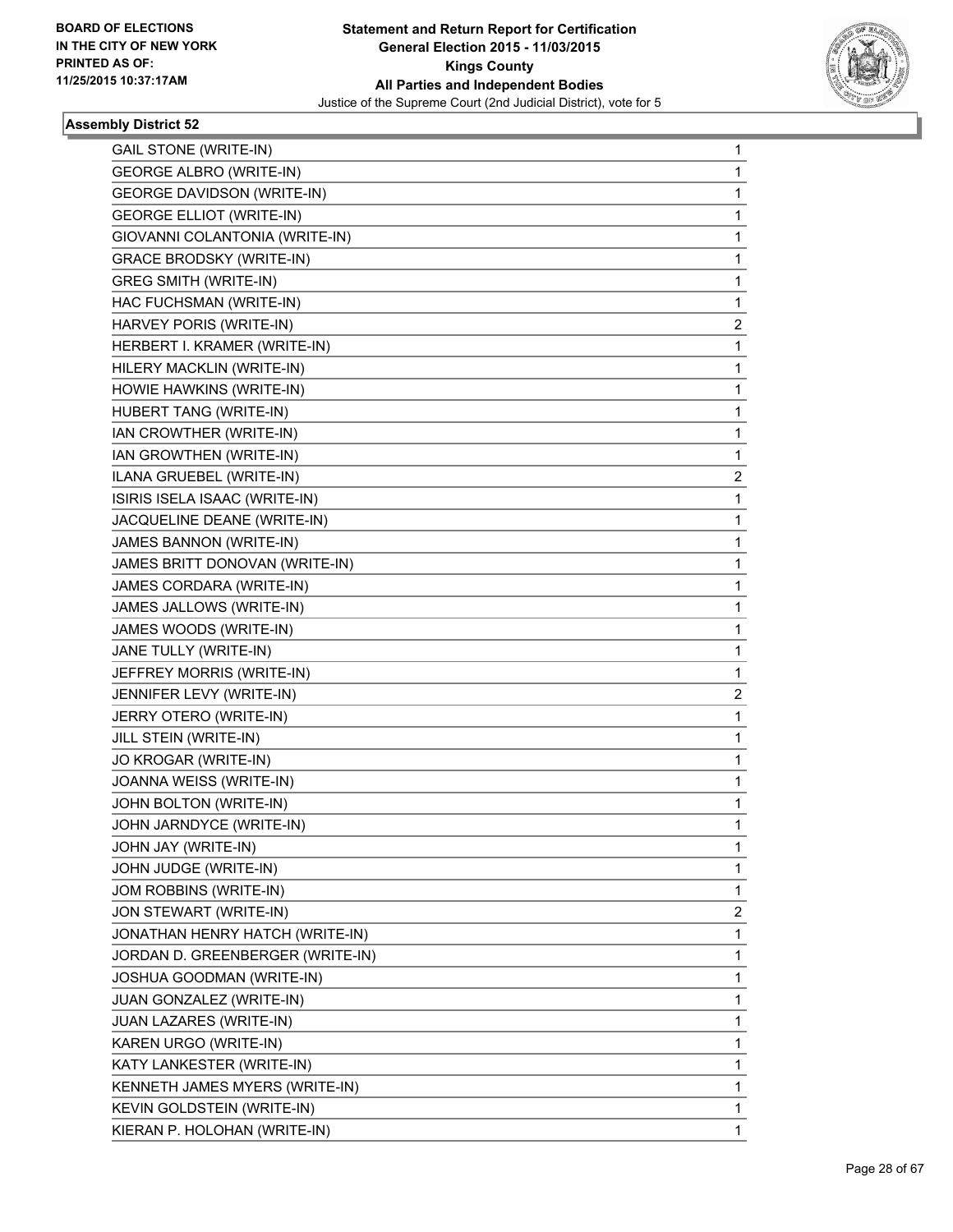

| <b>GAIL STONE (WRITE-IN)</b>                       | 1                       |
|----------------------------------------------------|-------------------------|
| <b>GEORGE ALBRO (WRITE-IN)</b>                     | 1                       |
| <b>GEORGE DAVIDSON (WRITE-IN)</b>                  | 1                       |
| <b>GEORGE ELLIOT (WRITE-IN)</b>                    | 1                       |
| GIOVANNI COLANTONIA (WRITE-IN)                     | 1                       |
| <b>GRACE BRODSKY (WRITE-IN)</b>                    | 1                       |
| <b>GREG SMITH (WRITE-IN)</b>                       | 1                       |
| HAC FUCHSMAN (WRITE-IN)                            | 1                       |
| HARVEY PORIS (WRITE-IN)                            | 2                       |
| HERBERT I. KRAMER (WRITE-IN)                       | 1                       |
| HILERY MACKLIN (WRITE-IN)                          | 1                       |
| HOWIE HAWKINS (WRITE-IN)                           | 1                       |
| HUBERT TANG (WRITE-IN)                             | 1                       |
| IAN CROWTHER (WRITE-IN)                            | 1                       |
| IAN GROWTHEN (WRITE-IN)                            | 1                       |
| ILANA GRUEBEL (WRITE-IN)                           | 2                       |
| ISIRIS ISELA ISAAC (WRITE-IN)                      | 1                       |
| JACQUELINE DEANE (WRITE-IN)                        | 1                       |
| JAMES BANNON (WRITE-IN)                            | 1                       |
| JAMES BRITT DONOVAN (WRITE-IN)                     | 1                       |
| JAMES CORDARA (WRITE-IN)                           | 1                       |
| JAMES JALLOWS (WRITE-IN)                           | 1                       |
| JAMES WOODS (WRITE-IN)                             | 1                       |
|                                                    |                         |
|                                                    | 1                       |
| JANE TULLY (WRITE-IN)<br>JEFFREY MORRIS (WRITE-IN) | 1                       |
| JENNIFER LEVY (WRITE-IN)                           | 2                       |
| JERRY OTERO (WRITE-IN)                             | 1                       |
| JILL STEIN (WRITE-IN)                              | 1                       |
| JO KROGAR (WRITE-IN)                               | 1                       |
| JOANNA WEISS (WRITE-IN)                            | 1                       |
| JOHN BOLTON (WRITE-IN)                             | 1                       |
| JOHN JARNDYCE (WRITE-IN)                           | 1                       |
| JOHN JAY (WRITE-IN)                                | 1                       |
| JOHN JUDGE (WRITE-IN)                              | 1                       |
| JOM ROBBINS (WRITE-IN)                             | 1                       |
| JON STEWART (WRITE-IN)                             | $\overline{\mathbf{c}}$ |
| JONATHAN HENRY HATCH (WRITE-IN)                    | 1                       |
| JORDAN D. GREENBERGER (WRITE-IN)                   | 1                       |
| JOSHUA GOODMAN (WRITE-IN)                          | 1                       |
| JUAN GONZALEZ (WRITE-IN)                           | 1                       |
| JUAN LAZARES (WRITE-IN)                            | 1                       |
| KAREN URGO (WRITE-IN)                              | 1                       |
| KATY LANKESTER (WRITE-IN)                          | 1                       |
| KENNETH JAMES MYERS (WRITE-IN)                     | 1                       |
| KEVIN GOLDSTEIN (WRITE-IN)                         | 1                       |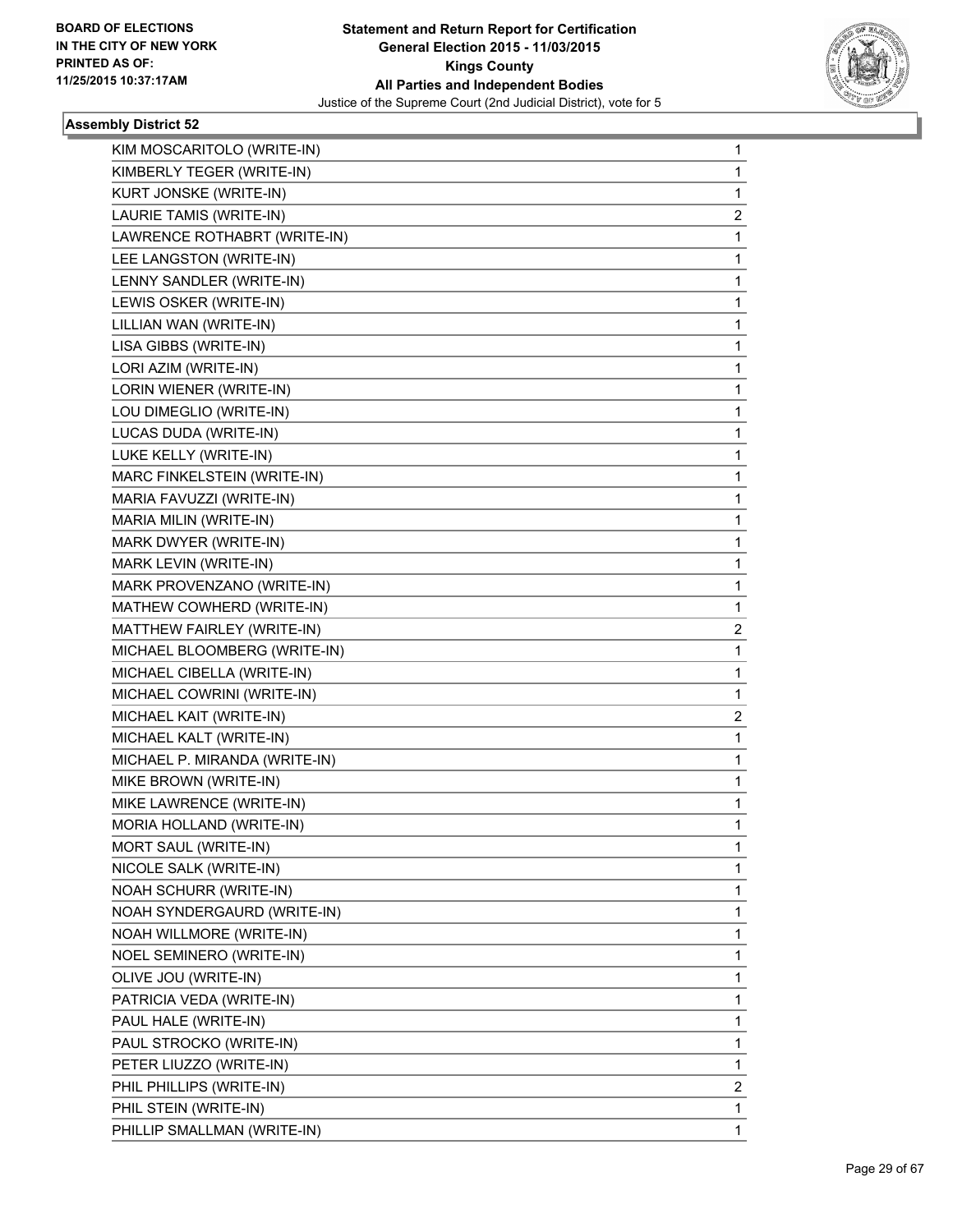

| KIM MOSCARITOLO (WRITE-IN)    | 1              |
|-------------------------------|----------------|
| KIMBERLY TEGER (WRITE-IN)     | 1              |
| KURT JONSKE (WRITE-IN)        | 1              |
| LAURIE TAMIS (WRITE-IN)       | $\overline{c}$ |
| LAWRENCE ROTHABRT (WRITE-IN)  | 1              |
| LEE LANGSTON (WRITE-IN)       | 1              |
| LENNY SANDLER (WRITE-IN)      | 1              |
| LEWIS OSKER (WRITE-IN)        | 1              |
| LILLIAN WAN (WRITE-IN)        | 1              |
| LISA GIBBS (WRITE-IN)         | 1              |
| LORI AZIM (WRITE-IN)          | 1              |
| LORIN WIENER (WRITE-IN)       | 1              |
| LOU DIMEGLIO (WRITE-IN)       | 1              |
| LUCAS DUDA (WRITE-IN)         | 1              |
| LUKE KELLY (WRITE-IN)         | 1              |
| MARC FINKELSTEIN (WRITE-IN)   | 1              |
| MARIA FAVUZZI (WRITE-IN)      | 1              |
| MARIA MILIN (WRITE-IN)        | 1              |
| MARK DWYER (WRITE-IN)         | 1              |
| MARK LEVIN (WRITE-IN)         | 1              |
| MARK PROVENZANO (WRITE-IN)    | 1              |
| MATHEW COWHERD (WRITE-IN)     | 1              |
| MATTHEW FAIRLEY (WRITE-IN)    | 2              |
| MICHAEL BLOOMBERG (WRITE-IN)  | 1              |
| MICHAEL CIBELLA (WRITE-IN)    | 1              |
| MICHAEL COWRINI (WRITE-IN)    | 1              |
| MICHAEL KAIT (WRITE-IN)       | 2              |
| MICHAEL KALT (WRITE-IN)       | $\mathbf{1}$   |
| MICHAEL P. MIRANDA (WRITE-IN) | 1              |
| MIKE BROWN (WRITE-IN)         | 1              |
| MIKE LAWRENCE (WRITE-IN)      | 1              |
| MORIA HOLLAND (WRITE-IN)      | 1              |
| MORT SAUL (WRITE-IN)          | 1              |
| NICOLE SALK (WRITE-IN)        | 1              |
| NOAH SCHURR (WRITE-IN)        | 1              |
| NOAH SYNDERGAURD (WRITE-IN)   | 1              |
| NOAH WILLMORE (WRITE-IN)      | 1              |
| NOEL SEMINERO (WRITE-IN)      | 1              |
| OLIVE JOU (WRITE-IN)          | 1              |
| PATRICIA VEDA (WRITE-IN)      | 1              |
| PAUL HALE (WRITE-IN)          | 1              |
| PAUL STROCKO (WRITE-IN)       | 1              |
| PETER LIUZZO (WRITE-IN)       | 1              |
| PHIL PHILLIPS (WRITE-IN)      | 2              |
| PHIL STEIN (WRITE-IN)         | 1              |
| PHILLIP SMALLMAN (WRITE-IN)   | 1              |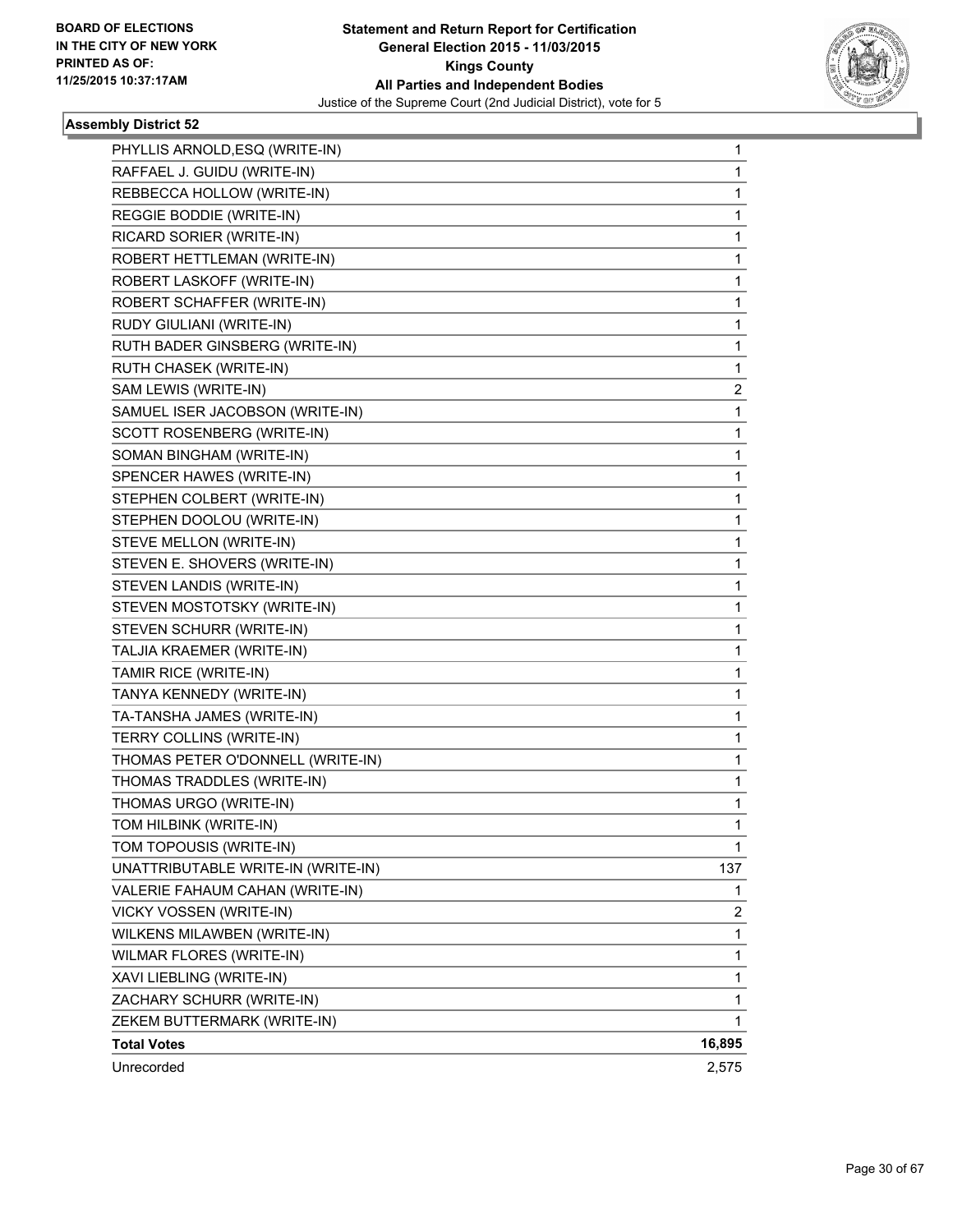

| PHYLLIS ARNOLD, ESQ (WRITE-IN)     | 1      |
|------------------------------------|--------|
| RAFFAEL J. GUIDU (WRITE-IN)        | 1      |
| REBBECCA HOLLOW (WRITE-IN)         | 1      |
| REGGIE BODDIE (WRITE-IN)           | 1      |
| RICARD SORIER (WRITE-IN)           | 1      |
| ROBERT HETTLEMAN (WRITE-IN)        | 1      |
| ROBERT LASKOFF (WRITE-IN)          | 1      |
| ROBERT SCHAFFER (WRITE-IN)         | 1      |
| RUDY GIULIANI (WRITE-IN)           | 1      |
| RUTH BADER GINSBERG (WRITE-IN)     | 1      |
| RUTH CHASEK (WRITE-IN)             | 1      |
| SAM LEWIS (WRITE-IN)               | 2      |
| SAMUEL ISER JACOBSON (WRITE-IN)    | 1      |
| SCOTT ROSENBERG (WRITE-IN)         | 1      |
| SOMAN BINGHAM (WRITE-IN)           | 1      |
| SPENCER HAWES (WRITE-IN)           | 1      |
| STEPHEN COLBERT (WRITE-IN)         | 1      |
| STEPHEN DOOLOU (WRITE-IN)          | 1      |
| STEVE MELLON (WRITE-IN)            | 1      |
| STEVEN E. SHOVERS (WRITE-IN)       | 1      |
| STEVEN LANDIS (WRITE-IN)           | 1      |
| STEVEN MOSTOTSKY (WRITE-IN)        | 1      |
| STEVEN SCHURR (WRITE-IN)           | 1      |
| TALJIA KRAEMER (WRITE-IN)          | 1      |
| TAMIR RICE (WRITE-IN)              | 1      |
| TANYA KENNEDY (WRITE-IN)           | 1      |
| TA-TANSHA JAMES (WRITE-IN)         | 1      |
| TERRY COLLINS (WRITE-IN)           | 1      |
| THOMAS PETER O'DONNELL (WRITE-IN)  | 1      |
| THOMAS TRADDLES (WRITE-IN)         | 1      |
| THOMAS URGO (WRITE-IN)             | 1      |
| TOM HILBINK (WRITE-IN)             | 1      |
| TOM TOPOUSIS (WRITE-IN)            | 1      |
| UNATTRIBUTABLE WRITE-IN (WRITE-IN) | 137    |
| VALERIE FAHAUM CAHAN (WRITE-IN)    | 1      |
| VICKY VOSSEN (WRITE-IN)            | 2      |
| WILKENS MILAWBEN (WRITE-IN)        | 1      |
| WILMAR FLORES (WRITE-IN)           | 1      |
| XAVI LIEBLING (WRITE-IN)           | 1      |
| ZACHARY SCHURR (WRITE-IN)          | 1      |
| ZEKEM BUTTERMARK (WRITE-IN)        | 1      |
| <b>Total Votes</b>                 | 16,895 |
| Unrecorded                         | 2,575  |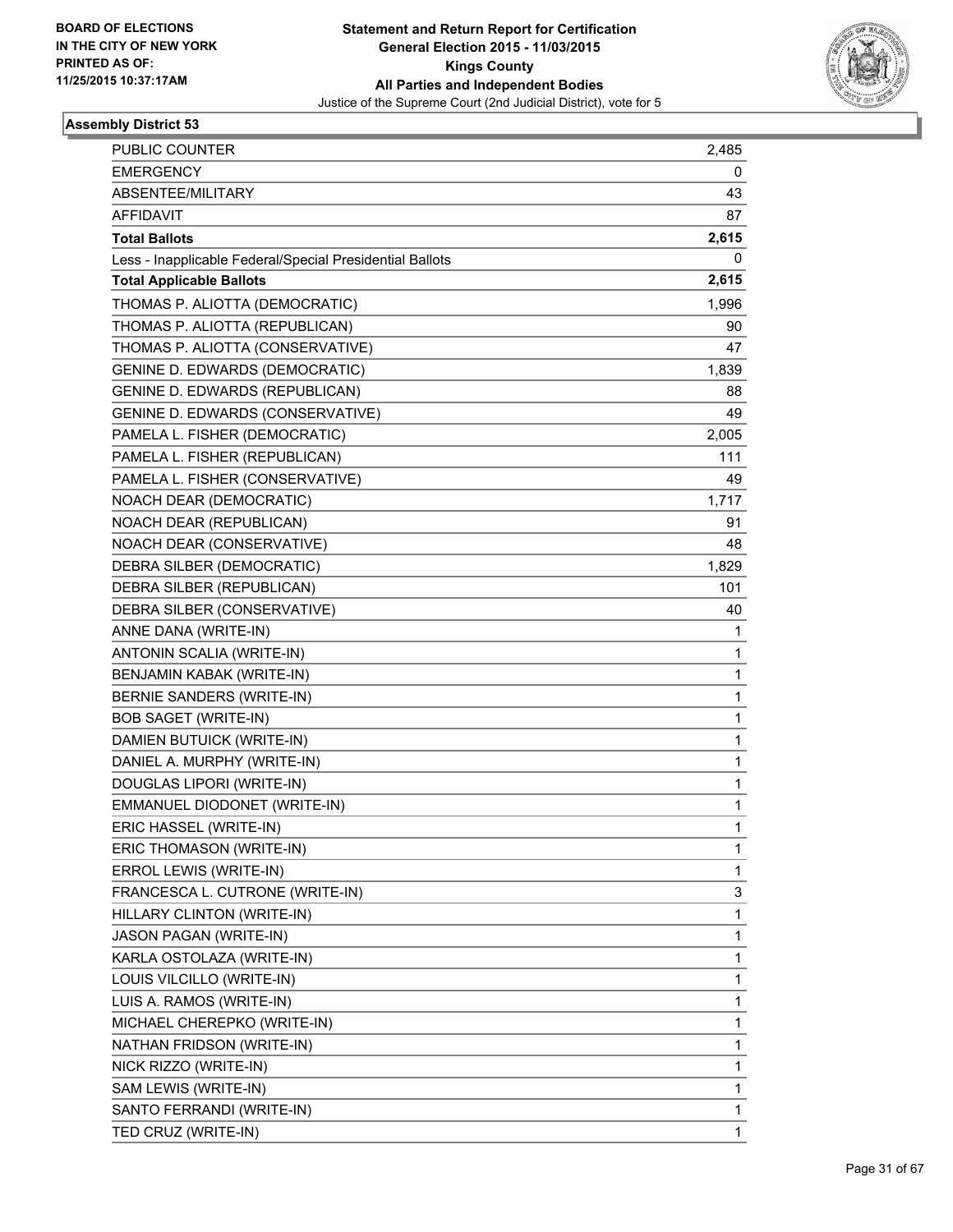

| PUBLIC COUNTER                                           | 2,485 |
|----------------------------------------------------------|-------|
| <b>EMERGENCY</b>                                         | 0     |
| ABSENTEE/MILITARY                                        | 43    |
| <b>AFFIDAVIT</b>                                         | 87    |
| <b>Total Ballots</b>                                     | 2,615 |
| Less - Inapplicable Federal/Special Presidential Ballots | 0     |
| <b>Total Applicable Ballots</b>                          | 2,615 |
| THOMAS P. ALIOTTA (DEMOCRATIC)                           | 1,996 |
| THOMAS P. ALIOTTA (REPUBLICAN)                           | 90    |
| THOMAS P. ALIOTTA (CONSERVATIVE)                         | 47    |
| <b>GENINE D. EDWARDS (DEMOCRATIC)</b>                    | 1,839 |
| GENINE D. EDWARDS (REPUBLICAN)                           | 88    |
| GENINE D. EDWARDS (CONSERVATIVE)                         | 49    |
| PAMELA L. FISHER (DEMOCRATIC)                            | 2,005 |
| PAMELA L. FISHER (REPUBLICAN)                            | 111   |
| PAMELA L. FISHER (CONSERVATIVE)                          | 49    |
| NOACH DEAR (DEMOCRATIC)                                  | 1,717 |
| NOACH DEAR (REPUBLICAN)                                  | 91    |
| NOACH DEAR (CONSERVATIVE)                                | 48    |
| DEBRA SILBER (DEMOCRATIC)                                | 1,829 |
| DEBRA SILBER (REPUBLICAN)                                | 101   |
| DEBRA SILBER (CONSERVATIVE)                              | 40    |
| ANNE DANA (WRITE-IN)                                     | 1     |
| ANTONIN SCALIA (WRITE-IN)                                | 1     |
| BENJAMIN KABAK (WRITE-IN)                                | 1     |
| BERNIE SANDERS (WRITE-IN)                                | 1     |
| <b>BOB SAGET (WRITE-IN)</b>                              | 1     |
| DAMIEN BUTUICK (WRITE-IN)                                | 1     |
| DANIEL A. MURPHY (WRITE-IN)                              | 1     |
| DOUGLAS LIPORI (WRITE-IN)                                | 1     |
| EMMANUEL DIODONET (WRITE-IN)                             | 1     |
| ERIC HASSEL (WRITE-IN)                                   | 1     |
| ERIC THOMASON (WRITE-IN)                                 | 1     |
| ERROL LEWIS (WRITE-IN)                                   | 1     |
| FRANCESCA L. CUTRONE (WRITE-IN)                          | 3     |
| HILLARY CLINTON (WRITE-IN)                               | 1     |
| JASON PAGAN (WRITE-IN)                                   | 1     |
| KARLA OSTOLAZA (WRITE-IN)                                | 1     |
| LOUIS VILCILLO (WRITE-IN)                                | 1     |
| LUIS A. RAMOS (WRITE-IN)                                 | 1     |
| MICHAEL CHEREPKO (WRITE-IN)                              | 1     |
| NATHAN FRIDSON (WRITE-IN)                                | 1     |
| NICK RIZZO (WRITE-IN)                                    | 1     |
| SAM LEWIS (WRITE-IN)                                     | 1     |
| SANTO FERRANDI (WRITE-IN)                                | 1     |
| TED CRUZ (WRITE-IN)                                      | 1     |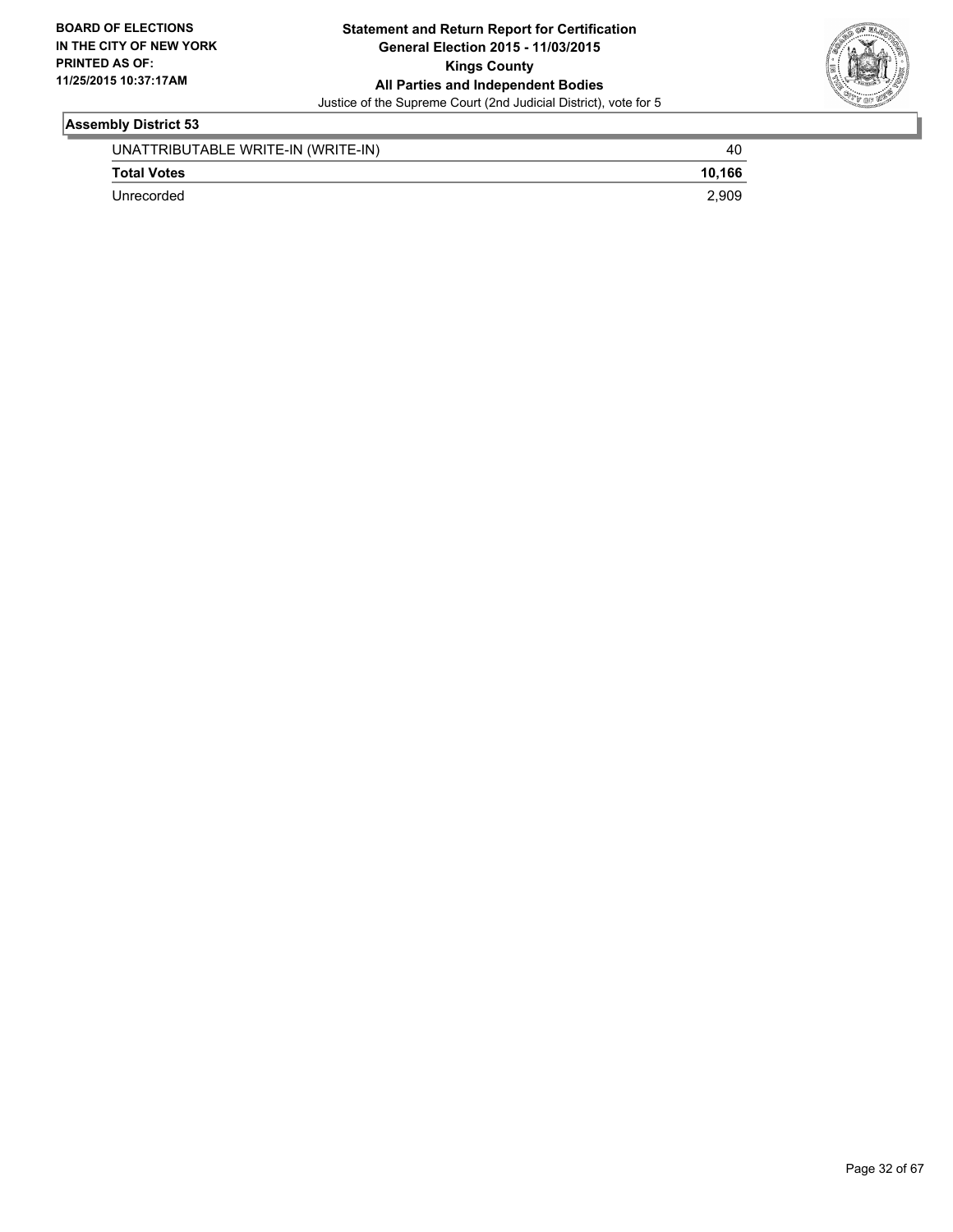

| UNATTRIBUTABLE WRITE-IN (WRITE-IN) | 40     |
|------------------------------------|--------|
| <b>Total Votes</b>                 | 10.166 |
| Unrecorded                         | 2.909  |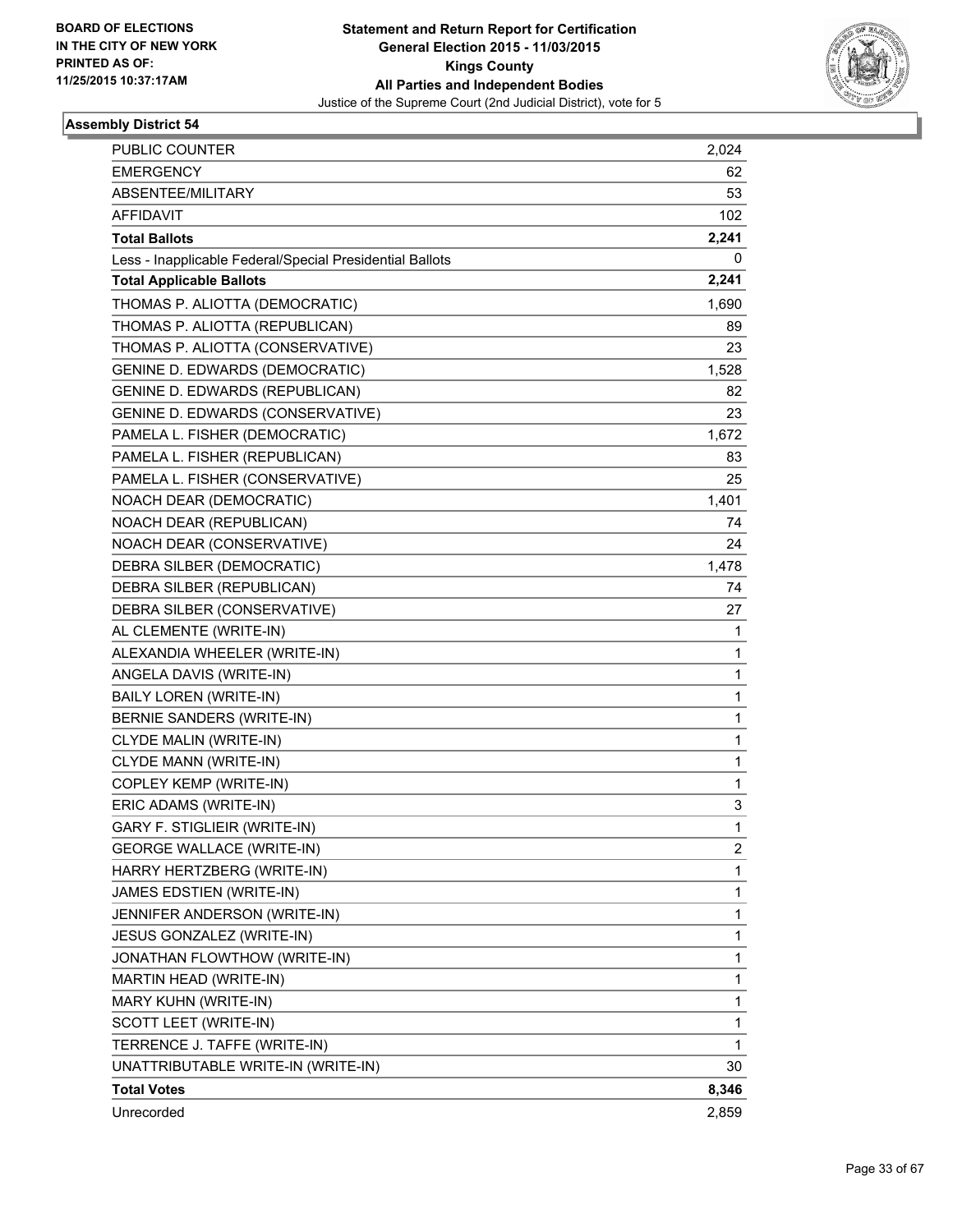

| PUBLIC COUNTER                                           | 2,024 |
|----------------------------------------------------------|-------|
| <b>EMERGENCY</b>                                         | 62    |
| ABSENTEE/MILITARY                                        | 53    |
| <b>AFFIDAVIT</b>                                         | 102   |
| <b>Total Ballots</b>                                     | 2,241 |
| Less - Inapplicable Federal/Special Presidential Ballots | 0     |
| <b>Total Applicable Ballots</b>                          | 2,241 |
| THOMAS P. ALIOTTA (DEMOCRATIC)                           | 1,690 |
| THOMAS P. ALIOTTA (REPUBLICAN)                           | 89    |
| THOMAS P. ALIOTTA (CONSERVATIVE)                         | 23    |
| GENINE D. EDWARDS (DEMOCRATIC)                           | 1,528 |
| <b>GENINE D. EDWARDS (REPUBLICAN)</b>                    | 82    |
| GENINE D. EDWARDS (CONSERVATIVE)                         | 23    |
| PAMELA L. FISHER (DEMOCRATIC)                            | 1,672 |
| PAMELA L. FISHER (REPUBLICAN)                            | 83    |
| PAMELA L. FISHER (CONSERVATIVE)                          | 25    |
| NOACH DEAR (DEMOCRATIC)                                  | 1,401 |
| NOACH DEAR (REPUBLICAN)                                  | 74    |
| NOACH DEAR (CONSERVATIVE)                                | 24    |
| DEBRA SILBER (DEMOCRATIC)                                | 1,478 |
| DEBRA SILBER (REPUBLICAN)                                | 74    |
| DEBRA SILBER (CONSERVATIVE)                              | 27    |
| AL CLEMENTE (WRITE-IN)                                   | 1     |
| ALEXANDIA WHEELER (WRITE-IN)                             | 1     |
| ANGELA DAVIS (WRITE-IN)                                  | 1     |
| <b>BAILY LOREN (WRITE-IN)</b>                            | 1     |
| BERNIE SANDERS (WRITE-IN)                                | 1     |
| CLYDE MALIN (WRITE-IN)                                   | 1     |
| CLYDE MANN (WRITE-IN)                                    | 1     |
| COPLEY KEMP (WRITE-IN)                                   | 1     |
| ERIC ADAMS (WRITE-IN)                                    | 3     |
| GARY F. STIGLIEIR (WRITE-IN)                             | 1     |
| <b>GEORGE WALLACE (WRITE-IN)</b>                         | 2     |
| HARRY HERTZBERG (WRITE-IN)                               | 1     |
| JAMES EDSTIEN (WRITE-IN)                                 | 1     |
| JENNIFER ANDERSON (WRITE-IN)                             | 1     |
| JESUS GONZALEZ (WRITE-IN)                                | 1     |
| JONATHAN FLOWTHOW (WRITE-IN)                             | 1     |
| MARTIN HEAD (WRITE-IN)                                   | 1     |
| MARY KUHN (WRITE-IN)                                     | 1     |
| SCOTT LEET (WRITE-IN)                                    | 1     |
| TERRENCE J. TAFFE (WRITE-IN)                             | 1     |
| UNATTRIBUTABLE WRITE-IN (WRITE-IN)                       | 30    |
| <b>Total Votes</b>                                       | 8,346 |
| Unrecorded                                               | 2,859 |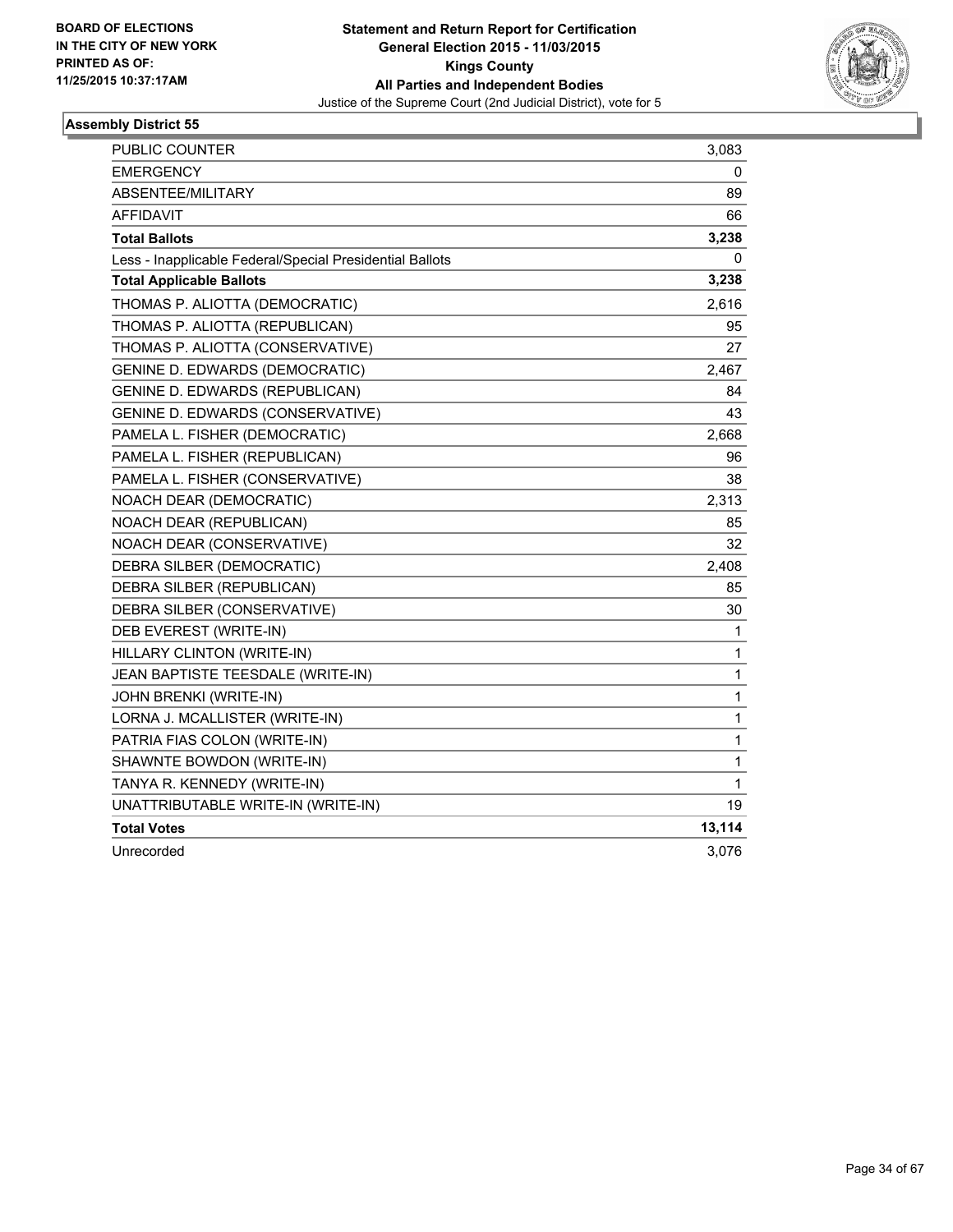

| PUBLIC COUNTER                                           | 3,083        |
|----------------------------------------------------------|--------------|
| <b>EMERGENCY</b>                                         | 0            |
| ABSENTEE/MILITARY                                        | 89           |
| <b>AFFIDAVIT</b>                                         | 66           |
| <b>Total Ballots</b>                                     | 3,238        |
| Less - Inapplicable Federal/Special Presidential Ballots | 0            |
| <b>Total Applicable Ballots</b>                          | 3,238        |
| THOMAS P. ALIOTTA (DEMOCRATIC)                           | 2,616        |
| THOMAS P. ALIOTTA (REPUBLICAN)                           | 95           |
| THOMAS P. ALIOTTA (CONSERVATIVE)                         | 27           |
| <b>GENINE D. EDWARDS (DEMOCRATIC)</b>                    | 2,467        |
| GENINE D. EDWARDS (REPUBLICAN)                           | 84           |
| GENINE D. EDWARDS (CONSERVATIVE)                         | 43           |
| PAMELA L. FISHER (DEMOCRATIC)                            | 2,668        |
| PAMELA L. FISHER (REPUBLICAN)                            | 96           |
| PAMELA L. FISHER (CONSERVATIVE)                          | 38           |
| NOACH DEAR (DEMOCRATIC)                                  | 2,313        |
| NOACH DEAR (REPUBLICAN)                                  | 85           |
| NOACH DEAR (CONSERVATIVE)                                | 32           |
| DEBRA SILBER (DEMOCRATIC)                                | 2,408        |
| DEBRA SILBER (REPUBLICAN)                                | 85           |
| DEBRA SILBER (CONSERVATIVE)                              | 30           |
| DEB EVEREST (WRITE-IN)                                   | 1            |
| HILLARY CLINTON (WRITE-IN)                               | 1            |
| JEAN BAPTISTE TEESDALE (WRITE-IN)                        | 1            |
| JOHN BRENKI (WRITE-IN)                                   | 1            |
| LORNA J. MCALLISTER (WRITE-IN)                           | 1            |
| PATRIA FIAS COLON (WRITE-IN)                             | $\mathbf{1}$ |
| SHAWNTE BOWDON (WRITE-IN)                                | 1            |
| TANYA R. KENNEDY (WRITE-IN)                              | 1            |
| UNATTRIBUTABLE WRITE-IN (WRITE-IN)                       | 19           |
| <b>Total Votes</b>                                       | 13,114       |
| Unrecorded                                               | 3,076        |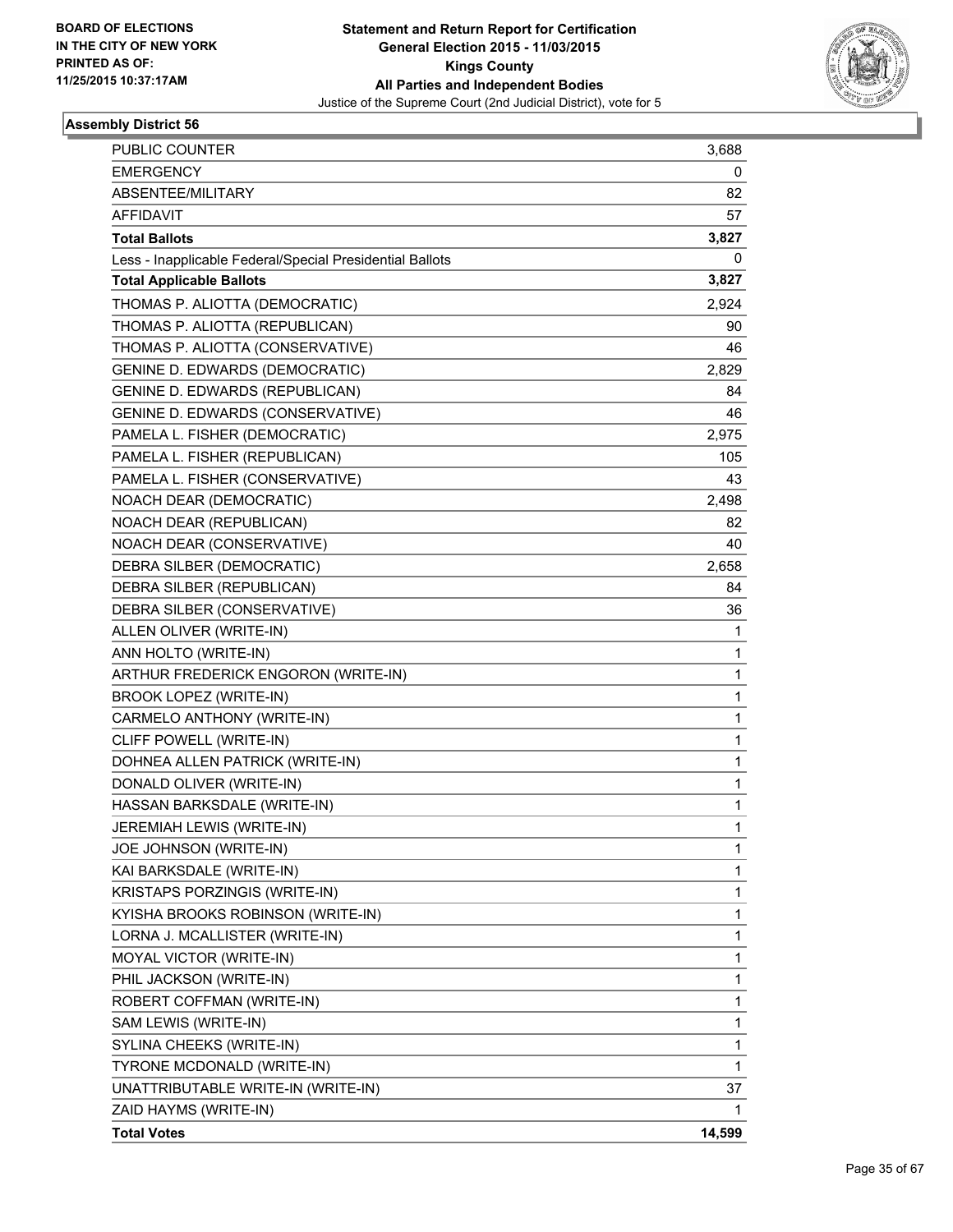

| <b>PUBLIC COUNTER</b>                                    | 3,688  |
|----------------------------------------------------------|--------|
| <b>EMERGENCY</b>                                         | 0      |
| ABSENTEE/MILITARY                                        | 82     |
| <b>AFFIDAVIT</b>                                         | 57     |
| <b>Total Ballots</b>                                     | 3,827  |
| Less - Inapplicable Federal/Special Presidential Ballots | 0      |
| <b>Total Applicable Ballots</b>                          | 3,827  |
| THOMAS P. ALIOTTA (DEMOCRATIC)                           | 2,924  |
| THOMAS P. ALIOTTA (REPUBLICAN)                           | 90     |
| THOMAS P. ALIOTTA (CONSERVATIVE)                         | 46     |
| <b>GENINE D. EDWARDS (DEMOCRATIC)</b>                    | 2,829  |
| GENINE D. EDWARDS (REPUBLICAN)                           | 84     |
| GENINE D. EDWARDS (CONSERVATIVE)                         | 46     |
| PAMELA L. FISHER (DEMOCRATIC)                            | 2,975  |
| PAMELA L. FISHER (REPUBLICAN)                            | 105    |
| PAMELA L. FISHER (CONSERVATIVE)                          | 43     |
| NOACH DEAR (DEMOCRATIC)                                  | 2,498  |
| NOACH DEAR (REPUBLICAN)                                  | 82     |
| NOACH DEAR (CONSERVATIVE)                                | 40     |
| DEBRA SILBER (DEMOCRATIC)                                | 2,658  |
| DEBRA SILBER (REPUBLICAN)                                | 84     |
| DEBRA SILBER (CONSERVATIVE)                              | 36     |
| ALLEN OLIVER (WRITE-IN)                                  | 1      |
| ANN HOLTO (WRITE-IN)                                     | 1      |
| ARTHUR FREDERICK ENGORON (WRITE-IN)                      | 1      |
| <b>BROOK LOPEZ (WRITE-IN)</b>                            | 1      |
| CARMELO ANTHONY (WRITE-IN)                               | 1      |
| CLIFF POWELL (WRITE-IN)                                  | 1      |
| DOHNEA ALLEN PATRICK (WRITE-IN)                          | 1      |
| DONALD OLIVER (WRITE-IN)                                 | 1      |
| HASSAN BARKSDALE (WRITE-IN)                              | 1      |
| JEREMIAH LEWIS (WRITE-IN)                                | 1      |
| JOE JOHNSON (WRITE-IN)                                   | 1      |
| KAI BARKSDALE (WRITE-IN)                                 | 1      |
| KRISTAPS PORZINGIS (WRITE-IN)                            | 1      |
| KYISHA BROOKS ROBINSON (WRITE-IN)                        | 1      |
| LORNA J. MCALLISTER (WRITE-IN)                           | 1      |
| MOYAL VICTOR (WRITE-IN)                                  | 1      |
| PHIL JACKSON (WRITE-IN)                                  | 1      |
| ROBERT COFFMAN (WRITE-IN)                                | 1      |
| SAM LEWIS (WRITE-IN)                                     | 1      |
| SYLINA CHEEKS (WRITE-IN)                                 | 1      |
| TYRONE MCDONALD (WRITE-IN)                               | 1      |
| UNATTRIBUTABLE WRITE-IN (WRITE-IN)                       | 37     |
| ZAID HAYMS (WRITE-IN)                                    | 1      |
| <b>Total Votes</b>                                       | 14,599 |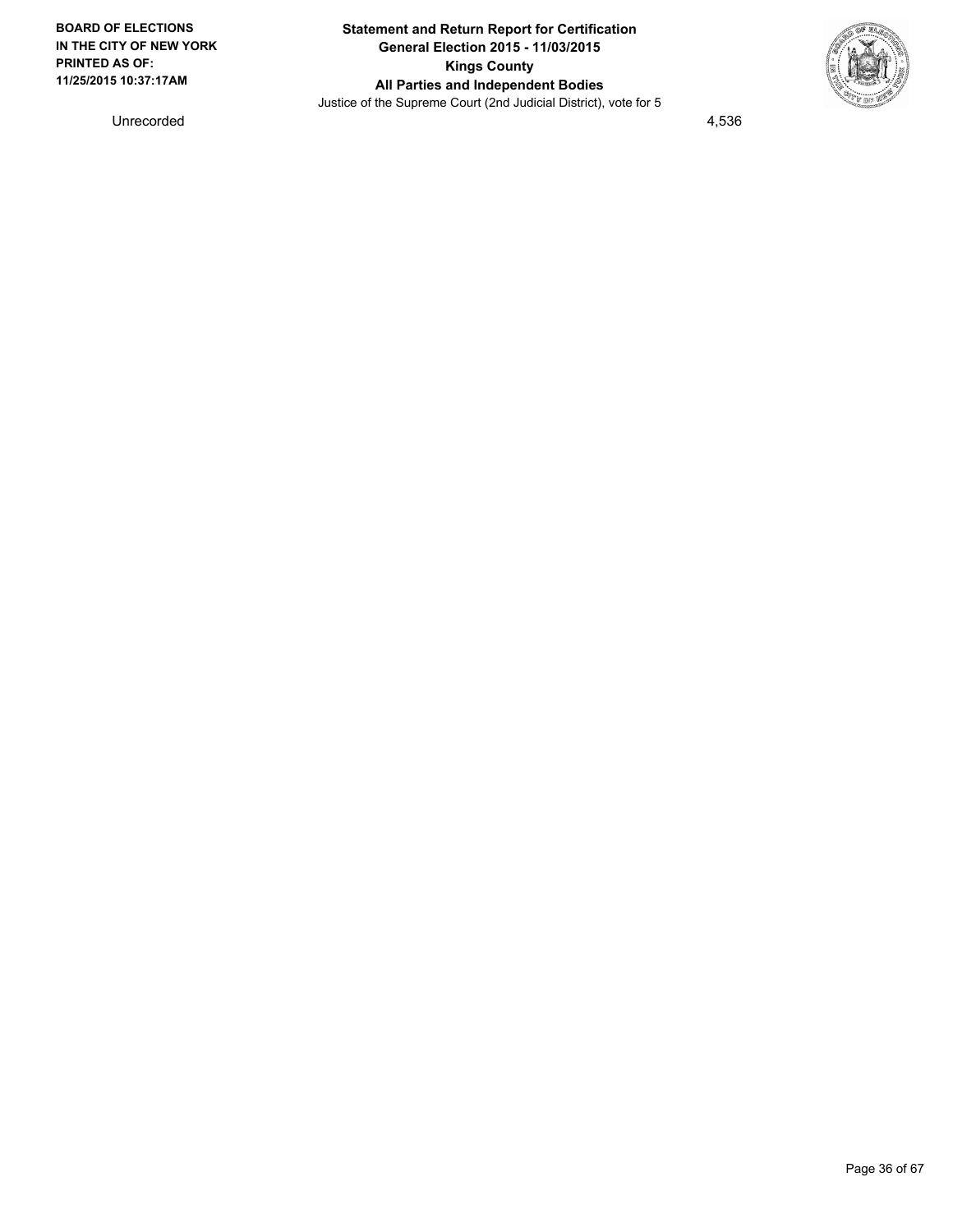

Unrecorded 4,536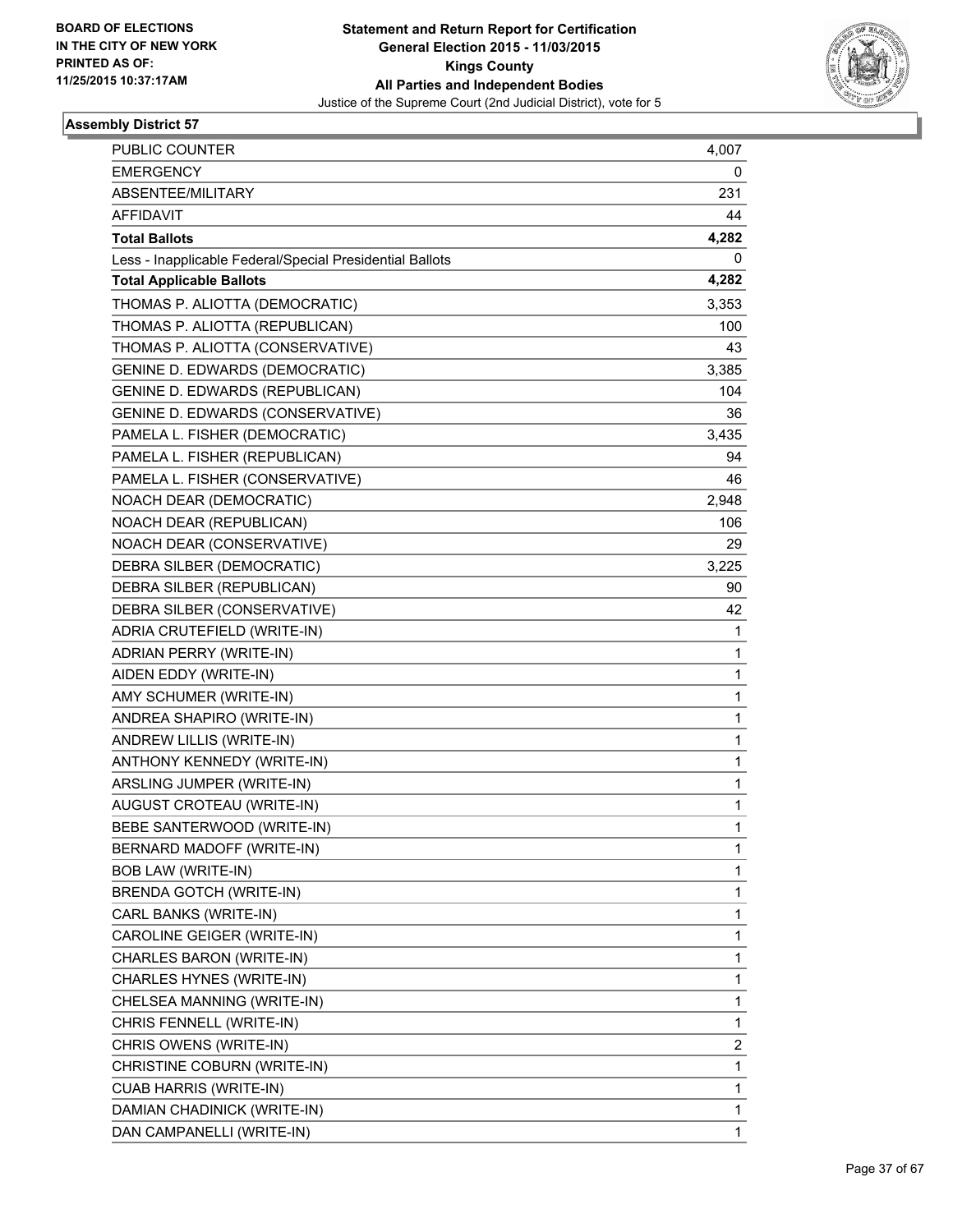

| PUBLIC COUNTER                                           | 4,007 |
|----------------------------------------------------------|-------|
| <b>EMERGENCY</b>                                         | 0     |
| ABSENTEE/MILITARY                                        | 231   |
| <b>AFFIDAVIT</b>                                         | 44    |
| <b>Total Ballots</b>                                     | 4,282 |
| Less - Inapplicable Federal/Special Presidential Ballots | 0     |
| <b>Total Applicable Ballots</b>                          | 4,282 |
| THOMAS P. ALIOTTA (DEMOCRATIC)                           | 3,353 |
| THOMAS P. ALIOTTA (REPUBLICAN)                           | 100   |
| THOMAS P. ALIOTTA (CONSERVATIVE)                         | 43    |
| <b>GENINE D. EDWARDS (DEMOCRATIC)</b>                    | 3,385 |
| <b>GENINE D. EDWARDS (REPUBLICAN)</b>                    | 104   |
| GENINE D. EDWARDS (CONSERVATIVE)                         | 36    |
| PAMELA L. FISHER (DEMOCRATIC)                            | 3,435 |
| PAMELA L. FISHER (REPUBLICAN)                            | 94    |
| PAMELA L. FISHER (CONSERVATIVE)                          | 46    |
| NOACH DEAR (DEMOCRATIC)                                  | 2,948 |
| NOACH DEAR (REPUBLICAN)                                  | 106   |
| NOACH DEAR (CONSERVATIVE)                                | 29    |
| DEBRA SILBER (DEMOCRATIC)                                | 3,225 |
| DEBRA SILBER (REPUBLICAN)                                | 90    |
| DEBRA SILBER (CONSERVATIVE)                              | 42    |
| ADRIA CRUTEFIELD (WRITE-IN)                              | 1     |
| ADRIAN PERRY (WRITE-IN)                                  | 1     |
| AIDEN EDDY (WRITE-IN)                                    | 1     |
| AMY SCHUMER (WRITE-IN)                                   | 1     |
| ANDREA SHAPIRO (WRITE-IN)                                | 1     |
| ANDREW LILLIS (WRITE-IN)                                 | 1     |
| ANTHONY KENNEDY (WRITE-IN)                               | 1     |
| ARSLING JUMPER (WRITE-IN)                                | 1     |
| AUGUST CROTEAU (WRITE-IN)                                | 1     |
| BEBE SANTERWOOD (WRITE-IN)                               | 1     |
| BERNARD MADOFF (WRITE-IN)                                | 1     |
| <b>BOB LAW (WRITE-IN)</b>                                | 1     |
| BRENDA GOTCH (WRITE-IN)                                  | 1     |
| CARL BANKS (WRITE-IN)                                    | 1     |
| CAROLINE GEIGER (WRITE-IN)                               | 1     |
| CHARLES BARON (WRITE-IN)                                 | 1     |
| CHARLES HYNES (WRITE-IN)                                 | 1     |
| CHELSEA MANNING (WRITE-IN)                               | 1     |
| CHRIS FENNELL (WRITE-IN)                                 | 1     |
| CHRIS OWENS (WRITE-IN)                                   | 2     |
| CHRISTINE COBURN (WRITE-IN)                              | 1     |
| <b>CUAB HARRIS (WRITE-IN)</b>                            | 1     |
| DAMIAN CHADINICK (WRITE-IN)                              | 1     |
| DAN CAMPANELLI (WRITE-IN)                                | 1     |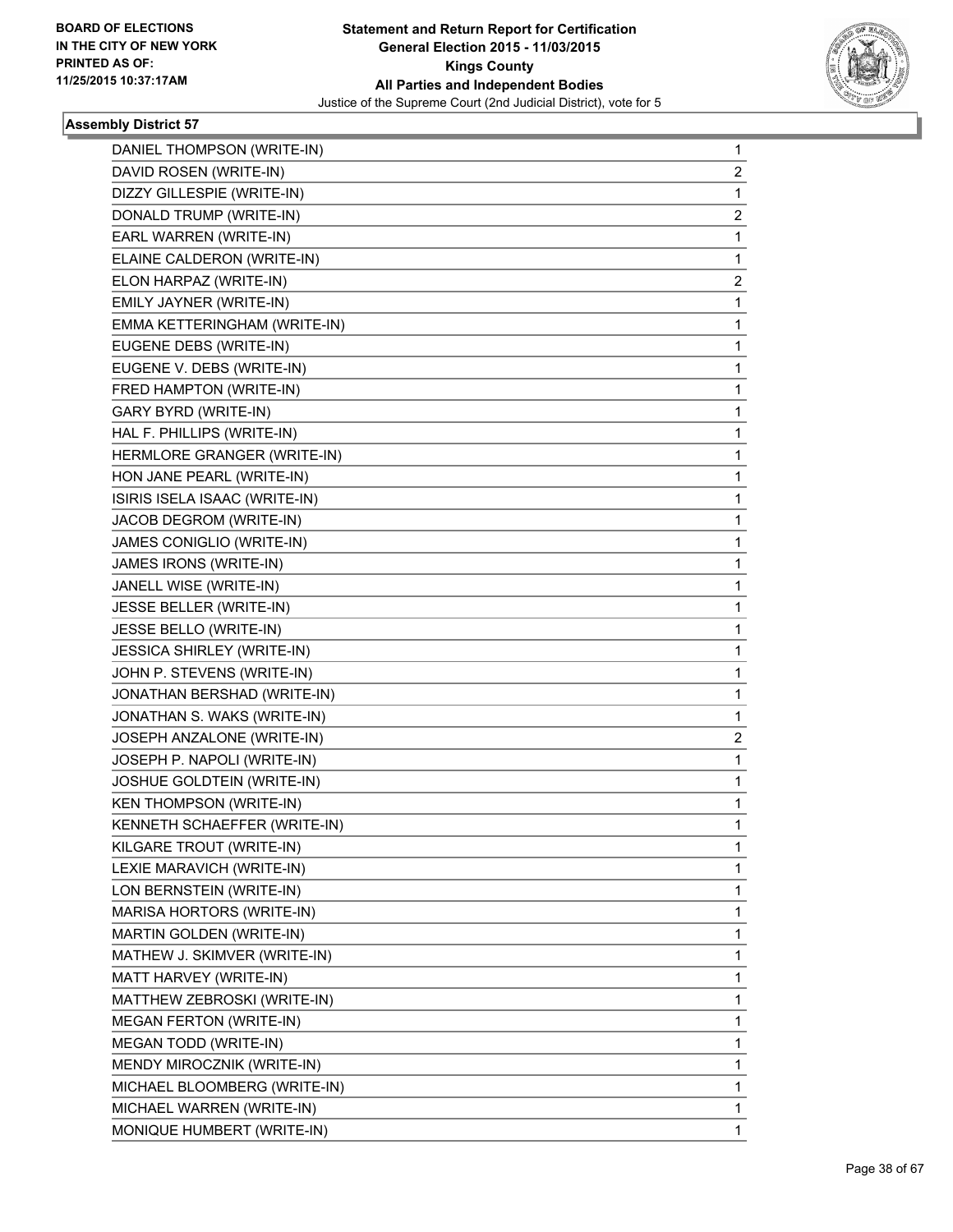

| DANIEL THOMPSON (WRITE-IN)     | $\mathbf 1$    |
|--------------------------------|----------------|
| DAVID ROSEN (WRITE-IN)         | $\overline{2}$ |
| DIZZY GILLESPIE (WRITE-IN)     | 1              |
| DONALD TRUMP (WRITE-IN)        | 2              |
| EARL WARREN (WRITE-IN)         | 1              |
| ELAINE CALDERON (WRITE-IN)     | 1              |
| ELON HARPAZ (WRITE-IN)         | 2              |
| EMILY JAYNER (WRITE-IN)        | 1              |
| EMMA KETTERINGHAM (WRITE-IN)   | 1              |
| EUGENE DEBS (WRITE-IN)         | 1              |
| EUGENE V. DEBS (WRITE-IN)      | 1              |
| FRED HAMPTON (WRITE-IN)        | 1              |
| <b>GARY BYRD (WRITE-IN)</b>    | 1              |
| HAL F. PHILLIPS (WRITE-IN)     | 1              |
| HERMLORE GRANGER (WRITE-IN)    | 1              |
| HON JANE PEARL (WRITE-IN)      | 1              |
| ISIRIS ISELA ISAAC (WRITE-IN)  | 1              |
| JACOB DEGROM (WRITE-IN)        | 1              |
| JAMES CONIGLIO (WRITE-IN)      | 1              |
| JAMES IRONS (WRITE-IN)         | 1              |
| JANELL WISE (WRITE-IN)         | 1              |
| JESSE BELLER (WRITE-IN)        | 1              |
| JESSE BELLO (WRITE-IN)         | 1              |
| JESSICA SHIRLEY (WRITE-IN)     | 1              |
| JOHN P. STEVENS (WRITE-IN)     | 1              |
| JONATHAN BERSHAD (WRITE-IN)    | 1              |
| JONATHAN S. WAKS (WRITE-IN)    | 1              |
| JOSEPH ANZALONE (WRITE-IN)     | 2              |
| JOSEPH P. NAPOLI (WRITE-IN)    | 1              |
| JOSHUE GOLDTEIN (WRITE-IN)     | 1              |
| <b>KEN THOMPSON (WRITE-IN)</b> | 1              |
| KENNETH SCHAEFFER (WRITE-IN)   | 1              |
| KILGARE TROUT (WRITE-IN)       | 1              |
| LEXIE MARAVICH (WRITE-IN)      | 1              |
| LON BERNSTEIN (WRITE-IN)       | 1              |
| MARISA HORTORS (WRITE-IN)      | 1              |
| MARTIN GOLDEN (WRITE-IN)       | 1              |
| MATHEW J. SKIMVER (WRITE-IN)   | 1              |
| MATT HARVEY (WRITE-IN)         | 1              |
| MATTHEW ZEBROSKI (WRITE-IN)    | 1              |
| <b>MEGAN FERTON (WRITE-IN)</b> | 1              |
| MEGAN TODD (WRITE-IN)          | 1              |
| MENDY MIROCZNIK (WRITE-IN)     | 1              |
| MICHAEL BLOOMBERG (WRITE-IN)   | 1              |
| MICHAEL WARREN (WRITE-IN)      | $\mathbf 1$    |
| MONIQUE HUMBERT (WRITE-IN)     | 1              |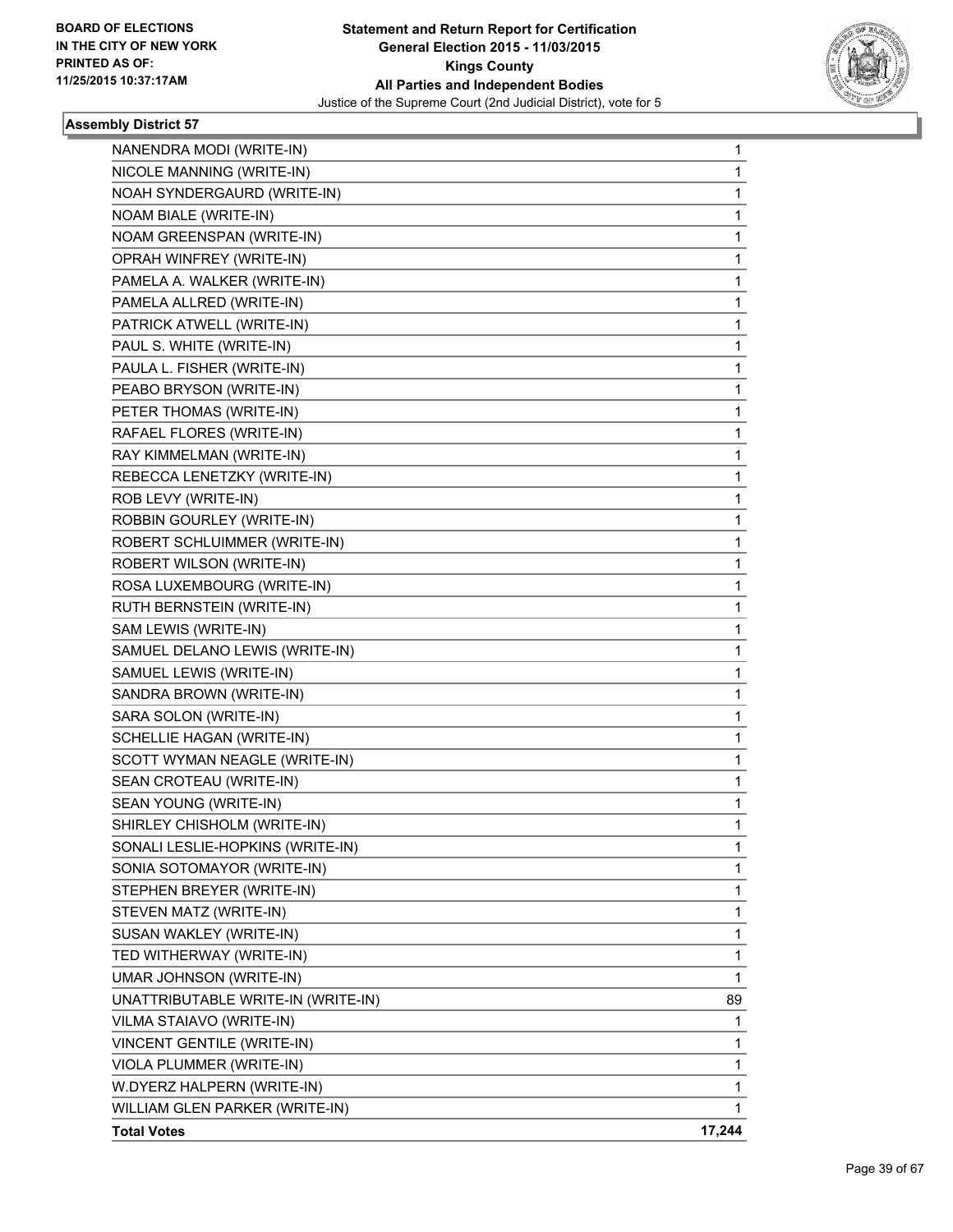

| NANENDRA MODI (WRITE-IN)           | 1            |
|------------------------------------|--------------|
| NICOLE MANNING (WRITE-IN)          | $\mathbf{1}$ |
| NOAH SYNDERGAURD (WRITE-IN)        | 1            |
| NOAM BIALE (WRITE-IN)              | 1            |
| NOAM GREENSPAN (WRITE-IN)          | $\mathbf{1}$ |
| OPRAH WINFREY (WRITE-IN)           | 1            |
| PAMELA A. WALKER (WRITE-IN)        | 1            |
| PAMELA ALLRED (WRITE-IN)           | $\mathbf{1}$ |
| PATRICK ATWELL (WRITE-IN)          | 1            |
| PAUL S. WHITE (WRITE-IN)           | 1            |
| PAULA L. FISHER (WRITE-IN)         | 1            |
| PEABO BRYSON (WRITE-IN)            | 1            |
| PETER THOMAS (WRITE-IN)            | 1            |
| RAFAEL FLORES (WRITE-IN)           | $\mathbf{1}$ |
| RAY KIMMELMAN (WRITE-IN)           | 1            |
| REBECCA LENETZKY (WRITE-IN)        | 1            |
| ROB LEVY (WRITE-IN)                | 1            |
| ROBBIN GOURLEY (WRITE-IN)          | 1            |
| ROBERT SCHLUIMMER (WRITE-IN)       | 1            |
| ROBERT WILSON (WRITE-IN)           | $\mathbf{1}$ |
| ROSA LUXEMBOURG (WRITE-IN)         | 1            |
| RUTH BERNSTEIN (WRITE-IN)          | 1            |
| SAM LEWIS (WRITE-IN)               | 1            |
| SAMUEL DELANO LEWIS (WRITE-IN)     | 1            |
| SAMUEL LEWIS (WRITE-IN)            | 1            |
| SANDRA BROWN (WRITE-IN)            | $\mathbf{1}$ |
| SARA SOLON (WRITE-IN)              | 1            |
| SCHELLIE HAGAN (WRITE-IN)          | 1            |
| SCOTT WYMAN NEAGLE (WRITE-IN)      | 1            |
| SEAN CROTEAU (WRITE-IN)            | 1            |
| SEAN YOUNG (WRITE-IN)              | 1            |
| SHIRLEY CHISHOLM (WRITE-IN)        | $\mathbf{1}$ |
| SONALI LESLIE-HOPKINS (WRITE-IN)   | 1            |
| SONIA SOTOMAYOR (WRITE-IN)         | 1            |
| STEPHEN BREYER (WRITE-IN)          | 1            |
| STEVEN MATZ (WRITE-IN)             | 1            |
| SUSAN WAKLEY (WRITE-IN)            | 1            |
| TED WITHERWAY (WRITE-IN)           | 1            |
| UMAR JOHNSON (WRITE-IN)            | 1            |
| UNATTRIBUTABLE WRITE-IN (WRITE-IN) | 89           |
| VILMA STAIAVO (WRITE-IN)           | 1            |
| VINCENT GENTILE (WRITE-IN)         | 1            |
| VIOLA PLUMMER (WRITE-IN)           | 1            |
| W.DYERZ HALPERN (WRITE-IN)         | 1            |
| WILLIAM GLEN PARKER (WRITE-IN)     | 1            |
| <b>Total Votes</b>                 | 17,244       |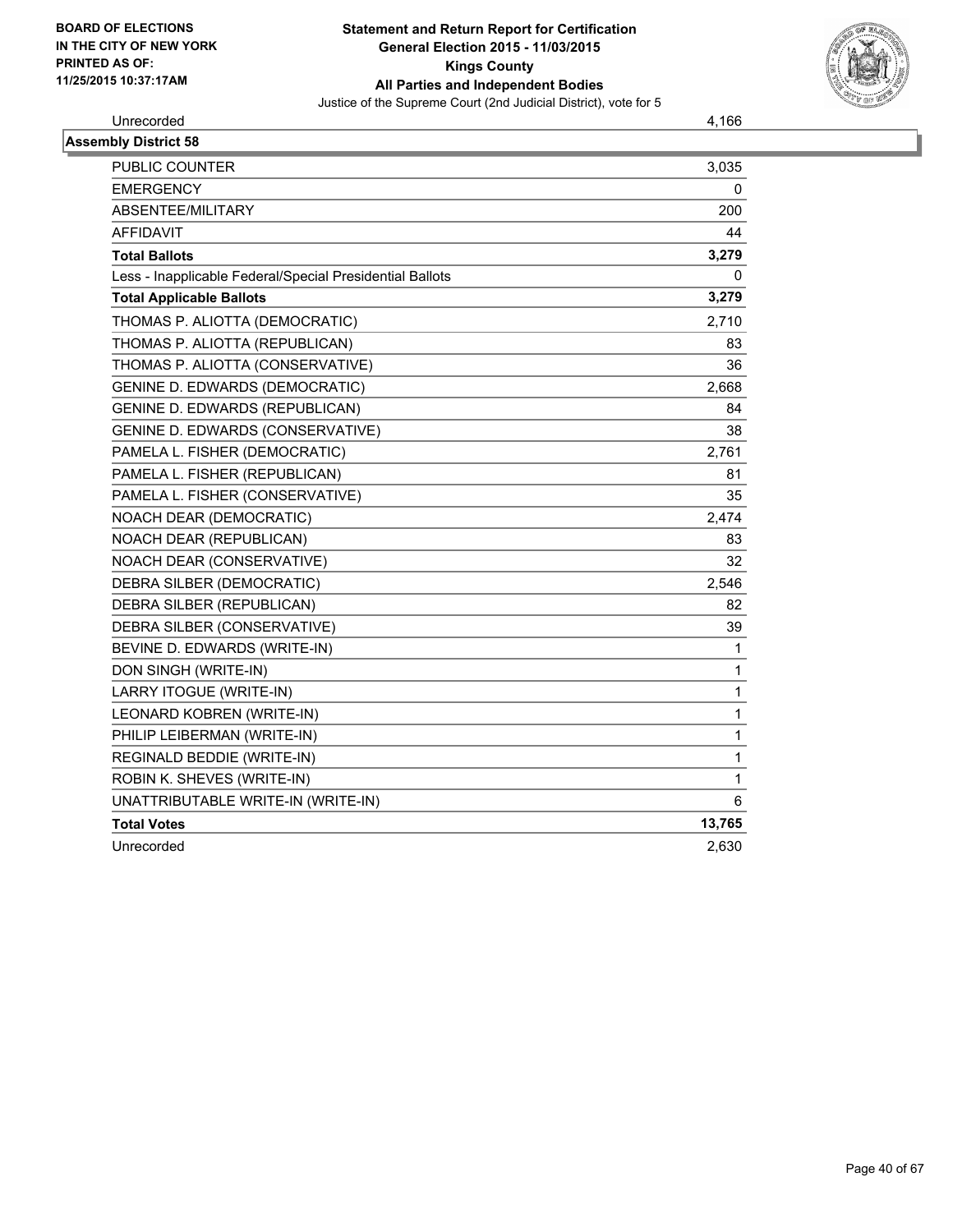

Unrecorded 4,166

| <b>Assembly District 58</b>                              |              |
|----------------------------------------------------------|--------------|
| <b>PUBLIC COUNTER</b>                                    | 3,035        |
| <b>EMERGENCY</b>                                         | 0            |
| ABSENTEE/MILITARY                                        | 200          |
| <b>AFFIDAVIT</b>                                         | 44           |
| <b>Total Ballots</b>                                     | 3,279        |
| Less - Inapplicable Federal/Special Presidential Ballots | 0            |
| <b>Total Applicable Ballots</b>                          | 3,279        |
| THOMAS P. ALIOTTA (DEMOCRATIC)                           | 2,710        |
| THOMAS P. ALIOTTA (REPUBLICAN)                           | 83           |
| THOMAS P. ALIOTTA (CONSERVATIVE)                         | 36           |
| <b>GENINE D. EDWARDS (DEMOCRATIC)</b>                    | 2,668        |
| <b>GENINE D. EDWARDS (REPUBLICAN)</b>                    | 84           |
| GENINE D. EDWARDS (CONSERVATIVE)                         | 38           |
| PAMELA L. FISHER (DEMOCRATIC)                            | 2,761        |
| PAMELA L. FISHER (REPUBLICAN)                            | 81           |
| PAMELA L. FISHER (CONSERVATIVE)                          | 35           |
| NOACH DEAR (DEMOCRATIC)                                  | 2,474        |
| NOACH DEAR (REPUBLICAN)                                  | 83           |
| NOACH DEAR (CONSERVATIVE)                                | 32           |
| DEBRA SILBER (DEMOCRATIC)                                | 2,546        |
| DEBRA SILBER (REPUBLICAN)                                | 82           |
| DEBRA SILBER (CONSERVATIVE)                              | 39           |
| BEVINE D. EDWARDS (WRITE-IN)                             | $\mathbf{1}$ |
| DON SINGH (WRITE-IN)                                     | 1            |
| LARRY ITOGUE (WRITE-IN)                                  | 1            |
| LEONARD KOBREN (WRITE-IN)                                | 1            |
| PHILIP LEIBERMAN (WRITE-IN)                              | 1            |
| REGINALD BEDDIE (WRITE-IN)                               | 1            |
| ROBIN K. SHEVES (WRITE-IN)                               | 1            |
| UNATTRIBUTABLE WRITE-IN (WRITE-IN)                       | 6            |
| <b>Total Votes</b>                                       | 13,765       |
| Unrecorded                                               | 2,630        |
|                                                          |              |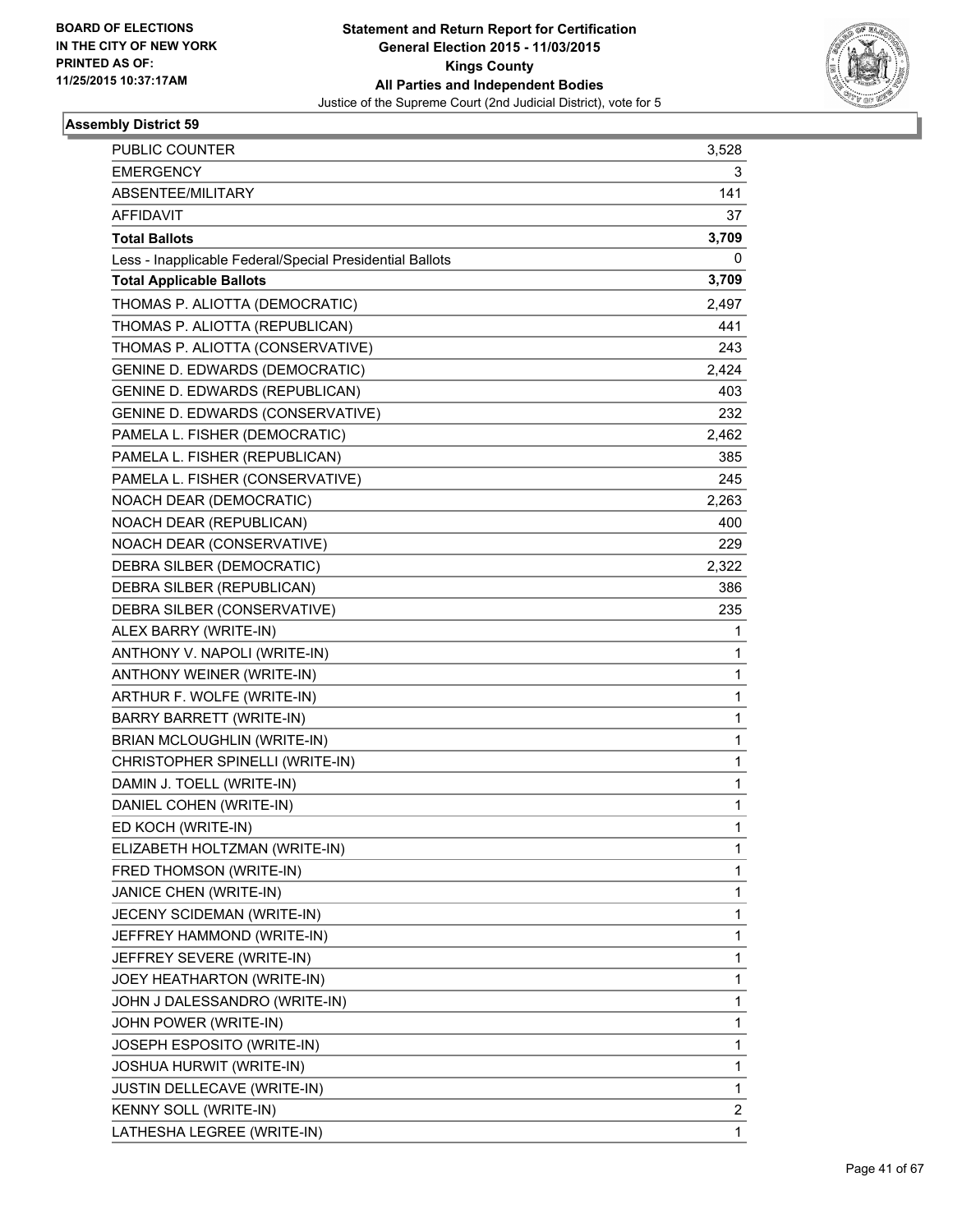

| <b>PUBLIC COUNTER</b>                                    | 3,528        |
|----------------------------------------------------------|--------------|
| <b>EMERGENCY</b>                                         | 3            |
| ABSENTEE/MILITARY                                        | 141          |
| <b>AFFIDAVIT</b>                                         | 37           |
| <b>Total Ballots</b>                                     | 3,709        |
| Less - Inapplicable Federal/Special Presidential Ballots | 0            |
| <b>Total Applicable Ballots</b>                          | 3,709        |
| THOMAS P. ALIOTTA (DEMOCRATIC)                           | 2,497        |
| THOMAS P. ALIOTTA (REPUBLICAN)                           | 441          |
| THOMAS P. ALIOTTA (CONSERVATIVE)                         | 243          |
| <b>GENINE D. EDWARDS (DEMOCRATIC)</b>                    | 2,424        |
| <b>GENINE D. EDWARDS (REPUBLICAN)</b>                    | 403          |
| GENINE D. EDWARDS (CONSERVATIVE)                         | 232          |
| PAMELA L. FISHER (DEMOCRATIC)                            | 2,462        |
| PAMELA L. FISHER (REPUBLICAN)                            | 385          |
| PAMELA L. FISHER (CONSERVATIVE)                          | 245          |
| NOACH DEAR (DEMOCRATIC)                                  | 2,263        |
| NOACH DEAR (REPUBLICAN)                                  | 400          |
| NOACH DEAR (CONSERVATIVE)                                | 229          |
| DEBRA SILBER (DEMOCRATIC)                                | 2,322        |
| DEBRA SILBER (REPUBLICAN)                                | 386          |
| DEBRA SILBER (CONSERVATIVE)                              | 235          |
| ALEX BARRY (WRITE-IN)                                    | 1            |
| ANTHONY V. NAPOLI (WRITE-IN)                             | 1            |
| ANTHONY WEINER (WRITE-IN)                                | 1            |
| ARTHUR F. WOLFE (WRITE-IN)                               | $\mathbf{1}$ |
| <b>BARRY BARRETT (WRITE-IN)</b>                          | 1            |
| BRIAN MCLOUGHLIN (WRITE-IN)                              | 1            |
| CHRISTOPHER SPINELLI (WRITE-IN)                          | $\mathbf{1}$ |
| DAMIN J. TOELL (WRITE-IN)                                | 1            |
| DANIEL COHEN (WRITE-IN)                                  | 1            |
| ED KOCH (WRITE-IN)                                       | 1            |
| ELIZABETH HOLTZMAN (WRITE-IN)                            | 1            |
| FRED THOMSON (WRITE-IN)                                  | 1            |
| JANICE CHEN (WRITE-IN)                                   | $\mathbf{1}$ |
| JECENY SCIDEMAN (WRITE-IN)                               | 1            |
| JEFFREY HAMMOND (WRITE-IN)                               | 1            |
| JEFFREY SEVERE (WRITE-IN)                                | 1            |
| JOEY HEATHARTON (WRITE-IN)                               | 1            |
| JOHN J DALESSANDRO (WRITE-IN)                            | 1            |
| JOHN POWER (WRITE-IN)                                    | $\mathbf{1}$ |
| JOSEPH ESPOSITO (WRITE-IN)                               | 1            |
| JOSHUA HURWIT (WRITE-IN)                                 | 1            |
| JUSTIN DELLECAVE (WRITE-IN)                              | $\mathbf{1}$ |
| KENNY SOLL (WRITE-IN)                                    | 2            |
| LATHESHA LEGREE (WRITE-IN)                               | 1            |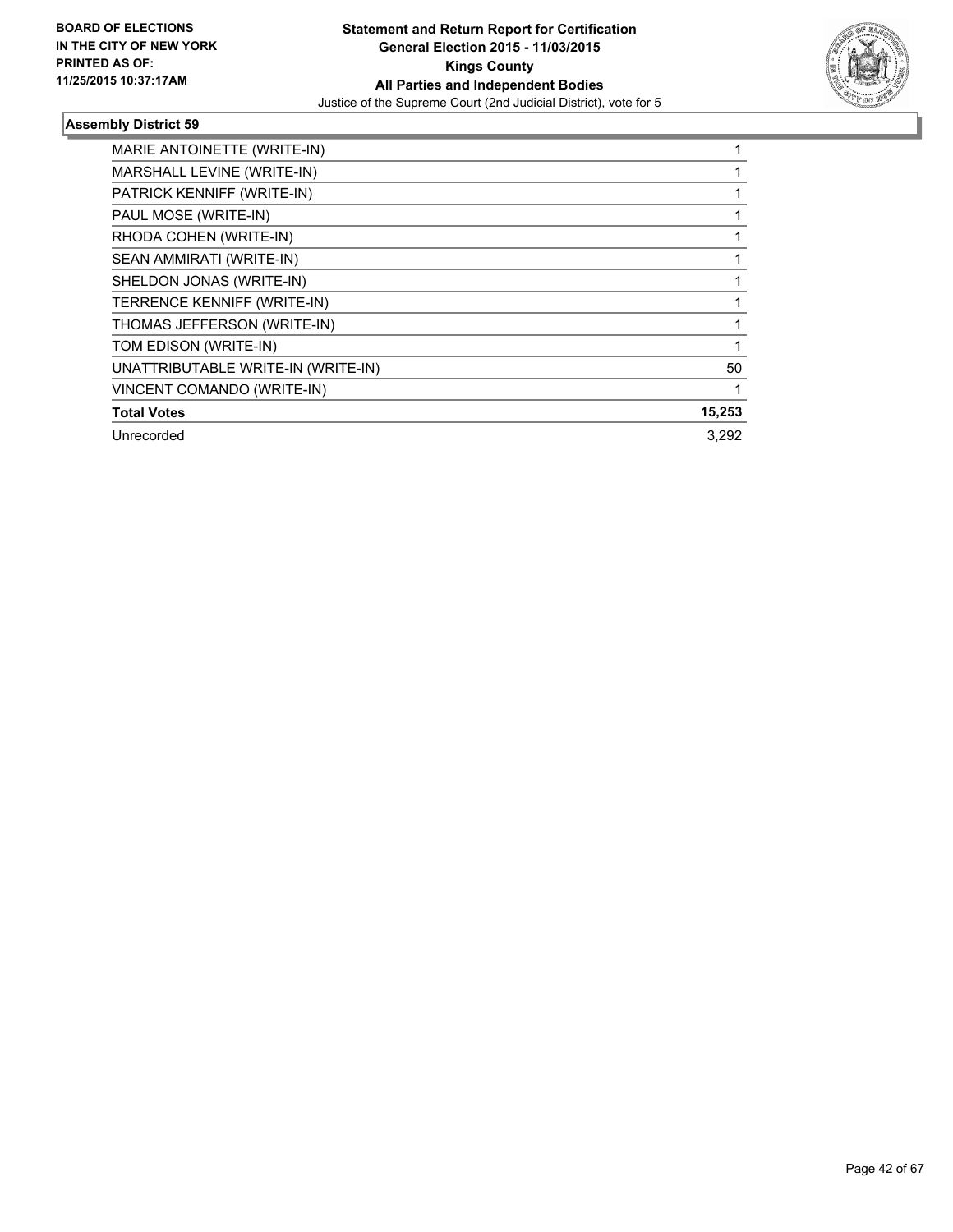

| MARIE ANTOINETTE (WRITE-IN)        |        |
|------------------------------------|--------|
| MARSHALL LEVINE (WRITE-IN)         |        |
| PATRICK KENNIFF (WRITE-IN)         |        |
| PAUL MOSE (WRITE-IN)               |        |
| RHODA COHEN (WRITE-IN)             |        |
| SEAN AMMIRATI (WRITE-IN)           |        |
| SHELDON JONAS (WRITE-IN)           |        |
| TERRENCE KENNIFF (WRITE-IN)        |        |
| THOMAS JEFFERSON (WRITE-IN)        |        |
| TOM EDISON (WRITE-IN)              |        |
| UNATTRIBUTABLE WRITE-IN (WRITE-IN) | 50     |
| VINCENT COMANDO (WRITE-IN)         |        |
| <b>Total Votes</b>                 | 15,253 |
| Unrecorded                         | 3.292  |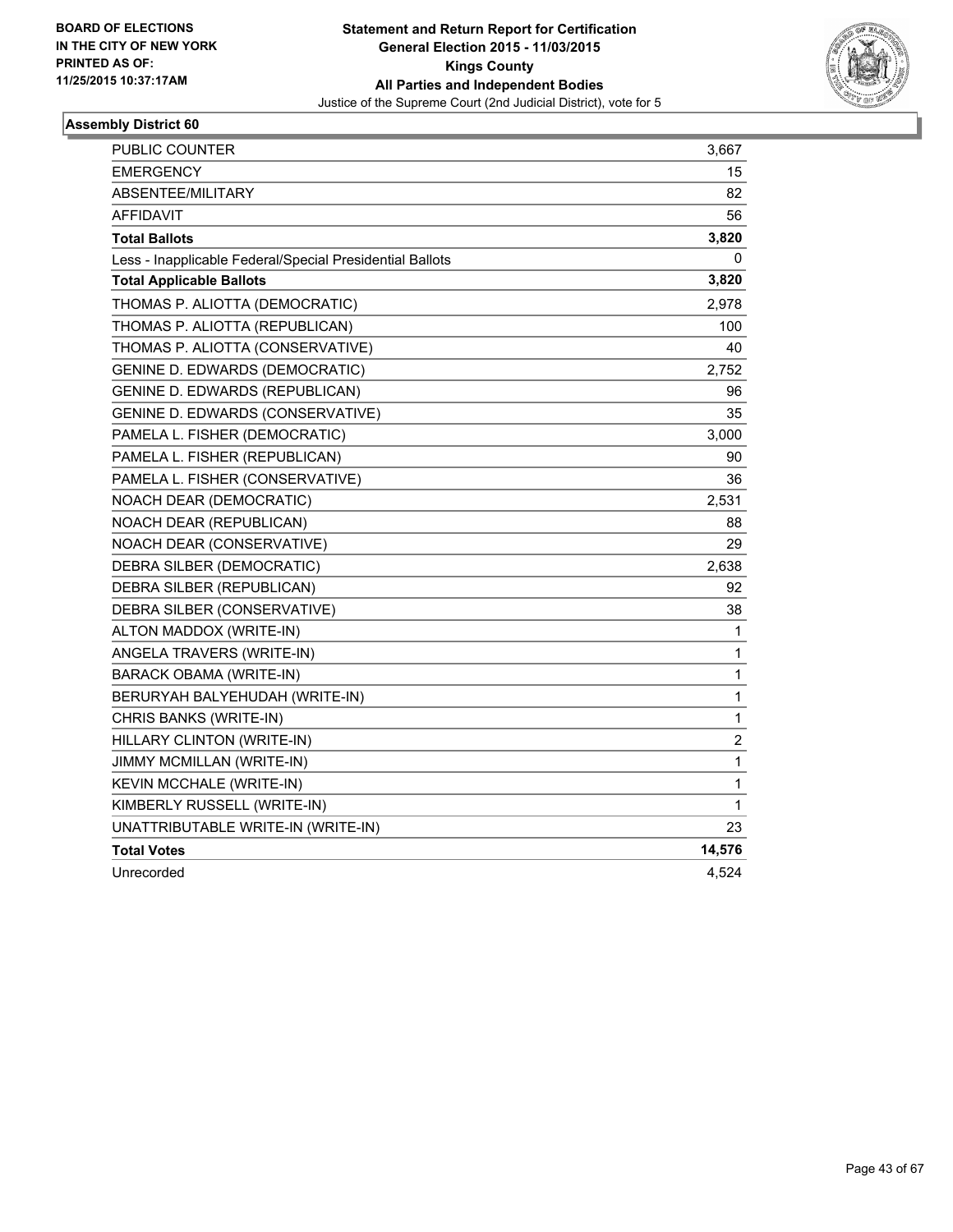

| PUBLIC COUNTER                                           | 3,667        |
|----------------------------------------------------------|--------------|
| <b>EMERGENCY</b>                                         | 15           |
| ABSENTEE/MILITARY                                        | 82           |
| AFFIDAVIT                                                | 56           |
| <b>Total Ballots</b>                                     | 3,820        |
| Less - Inapplicable Federal/Special Presidential Ballots | 0            |
| <b>Total Applicable Ballots</b>                          | 3,820        |
| THOMAS P. ALIOTTA (DEMOCRATIC)                           | 2,978        |
| THOMAS P. ALIOTTA (REPUBLICAN)                           | 100          |
| THOMAS P. ALIOTTA (CONSERVATIVE)                         | 40           |
| <b>GENINE D. EDWARDS (DEMOCRATIC)</b>                    | 2,752        |
| GENINE D. EDWARDS (REPUBLICAN)                           | 96           |
| GENINE D. EDWARDS (CONSERVATIVE)                         | 35           |
| PAMELA L. FISHER (DEMOCRATIC)                            | 3,000        |
| PAMELA L. FISHER (REPUBLICAN)                            | 90           |
| PAMELA L. FISHER (CONSERVATIVE)                          | 36           |
| NOACH DEAR (DEMOCRATIC)                                  | 2,531        |
| NOACH DEAR (REPUBLICAN)                                  | 88           |
| NOACH DEAR (CONSERVATIVE)                                | 29           |
| DEBRA SILBER (DEMOCRATIC)                                | 2,638        |
| DEBRA SILBER (REPUBLICAN)                                | 92           |
| DEBRA SILBER (CONSERVATIVE)                              | 38           |
| ALTON MADDOX (WRITE-IN)                                  | 1            |
| ANGELA TRAVERS (WRITE-IN)                                | 1            |
| <b>BARACK OBAMA (WRITE-IN)</b>                           | $\mathbf{1}$ |
| BERURYAH BALYEHUDAH (WRITE-IN)                           | $\mathbf{1}$ |
| CHRIS BANKS (WRITE-IN)                                   | 1            |
| HILLARY CLINTON (WRITE-IN)                               | 2            |
| JIMMY MCMILLAN (WRITE-IN)                                | $\mathbf{1}$ |
| KEVIN MCCHALE (WRITE-IN)                                 | 1            |
| KIMBERLY RUSSELL (WRITE-IN)                              | 1            |
| UNATTRIBUTABLE WRITE-IN (WRITE-IN)                       | 23           |
| <b>Total Votes</b>                                       | 14,576       |
| Unrecorded                                               | 4,524        |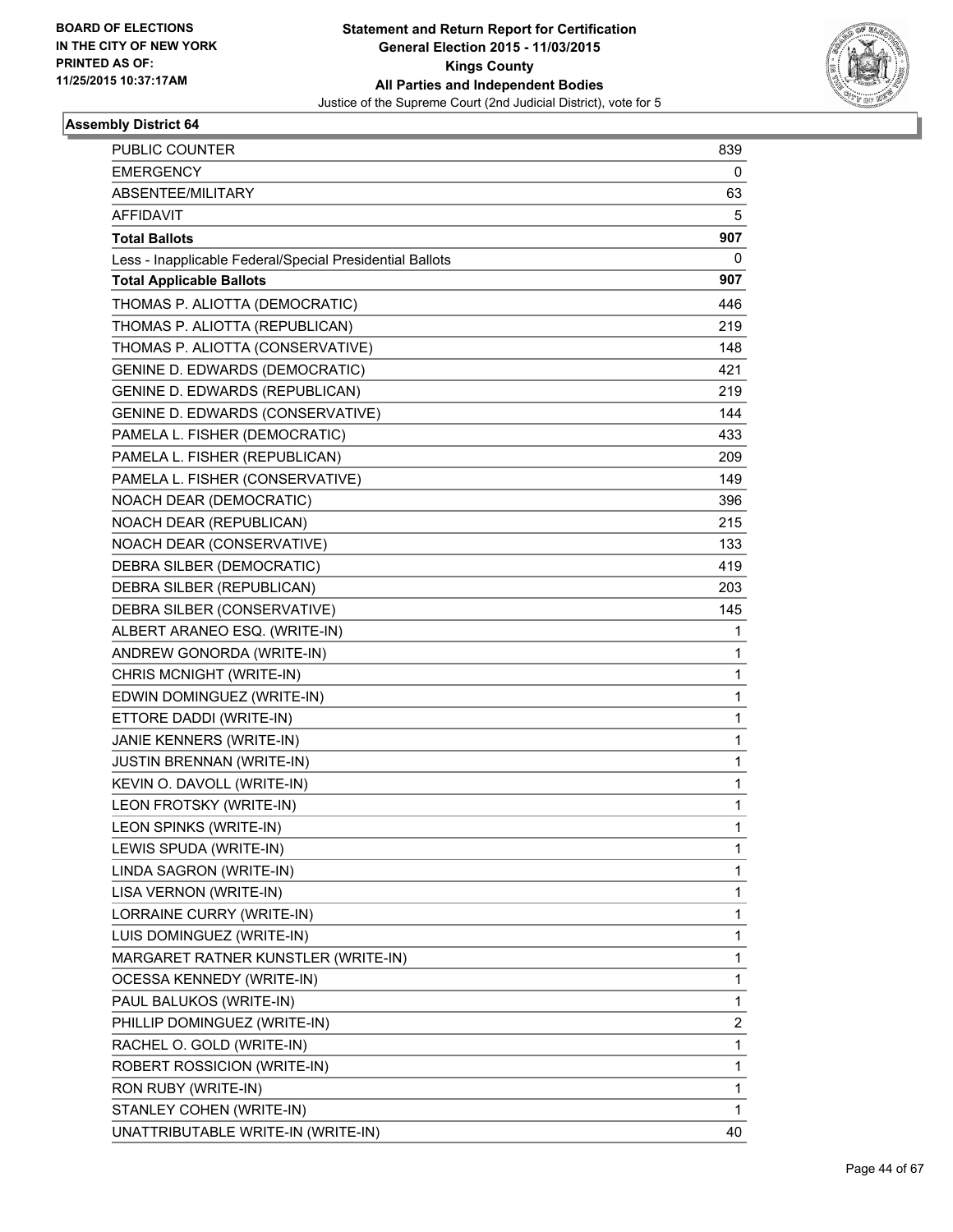

| PUBLIC COUNTER                                           | 839 |
|----------------------------------------------------------|-----|
| <b>EMERGENCY</b>                                         | 0   |
| ABSENTEE/MILITARY                                        | 63  |
| <b>AFFIDAVIT</b>                                         | 5   |
| <b>Total Ballots</b>                                     | 907 |
| Less - Inapplicable Federal/Special Presidential Ballots | 0   |
| <b>Total Applicable Ballots</b>                          | 907 |
| THOMAS P. ALIOTTA (DEMOCRATIC)                           | 446 |
| THOMAS P. ALIOTTA (REPUBLICAN)                           | 219 |
| THOMAS P. ALIOTTA (CONSERVATIVE)                         | 148 |
| GENINE D. EDWARDS (DEMOCRATIC)                           | 421 |
| GENINE D. EDWARDS (REPUBLICAN)                           | 219 |
| GENINE D. EDWARDS (CONSERVATIVE)                         | 144 |
| PAMELA L. FISHER (DEMOCRATIC)                            | 433 |
| PAMELA L. FISHER (REPUBLICAN)                            | 209 |
| PAMELA L. FISHER (CONSERVATIVE)                          | 149 |
| NOACH DEAR (DEMOCRATIC)                                  | 396 |
| NOACH DEAR (REPUBLICAN)                                  | 215 |
| NOACH DEAR (CONSERVATIVE)                                | 133 |
| DEBRA SILBER (DEMOCRATIC)                                | 419 |
| DEBRA SILBER (REPUBLICAN)                                | 203 |
| DEBRA SILBER (CONSERVATIVE)                              | 145 |
| ALBERT ARANEO ESQ. (WRITE-IN)                            | 1   |
| ANDREW GONORDA (WRITE-IN)                                | 1   |
| CHRIS MCNIGHT (WRITE-IN)                                 | 1   |
| EDWIN DOMINGUEZ (WRITE-IN)                               | 1   |
| ETTORE DADDI (WRITE-IN)                                  | 1   |
| JANIE KENNERS (WRITE-IN)                                 | 1   |
| <b>JUSTIN BRENNAN (WRITE-IN)</b>                         | 1   |
| KEVIN O. DAVOLL (WRITE-IN)                               | 1   |
| LEON FROTSKY (WRITE-IN)                                  | 1   |
| LEON SPINKS (WRITE-IN)                                   | 1   |
| LEWIS SPUDA (WRITE-IN)                                   | 1   |
| LINDA SAGRON (WRITE-IN)                                  | 1   |
| LISA VERNON (WRITE-IN)                                   | 1   |
| LORRAINE CURRY (WRITE-IN)                                | 1   |
| LUIS DOMINGUEZ (WRITE-IN)                                | 1   |
| MARGARET RATNER KUNSTLER (WRITE-IN)                      | 1   |
| <b>OCESSA KENNEDY (WRITE-IN)</b>                         | 1   |
| PAUL BALUKOS (WRITE-IN)                                  | 1   |
| PHILLIP DOMINGUEZ (WRITE-IN)                             | 2   |
| RACHEL O. GOLD (WRITE-IN)                                | 1   |
| ROBERT ROSSICION (WRITE-IN)                              | 1   |
| RON RUBY (WRITE-IN)                                      | 1   |
| STANLEY COHEN (WRITE-IN)                                 | 1   |
| UNATTRIBUTABLE WRITE-IN (WRITE-IN)                       | 40  |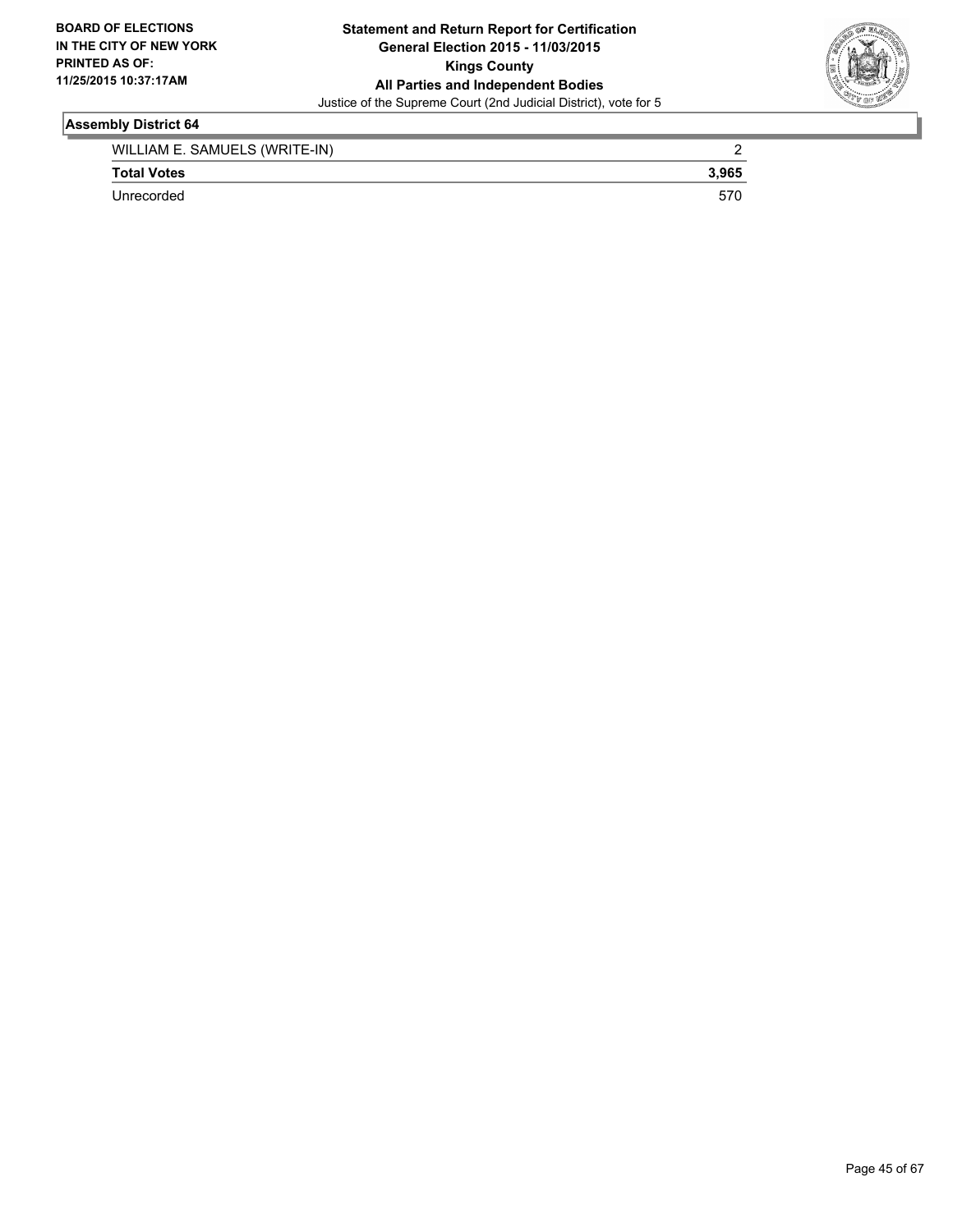

| WILLIAM E. SAMUELS (WRITE-IN) |       |
|-------------------------------|-------|
| <b>Total Votes</b>            | 3.965 |
| Unrecorded                    |       |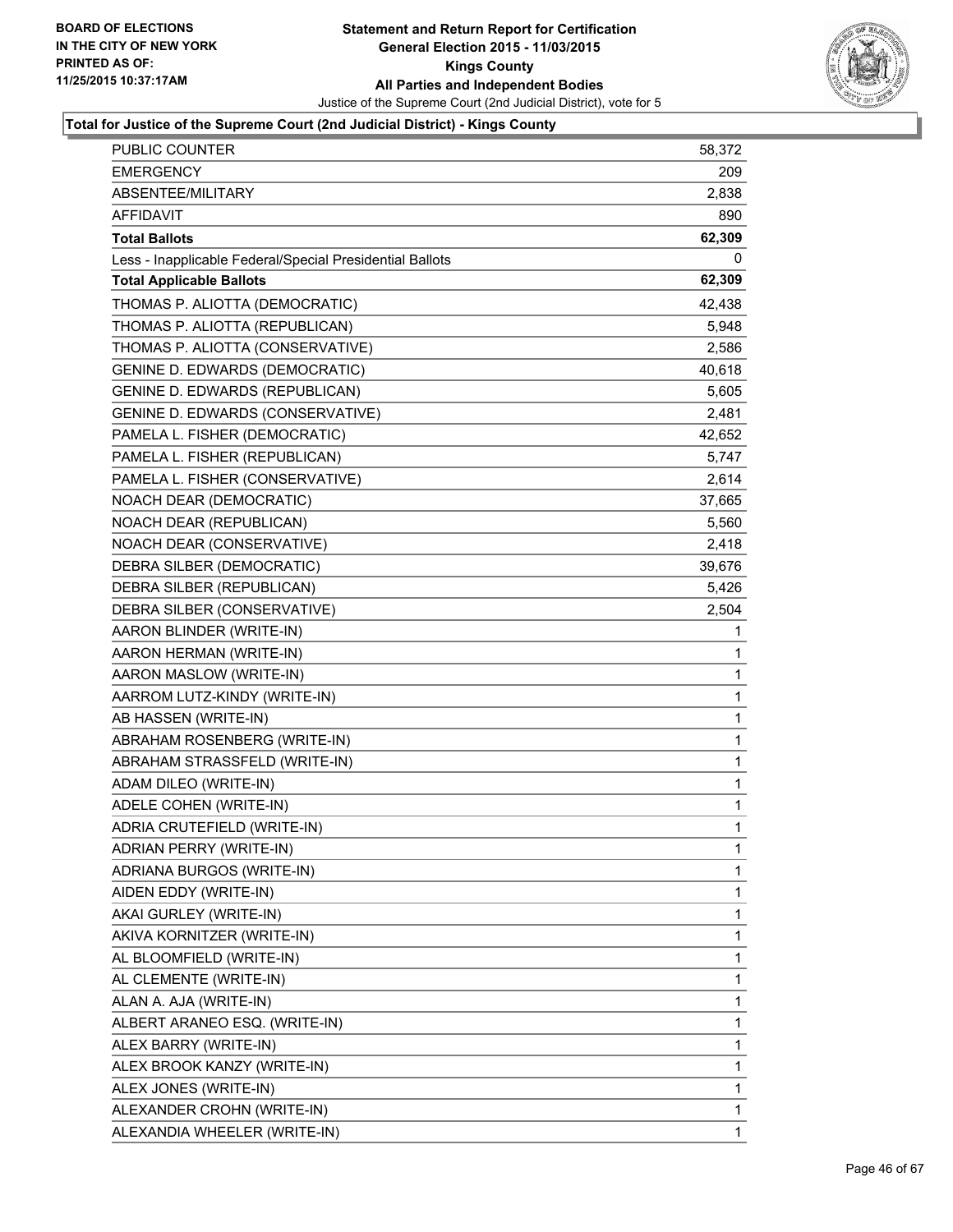

| PUBLIC COUNTER                                           | 58,372       |
|----------------------------------------------------------|--------------|
| <b>EMERGENCY</b>                                         | 209          |
| ABSENTEE/MILITARY                                        | 2,838        |
| <b>AFFIDAVIT</b>                                         | 890          |
| <b>Total Ballots</b>                                     | 62,309       |
| Less - Inapplicable Federal/Special Presidential Ballots | 0            |
| <b>Total Applicable Ballots</b>                          | 62,309       |
| THOMAS P. ALIOTTA (DEMOCRATIC)                           | 42,438       |
| THOMAS P. ALIOTTA (REPUBLICAN)                           | 5,948        |
| THOMAS P. ALIOTTA (CONSERVATIVE)                         | 2,586        |
| <b>GENINE D. EDWARDS (DEMOCRATIC)</b>                    | 40,618       |
| <b>GENINE D. EDWARDS (REPUBLICAN)</b>                    | 5,605        |
| GENINE D. EDWARDS (CONSERVATIVE)                         | 2,481        |
| PAMELA L. FISHER (DEMOCRATIC)                            | 42,652       |
| PAMELA L. FISHER (REPUBLICAN)                            | 5,747        |
| PAMELA L. FISHER (CONSERVATIVE)                          | 2,614        |
| NOACH DEAR (DEMOCRATIC)                                  | 37,665       |
| NOACH DEAR (REPUBLICAN)                                  | 5,560        |
| NOACH DEAR (CONSERVATIVE)                                | 2,418        |
| DEBRA SILBER (DEMOCRATIC)                                | 39,676       |
| DEBRA SILBER (REPUBLICAN)                                | 5,426        |
| DEBRA SILBER (CONSERVATIVE)                              | 2,504        |
| AARON BLINDER (WRITE-IN)                                 | 1            |
| AARON HERMAN (WRITE-IN)                                  | 1            |
| AARON MASLOW (WRITE-IN)                                  | $\mathbf{1}$ |
| AARROM LUTZ-KINDY (WRITE-IN)                             | 1            |
| AB HASSEN (WRITE-IN)                                     | 1            |
| ABRAHAM ROSENBERG (WRITE-IN)                             | 1            |
| ABRAHAM STRASSFELD (WRITE-IN)                            | 1            |
| ADAM DILEO (WRITE-IN)                                    | 1            |
| ADELE COHEN (WRITE-IN)                                   | $\mathbf{1}$ |
| ADRIA CRUTEFIELD (WRITE-IN)                              | 1            |
| ADRIAN PERRY (WRITE-IN)                                  | 1            |
| ADRIANA BURGOS (WRITE-IN)                                | 1            |
| AIDEN EDDY (WRITE-IN)                                    | 1            |
| AKAI GURLEY (WRITE-IN)                                   | 1            |
| AKIVA KORNITZER (WRITE-IN)                               | 1            |
| AL BLOOMFIELD (WRITE-IN)                                 | 1            |
| AL CLEMENTE (WRITE-IN)                                   | 1            |
| ALAN A. AJA (WRITE-IN)                                   | 1            |
| ALBERT ARANEO ESQ. (WRITE-IN)                            | 1            |
| ALEX BARRY (WRITE-IN)                                    | 1            |
| ALEX BROOK KANZY (WRITE-IN)                              | 1            |
| ALEX JONES (WRITE-IN)                                    | 1            |
| ALEXANDER CROHN (WRITE-IN)                               | 1            |
| ALEXANDIA WHEELER (WRITE-IN)                             | 1            |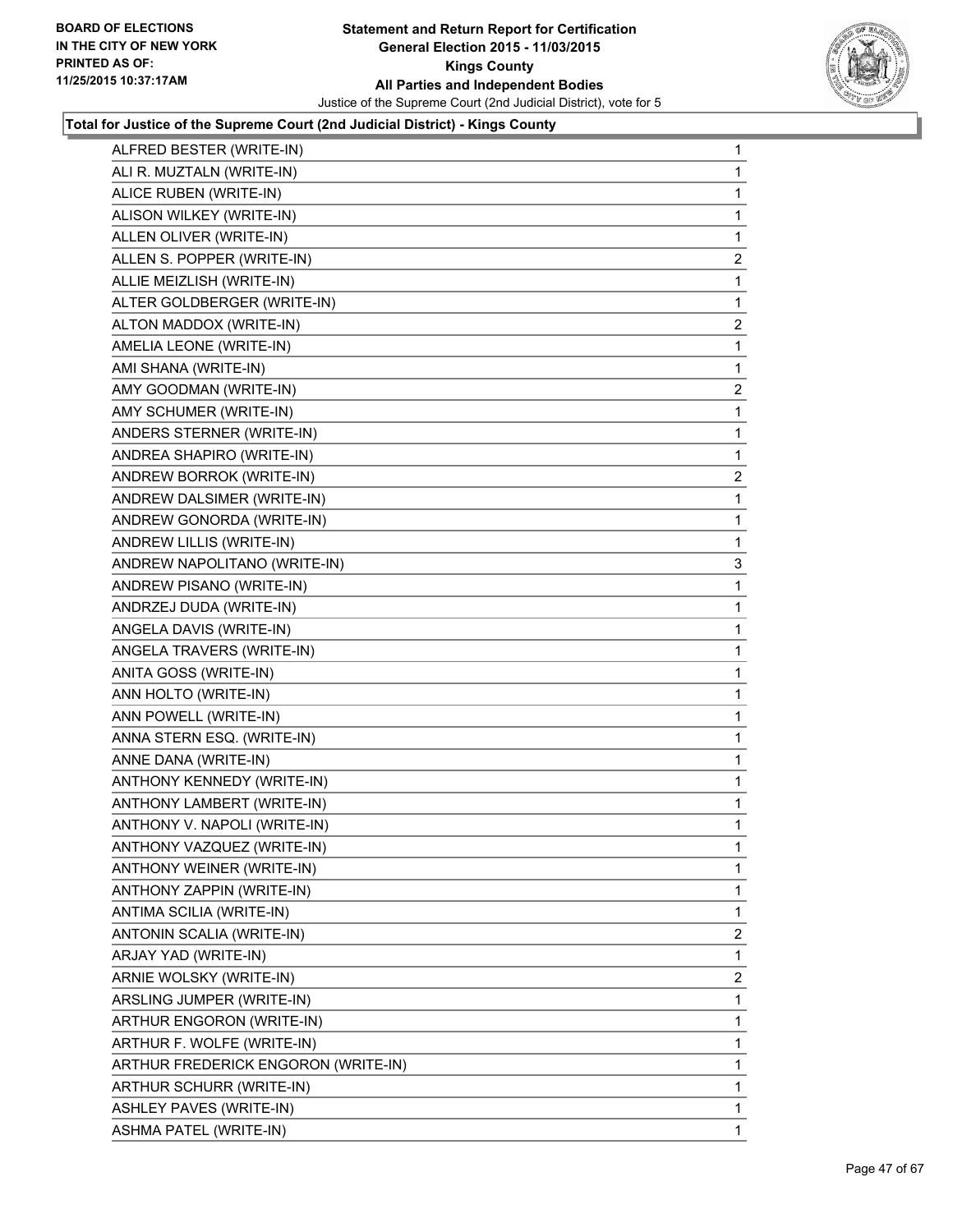

| ALFRED BESTER (WRITE-IN)            | $\mathbf{1}$   |
|-------------------------------------|----------------|
| ALI R. MUZTALN (WRITE-IN)           | 1              |
| ALICE RUBEN (WRITE-IN)              | 1              |
| ALISON WILKEY (WRITE-IN)            | 1              |
| ALLEN OLIVER (WRITE-IN)             | 1              |
| ALLEN S. POPPER (WRITE-IN)          | 2              |
| ALLIE MEIZLISH (WRITE-IN)           | 1              |
| ALTER GOLDBERGER (WRITE-IN)         | 1              |
| ALTON MADDOX (WRITE-IN)             | $\overline{a}$ |
| AMELIA LEONE (WRITE-IN)             | 1              |
| AMI SHANA (WRITE-IN)                | 1              |
| AMY GOODMAN (WRITE-IN)              | $\mathbf{2}$   |
| AMY SCHUMER (WRITE-IN)              | 1              |
| ANDERS STERNER (WRITE-IN)           | 1              |
| ANDREA SHAPIRO (WRITE-IN)           | 1              |
| ANDREW BORROK (WRITE-IN)            | $\overline{2}$ |
| ANDREW DALSIMER (WRITE-IN)          | 1              |
| ANDREW GONORDA (WRITE-IN)           | 1              |
| ANDREW LILLIS (WRITE-IN)            | 1              |
| ANDREW NAPOLITANO (WRITE-IN)        | 3              |
| ANDREW PISANO (WRITE-IN)            | 1              |
| ANDRZEJ DUDA (WRITE-IN)             | 1              |
| ANGELA DAVIS (WRITE-IN)             | 1              |
| ANGELA TRAVERS (WRITE-IN)           | 1              |
| ANITA GOSS (WRITE-IN)               | 1              |
| ANN HOLTO (WRITE-IN)                | 1              |
| ANN POWELL (WRITE-IN)               | 1              |
| ANNA STERN ESQ. (WRITE-IN)          | 1              |
| ANNE DANA (WRITE-IN)                | 1              |
| ANTHONY KENNEDY (WRITE-IN)          | 1              |
| ANTHONY LAMBERT (WRITE-IN)          | 1              |
| ANTHONY V. NAPOLI (WRITE-IN)        | 1              |
| ANTHONY VAZQUEZ (WRITE-IN)          | 1              |
| ANTHONY WEINER (WRITE-IN)           | $\mathbf{1}$   |
| ANTHONY ZAPPIN (WRITE-IN)           | 1              |
| ANTIMA SCILIA (WRITE-IN)            | 1              |
| ANTONIN SCALIA (WRITE-IN)           | $\overline{2}$ |
| ARJAY YAD (WRITE-IN)                | 1              |
| ARNIE WOLSKY (WRITE-IN)             | 2              |
| ARSLING JUMPER (WRITE-IN)           | 1              |
| ARTHUR ENGORON (WRITE-IN)           | 1              |
| ARTHUR F. WOLFE (WRITE-IN)          | 1              |
| ARTHUR FREDERICK ENGORON (WRITE-IN) | 1              |
| ARTHUR SCHURR (WRITE-IN)            | $\mathbf{1}$   |
| <b>ASHLEY PAVES (WRITE-IN)</b>      | 1              |
| <b>ASHMA PATEL (WRITE-IN)</b>       | $\mathbf 1$    |
|                                     |                |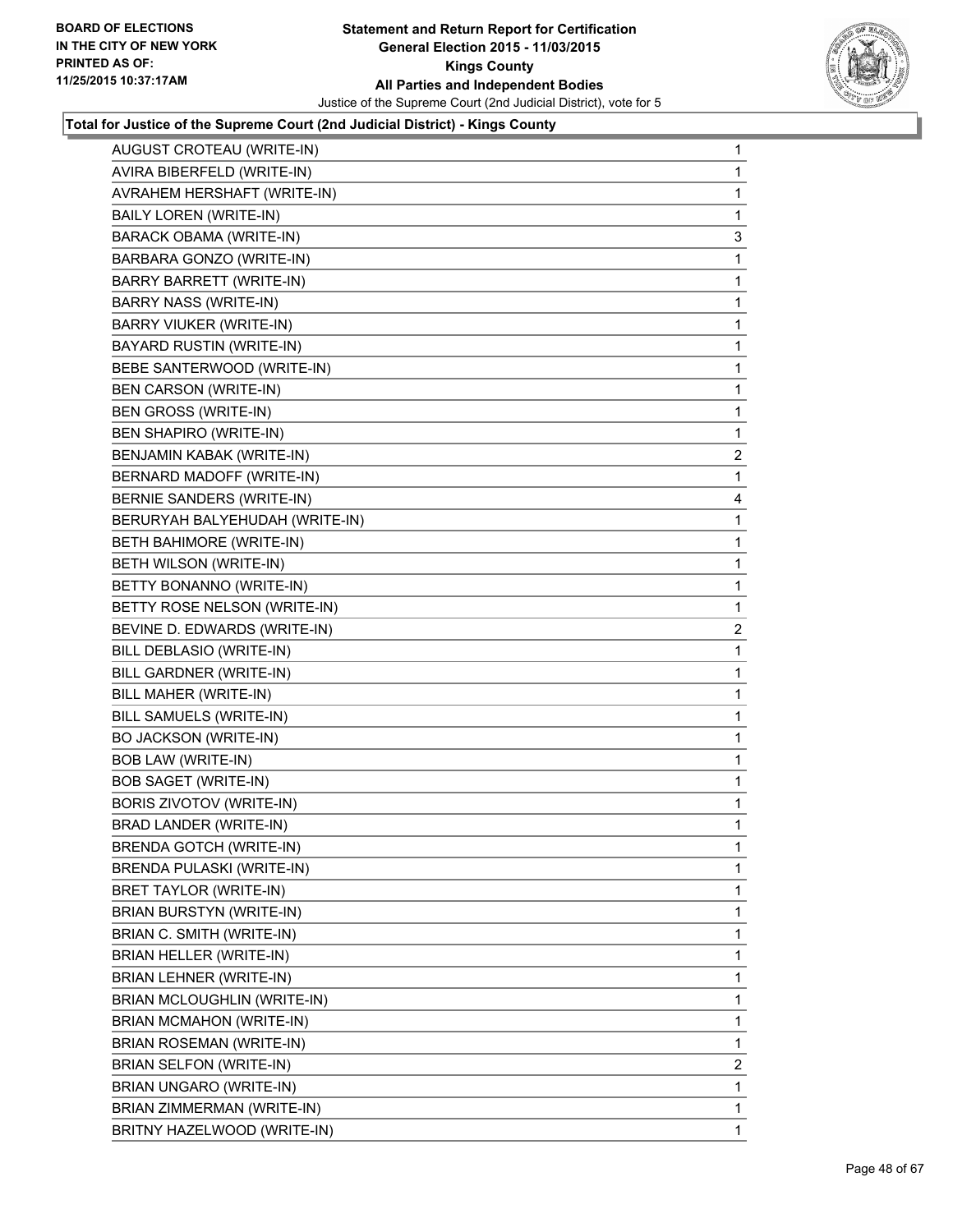

| AUGUST CROTEAU (WRITE-IN)       | 1                       |
|---------------------------------|-------------------------|
| AVIRA BIBERFELD (WRITE-IN)      | 1                       |
| AVRAHEM HERSHAFT (WRITE-IN)     | 1                       |
| BAILY LOREN (WRITE-IN)          | 1                       |
| <b>BARACK OBAMA (WRITE-IN)</b>  | 3                       |
| BARBARA GONZO (WRITE-IN)        | 1                       |
| <b>BARRY BARRETT (WRITE-IN)</b> | 1                       |
| BARRY NASS (WRITE-IN)           | 1                       |
| <b>BARRY VIUKER (WRITE-IN)</b>  | 1                       |
| BAYARD RUSTIN (WRITE-IN)        | 1                       |
| BEBE SANTERWOOD (WRITE-IN)      | 1                       |
| BEN CARSON (WRITE-IN)           | 1                       |
| BEN GROSS (WRITE-IN)            | 1                       |
| <b>BEN SHAPIRO (WRITE-IN)</b>   | 1                       |
| BENJAMIN KABAK (WRITE-IN)       | $\overline{\mathbf{c}}$ |
| BERNARD MADOFF (WRITE-IN)       | 1                       |
| BERNIE SANDERS (WRITE-IN)       | 4                       |
| BERURYAH BALYEHUDAH (WRITE-IN)  | 1                       |
| BETH BAHIMORE (WRITE-IN)        | 1                       |
| BETH WILSON (WRITE-IN)          | 1                       |
| BETTY BONANNO (WRITE-IN)        | 1                       |
| BETTY ROSE NELSON (WRITE-IN)    | 1                       |
| BEVINE D. EDWARDS (WRITE-IN)    | 2                       |
| BILL DEBLASIO (WRITE-IN)        | 1                       |
| BILL GARDNER (WRITE-IN)         | 1                       |
| BILL MAHER (WRITE-IN)           | 1                       |
| BILL SAMUELS (WRITE-IN)         | 1                       |
| <b>BO JACKSON (WRITE-IN)</b>    | 1                       |
| <b>BOB LAW (WRITE-IN)</b>       | 1                       |
| <b>BOB SAGET (WRITE-IN)</b>     | 1                       |
| BORIS ZIVOTOV (WRITE-IN)        | 1                       |
| <b>BRAD LANDER (WRITE-IN)</b>   | 1                       |
| <b>BRENDA GOTCH (WRITE-IN)</b>  | 1                       |
| BRENDA PULASKI (WRITE-IN)       | 1                       |
| BRET TAYLOR (WRITE-IN)          | 1                       |
| BRIAN BURSTYN (WRITE-IN)        | 1                       |
| BRIAN C. SMITH (WRITE-IN)       | 1                       |
| BRIAN HELLER (WRITE-IN)         | 1                       |
| BRIAN LEHNER (WRITE-IN)         | 1                       |
| BRIAN MCLOUGHLIN (WRITE-IN)     | 1                       |
| BRIAN MCMAHON (WRITE-IN)        | 1                       |
| <b>BRIAN ROSEMAN (WRITE-IN)</b> | 1                       |
| BRIAN SELFON (WRITE-IN)         | 2                       |
| BRIAN UNGARO (WRITE-IN)         | 1                       |
| BRIAN ZIMMERMAN (WRITE-IN)      | 1                       |
| BRITNY HAZELWOOD (WRITE-IN)     | $\mathbf{1}$            |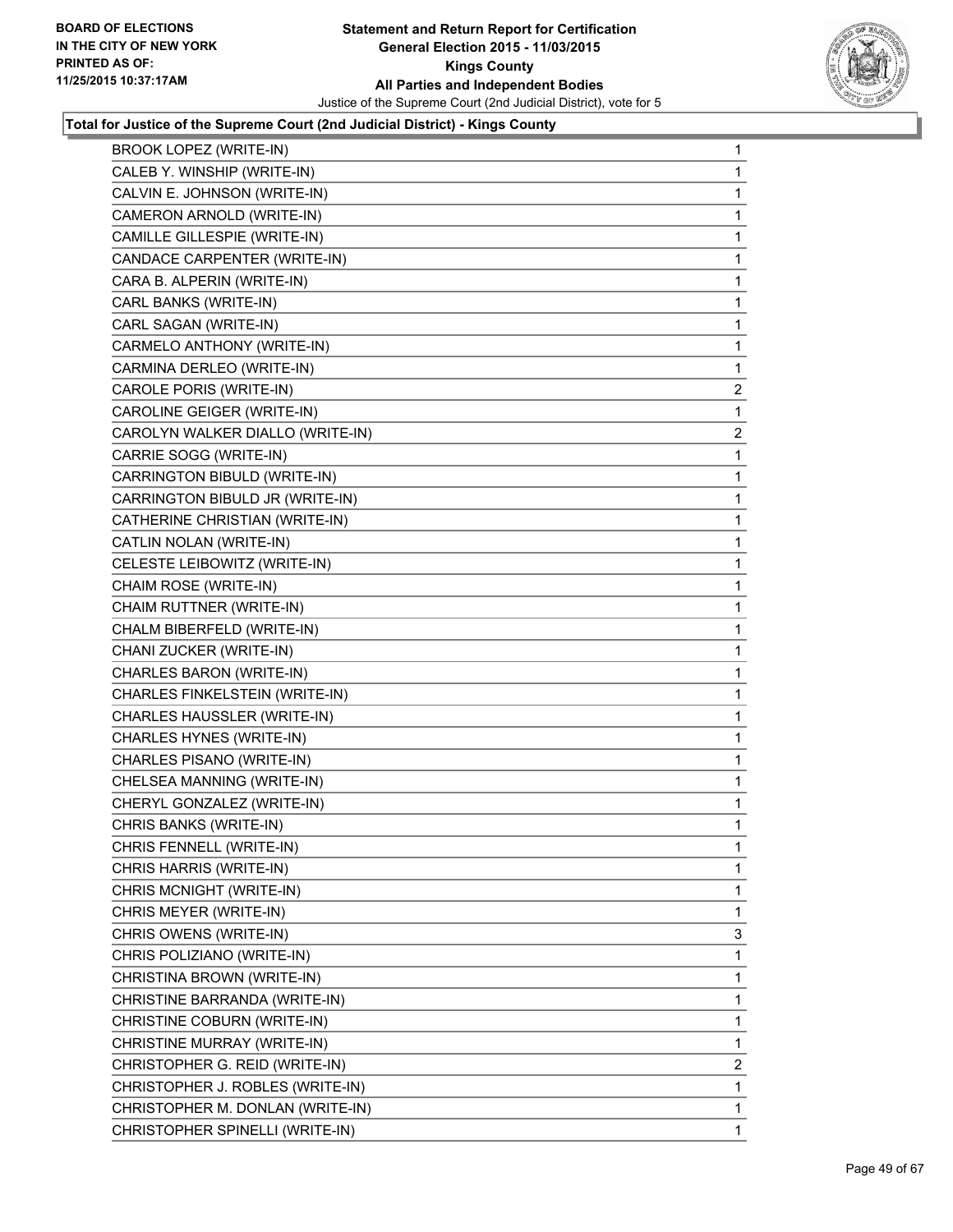

| BROOK LOPEZ (WRITE-IN)           | 1            |
|----------------------------------|--------------|
| CALEB Y. WINSHIP (WRITE-IN)      | 1.           |
| CALVIN E. JOHNSON (WRITE-IN)     | 1            |
| CAMERON ARNOLD (WRITE-IN)        | 1            |
| CAMILLE GILLESPIE (WRITE-IN)     | 1            |
| CANDACE CARPENTER (WRITE-IN)     | 1            |
| CARA B. ALPERIN (WRITE-IN)       | 1            |
| CARL BANKS (WRITE-IN)            | 1            |
| CARL SAGAN (WRITE-IN)            | 1            |
| CARMELO ANTHONY (WRITE-IN)       | 1            |
| CARMINA DERLEO (WRITE-IN)        | 1            |
| CAROLE PORIS (WRITE-IN)          | 2            |
| CAROLINE GEIGER (WRITE-IN)       | 1            |
| CAROLYN WALKER DIALLO (WRITE-IN) | 2            |
| CARRIE SOGG (WRITE-IN)           | 1            |
| CARRINGTON BIBULD (WRITE-IN)     | 1            |
| CARRINGTON BIBULD JR (WRITE-IN)  | 1            |
| CATHERINE CHRISTIAN (WRITE-IN)   | 1            |
| CATLIN NOLAN (WRITE-IN)          | 1            |
| CELESTE LEIBOWITZ (WRITE-IN)     | 1            |
| CHAIM ROSE (WRITE-IN)            | 1            |
| CHAIM RUTTNER (WRITE-IN)         | 1            |
| CHALM BIBERFELD (WRITE-IN)       | 1            |
| CHANI ZUCKER (WRITE-IN)          | 1            |
| CHARLES BARON (WRITE-IN)         | 1            |
| CHARLES FINKELSTEIN (WRITE-IN)   | 1            |
| CHARLES HAUSSLER (WRITE-IN)      | 1            |
| CHARLES HYNES (WRITE-IN)         | 1            |
| CHARLES PISANO (WRITE-IN)        | 1            |
| CHELSEA MANNING (WRITE-IN)       | 1            |
| CHERYL GONZALEZ (WRITE-IN)       | 1            |
| CHRIS BANKS (WRITE-IN)           | 1            |
| CHRIS FENNELL (WRITE-IN)         | 1            |
| CHRIS HARRIS (WRITE-IN)          | $\mathbf{1}$ |
| CHRIS MCNIGHT (WRITE-IN)         | 1            |
| CHRIS MEYER (WRITE-IN)           | 1            |
| CHRIS OWENS (WRITE-IN)           | 3            |
| CHRIS POLIZIANO (WRITE-IN)       | 1            |
| CHRISTINA BROWN (WRITE-IN)       | 1            |
| CHRISTINE BARRANDA (WRITE-IN)    | 1            |
| CHRISTINE COBURN (WRITE-IN)      | 1            |
| CHRISTINE MURRAY (WRITE-IN)      | 1            |
| CHRISTOPHER G. REID (WRITE-IN)   | 2            |
| CHRISTOPHER J. ROBLES (WRITE-IN) | 1            |
| CHRISTOPHER M. DONLAN (WRITE-IN) | 1            |
| CHRISTOPHER SPINELLI (WRITE-IN)  | 1            |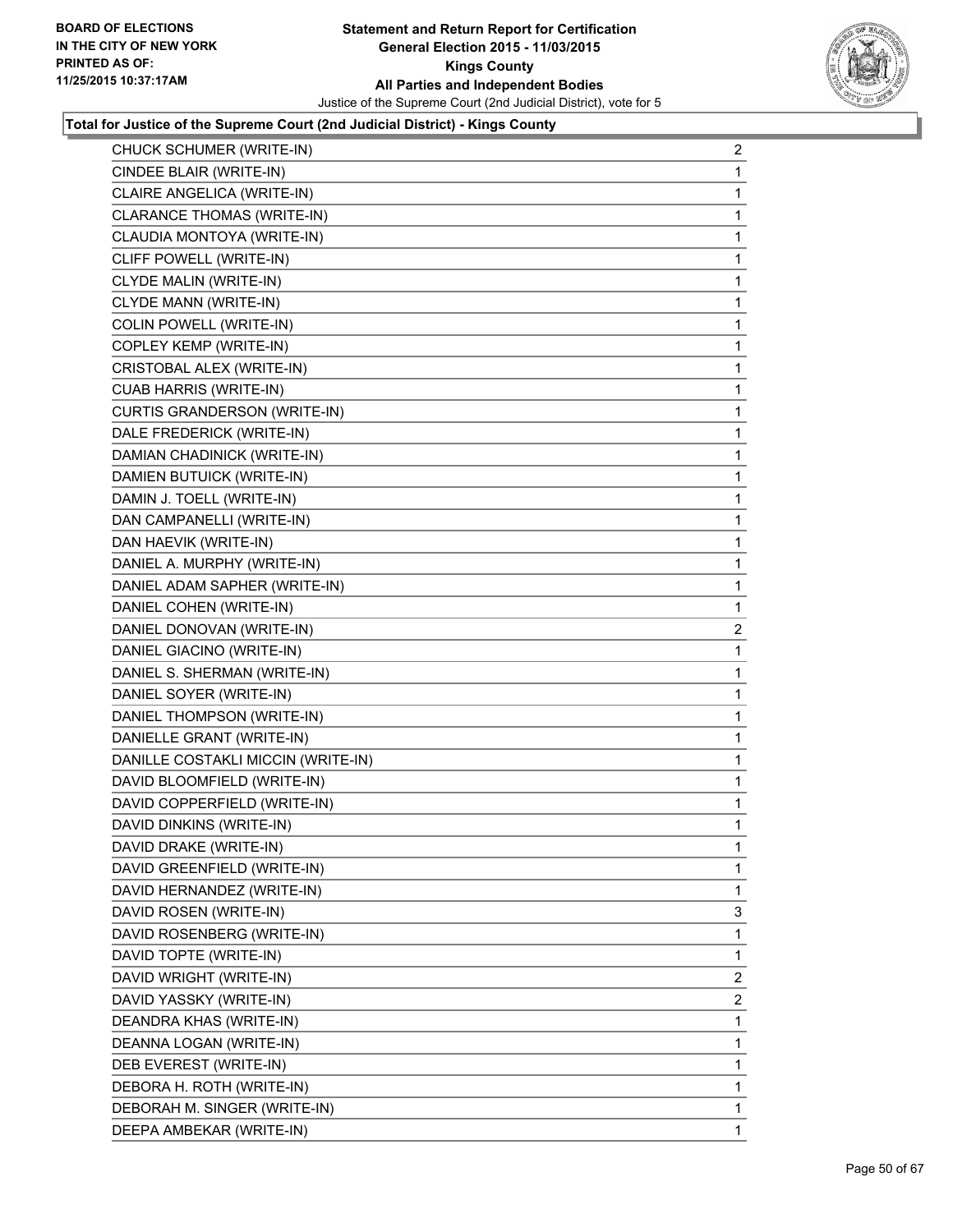

| CHUCK SCHUMER (WRITE-IN)           | 2              |
|------------------------------------|----------------|
| CINDEE BLAIR (WRITE-IN)            | 1              |
| CLAIRE ANGELICA (WRITE-IN)         | 1              |
| CLARANCE THOMAS (WRITE-IN)         | 1              |
| CLAUDIA MONTOYA (WRITE-IN)         | 1              |
| CLIFF POWELL (WRITE-IN)            | 1              |
| CLYDE MALIN (WRITE-IN)             | 1              |
| CLYDE MANN (WRITE-IN)              | 1              |
| COLIN POWELL (WRITE-IN)            | 1              |
| COPLEY KEMP (WRITE-IN)             | 1              |
| CRISTOBAL ALEX (WRITE-IN)          | 1              |
| CUAB HARRIS (WRITE-IN)             | 1              |
| CURTIS GRANDERSON (WRITE-IN)       | 1              |
| DALE FREDERICK (WRITE-IN)          | 1              |
| DAMIAN CHADINICK (WRITE-IN)        | 1              |
| DAMIEN BUTUICK (WRITE-IN)          | 1              |
| DAMIN J. TOELL (WRITE-IN)          | 1              |
| DAN CAMPANELLI (WRITE-IN)          | 1              |
| DAN HAEVIK (WRITE-IN)              | 1              |
| DANIEL A. MURPHY (WRITE-IN)        | 1              |
| DANIEL ADAM SAPHER (WRITE-IN)      | 1              |
| DANIEL COHEN (WRITE-IN)            | 1              |
| DANIEL DONOVAN (WRITE-IN)          | $\overline{c}$ |
| DANIEL GIACINO (WRITE-IN)          | 1              |
| DANIEL S. SHERMAN (WRITE-IN)       | 1              |
| DANIEL SOYER (WRITE-IN)            | 1              |
| DANIEL THOMPSON (WRITE-IN)         | 1              |
| DANIELLE GRANT (WRITE-IN)          | 1              |
| DANILLE COSTAKLI MICCIN (WRITE-IN) | 1              |
| DAVID BLOOMFIELD (WRITE-IN)        | 1              |
| DAVID COPPERFIELD (WRITE-IN)       | 1              |
| DAVID DINKINS (WRITE-IN)           | 1              |
| DAVID DRAKE (WRITE-IN)             | 1              |
| DAVID GREENFIELD (WRITE-IN)        | 1              |
| DAVID HERNANDEZ (WRITE-IN)         | 1              |
| DAVID ROSEN (WRITE-IN)             | 3              |
| DAVID ROSENBERG (WRITE-IN)         | 1              |
| DAVID TOPTE (WRITE-IN)             | 1              |
| DAVID WRIGHT (WRITE-IN)            | 2              |
| DAVID YASSKY (WRITE-IN)            | $\overline{2}$ |
| DEANDRA KHAS (WRITE-IN)            | 1              |
| DEANNA LOGAN (WRITE-IN)            | 1              |
| DEB EVEREST (WRITE-IN)             | 1              |
| DEBORA H. ROTH (WRITE-IN)          | 1              |
| DEBORAH M. SINGER (WRITE-IN)       | 1              |
| DEEPA AMBEKAR (WRITE-IN)           | 1.             |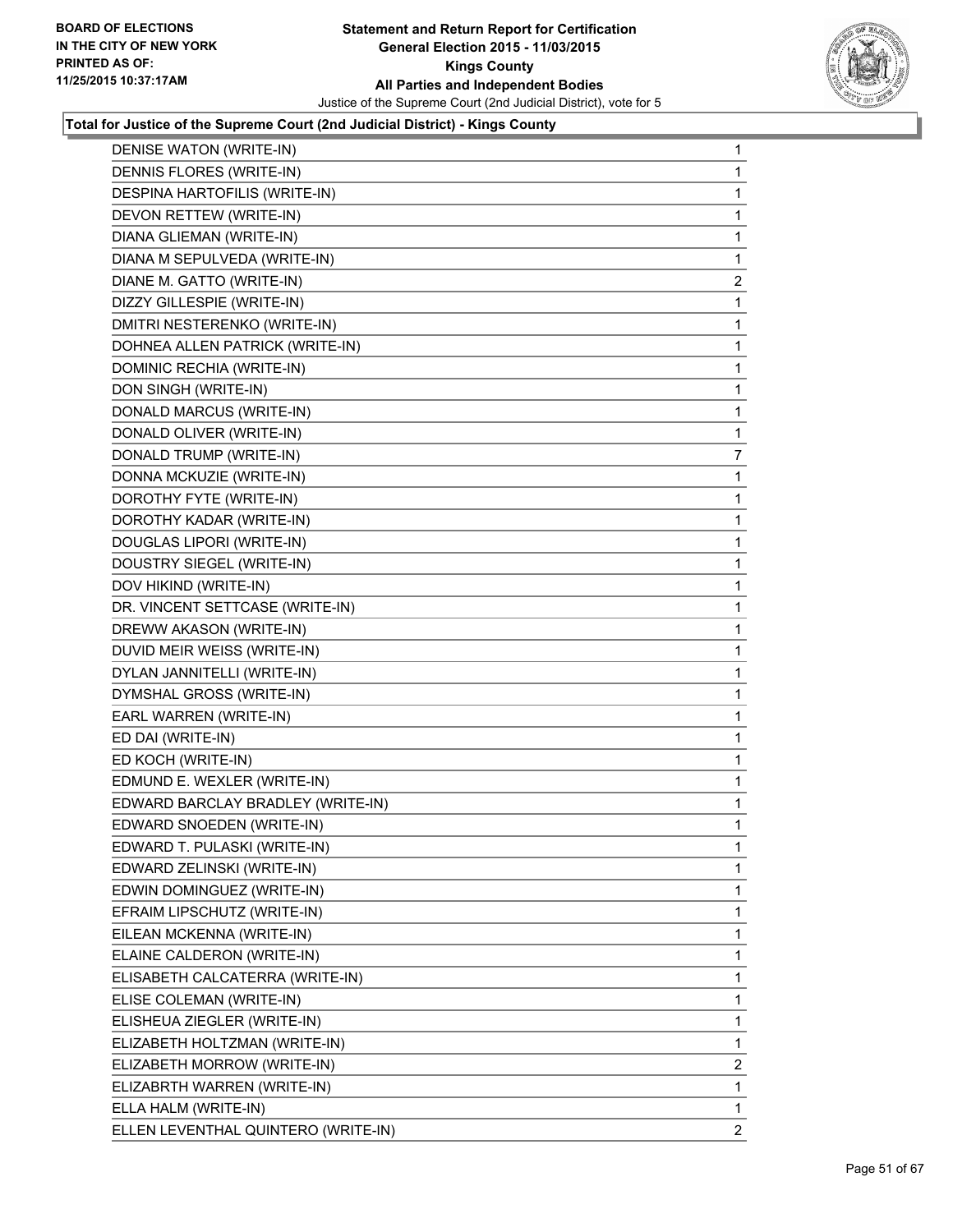

| DENISE WATON (WRITE-IN)             | 1              |
|-------------------------------------|----------------|
| DENNIS FLORES (WRITE-IN)            | 1              |
| DESPINA HARTOFILIS (WRITE-IN)       | 1              |
| DEVON RETTEW (WRITE-IN)             | 1              |
| DIANA GLIEMAN (WRITE-IN)            | 1              |
| DIANA M SEPULVEDA (WRITE-IN)        | 1              |
| DIANE M. GATTO (WRITE-IN)           | $\overline{c}$ |
| DIZZY GILLESPIE (WRITE-IN)          | 1              |
| DMITRI NESTERENKO (WRITE-IN)        | 1              |
| DOHNEA ALLEN PATRICK (WRITE-IN)     | 1              |
| DOMINIC RECHIA (WRITE-IN)           | 1              |
| DON SINGH (WRITE-IN)                | 1              |
| DONALD MARCUS (WRITE-IN)            | 1              |
| DONALD OLIVER (WRITE-IN)            | 1              |
| DONALD TRUMP (WRITE-IN)             | 7              |
| DONNA MCKUZIE (WRITE-IN)            | 1              |
| DOROTHY FYTE (WRITE-IN)             | 1              |
| DOROTHY KADAR (WRITE-IN)            | 1              |
| DOUGLAS LIPORI (WRITE-IN)           | 1              |
| DOUSTRY SIEGEL (WRITE-IN)           | 1              |
| DOV HIKIND (WRITE-IN)               | 1              |
| DR. VINCENT SETTCASE (WRITE-IN)     | 1              |
| DREWW AKASON (WRITE-IN)             | 1              |
| DUVID MEIR WEISS (WRITE-IN)         | 1              |
| DYLAN JANNITELLI (WRITE-IN)         | 1              |
| DYMSHAL GROSS (WRITE-IN)            | 1              |
| EARL WARREN (WRITE-IN)              | 1              |
| ED DAI (WRITE-IN)                   | 1              |
| ED KOCH (WRITE-IN)                  | 1              |
| EDMUND E. WEXLER (WRITE-IN)         | 1              |
| EDWARD BARCLAY BRADLEY (WRITE-IN)   | 1              |
| EDWARD SNOEDEN (WRITE-IN)           | 1              |
| EDWARD T. PULASKI (WRITE-IN)        | 1              |
| EDWARD ZELINSKI (WRITE-IN)          | 1              |
| EDWIN DOMINGUEZ (WRITE-IN)          | 1              |
| EFRAIM LIPSCHUTZ (WRITE-IN)         | 1              |
| EILEAN MCKENNA (WRITE-IN)           | 1              |
| ELAINE CALDERON (WRITE-IN)          | 1              |
| ELISABETH CALCATERRA (WRITE-IN)     | 1              |
| ELISE COLEMAN (WRITE-IN)            | 1              |
| ELISHEUA ZIEGLER (WRITE-IN)         | 1              |
| ELIZABETH HOLTZMAN (WRITE-IN)       | 1              |
| ELIZABETH MORROW (WRITE-IN)         | 2              |
| ELIZABRTH WARREN (WRITE-IN)         | 1              |
| ELLA HALM (WRITE-IN)                | 1              |
| ELLEN LEVENTHAL QUINTERO (WRITE-IN) | $\mathbf{2}$   |
|                                     |                |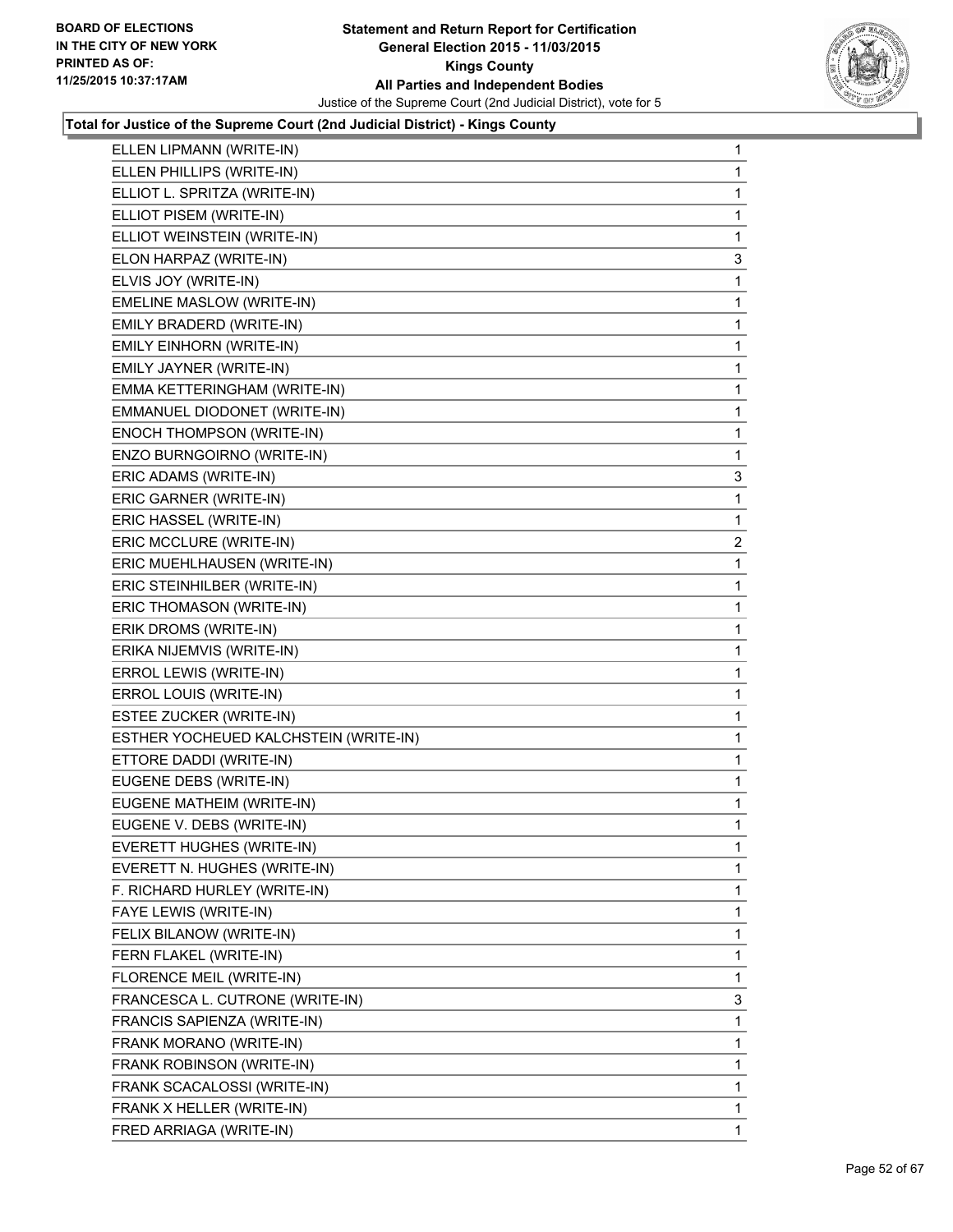

| ELLEN LIPMANN (WRITE-IN)              | 1            |
|---------------------------------------|--------------|
| ELLEN PHILLIPS (WRITE-IN)             | 1            |
| ELLIOT L. SPRITZA (WRITE-IN)          | 1            |
| ELLIOT PISEM (WRITE-IN)               | 1            |
| ELLIOT WEINSTEIN (WRITE-IN)           | 1            |
| ELON HARPAZ (WRITE-IN)                | 3            |
| ELVIS JOY (WRITE-IN)                  | 1            |
| EMELINE MASLOW (WRITE-IN)             | 1            |
| EMILY BRADERD (WRITE-IN)              | 1            |
| EMILY EINHORN (WRITE-IN)              | 1            |
| EMILY JAYNER (WRITE-IN)               | 1            |
| EMMA KETTERINGHAM (WRITE-IN)          | 1            |
| EMMANUEL DIODONET (WRITE-IN)          | 1            |
| ENOCH THOMPSON (WRITE-IN)             | 1            |
| ENZO BURNGOIRNO (WRITE-IN)            | 1            |
| ERIC ADAMS (WRITE-IN)                 | 3            |
| ERIC GARNER (WRITE-IN)                | 1            |
| ERIC HASSEL (WRITE-IN)                | 1            |
| ERIC MCCLURE (WRITE-IN)               | $\mathbf{2}$ |
| ERIC MUEHLHAUSEN (WRITE-IN)           | 1            |
| ERIC STEINHILBER (WRITE-IN)           | 1            |
| ERIC THOMASON (WRITE-IN)              | 1            |
| ERIK DROMS (WRITE-IN)                 | 1            |
| ERIKA NIJEMVIS (WRITE-IN)             | 1            |
| ERROL LEWIS (WRITE-IN)                | 1            |
| ERROL LOUIS (WRITE-IN)                | 1            |
| ESTEE ZUCKER (WRITE-IN)               | 1            |
| ESTHER YOCHEUED KALCHSTEIN (WRITE-IN) | 1            |
| ETTORE DADDI (WRITE-IN)               | 1            |
| EUGENE DEBS (WRITE-IN)                | 1            |
| EUGENE MATHEIM (WRITE-IN)             | 1            |
| EUGENE V. DEBS (WRITE-IN)             | 1            |
| EVERETT HUGHES (WRITE-IN)             | 1            |
| EVERETT N. HUGHES (WRITE-IN)          | 1            |
| F. RICHARD HURLEY (WRITE-IN)          | 1            |
| FAYE LEWIS (WRITE-IN)                 | 1            |
| FELIX BILANOW (WRITE-IN)              | 1            |
| FERN FLAKEL (WRITE-IN)                | 1            |
| FLORENCE MEIL (WRITE-IN)              | 1            |
| FRANCESCA L. CUTRONE (WRITE-IN)       | 3            |
| FRANCIS SAPIENZA (WRITE-IN)           | 1            |
| FRANK MORANO (WRITE-IN)               | 1            |
| FRANK ROBINSON (WRITE-IN)             | 1            |
| FRANK SCACALOSSI (WRITE-IN)           | 1            |
| FRANK X HELLER (WRITE-IN)             |              |
|                                       | 1            |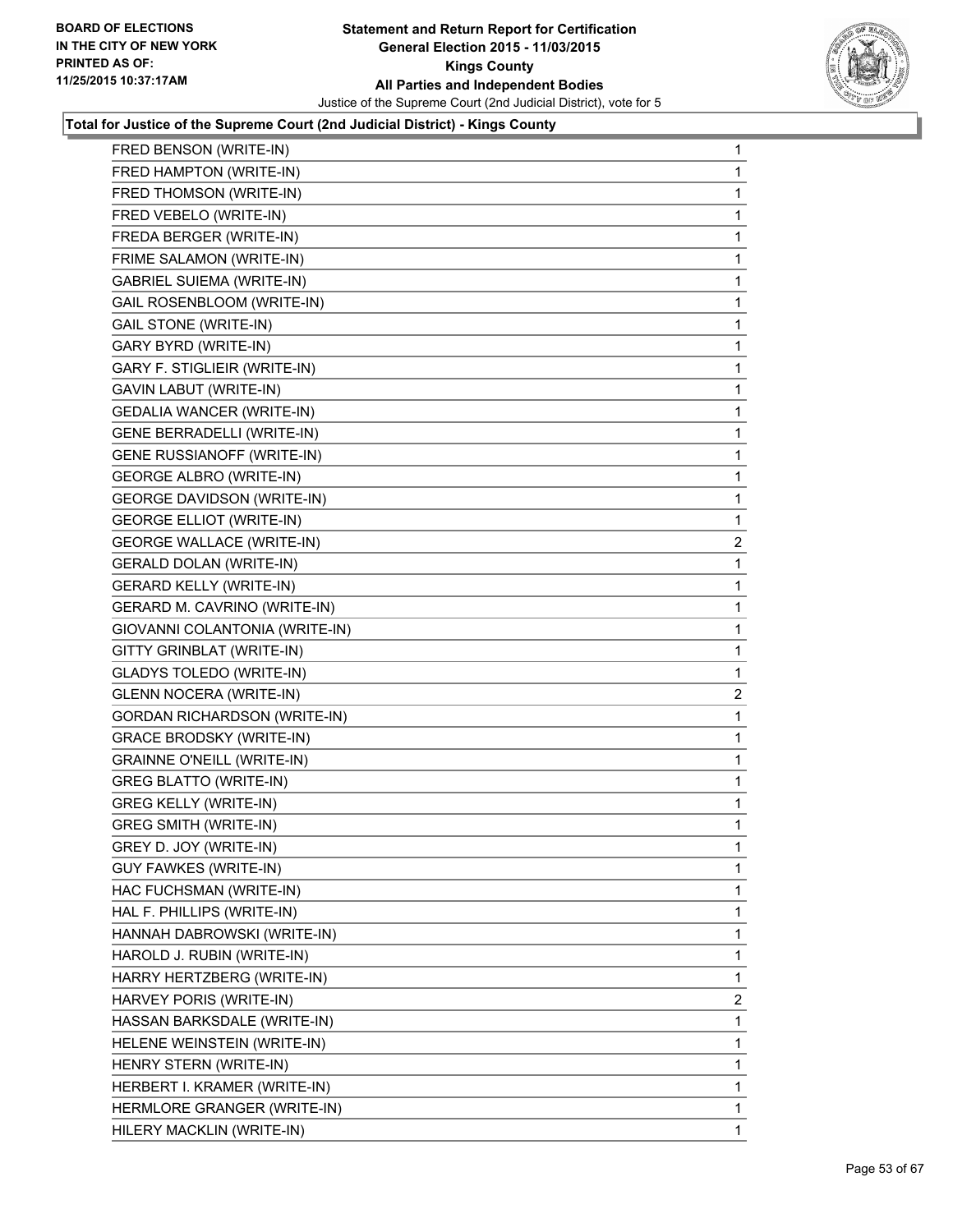

| FRED BENSON (WRITE-IN)              | 1            |
|-------------------------------------|--------------|
| FRED HAMPTON (WRITE-IN)             | 1            |
| FRED THOMSON (WRITE-IN)             | 1            |
| FRED VEBELO (WRITE-IN)              | 1            |
| FREDA BERGER (WRITE-IN)             | 1            |
| FRIME SALAMON (WRITE-IN)            | 1            |
| <b>GABRIEL SUIEMA (WRITE-IN)</b>    | 1            |
| GAIL ROSENBLOOM (WRITE-IN)          | 1            |
| <b>GAIL STONE (WRITE-IN)</b>        | 1            |
| GARY BYRD (WRITE-IN)                | 1            |
| GARY F. STIGLIEIR (WRITE-IN)        | 1            |
| GAVIN LABUT (WRITE-IN)              | 1            |
| <b>GEDALIA WANCER (WRITE-IN)</b>    | 1            |
| GENE BERRADELLI (WRITE-IN)          | 1            |
| GENE RUSSIANOFF (WRITE-IN)          | 1            |
| <b>GEORGE ALBRO (WRITE-IN)</b>      | 1            |
| <b>GEORGE DAVIDSON (WRITE-IN)</b>   | 1            |
| <b>GEORGE ELLIOT (WRITE-IN)</b>     | 1            |
| <b>GEORGE WALLACE (WRITE-IN)</b>    | $\mathbf{2}$ |
| <b>GERALD DOLAN (WRITE-IN)</b>      | 1            |
| <b>GERARD KELLY (WRITE-IN)</b>      | 1            |
| GERARD M. CAVRINO (WRITE-IN)        | 1            |
| GIOVANNI COLANTONIA (WRITE-IN)      | 1            |
| GITTY GRINBLAT (WRITE-IN)           | 1            |
| <b>GLADYS TOLEDO (WRITE-IN)</b>     | 1            |
| <b>GLENN NOCERA (WRITE-IN)</b>      | 2            |
| <b>GORDAN RICHARDSON (WRITE-IN)</b> | 1            |
| <b>GRACE BRODSKY (WRITE-IN)</b>     | 1            |
| <b>GRAINNE O'NEILL (WRITE-IN)</b>   | 1            |
| <b>GREG BLATTO (WRITE-IN)</b>       | 1            |
| <b>GREG KELLY (WRITE-IN)</b>        | 1            |
| <b>GREG SMITH (WRITE-IN)</b>        | 1            |
| GREY D. JOY (WRITE-IN)              | 1            |
| <b>GUY FAWKES (WRITE-IN)</b>        | 1            |
| HAC FUCHSMAN (WRITE-IN)             | 1            |
| HAL F. PHILLIPS (WRITE-IN)          | 1            |
| HANNAH DABROWSKI (WRITE-IN)         | 1            |
| HAROLD J. RUBIN (WRITE-IN)          | 1            |
| HARRY HERTZBERG (WRITE-IN)          | 1            |
| HARVEY PORIS (WRITE-IN)             | $\mathbf{2}$ |
| HASSAN BARKSDALE (WRITE-IN)         | 1            |
| HELENE WEINSTEIN (WRITE-IN)         | 1            |
| HENRY STERN (WRITE-IN)              | 1            |
| HERBERT I. KRAMER (WRITE-IN)        | 1            |
| HERMLORE GRANGER (WRITE-IN)         | 1            |
| HILERY MACKLIN (WRITE-IN)           | 1            |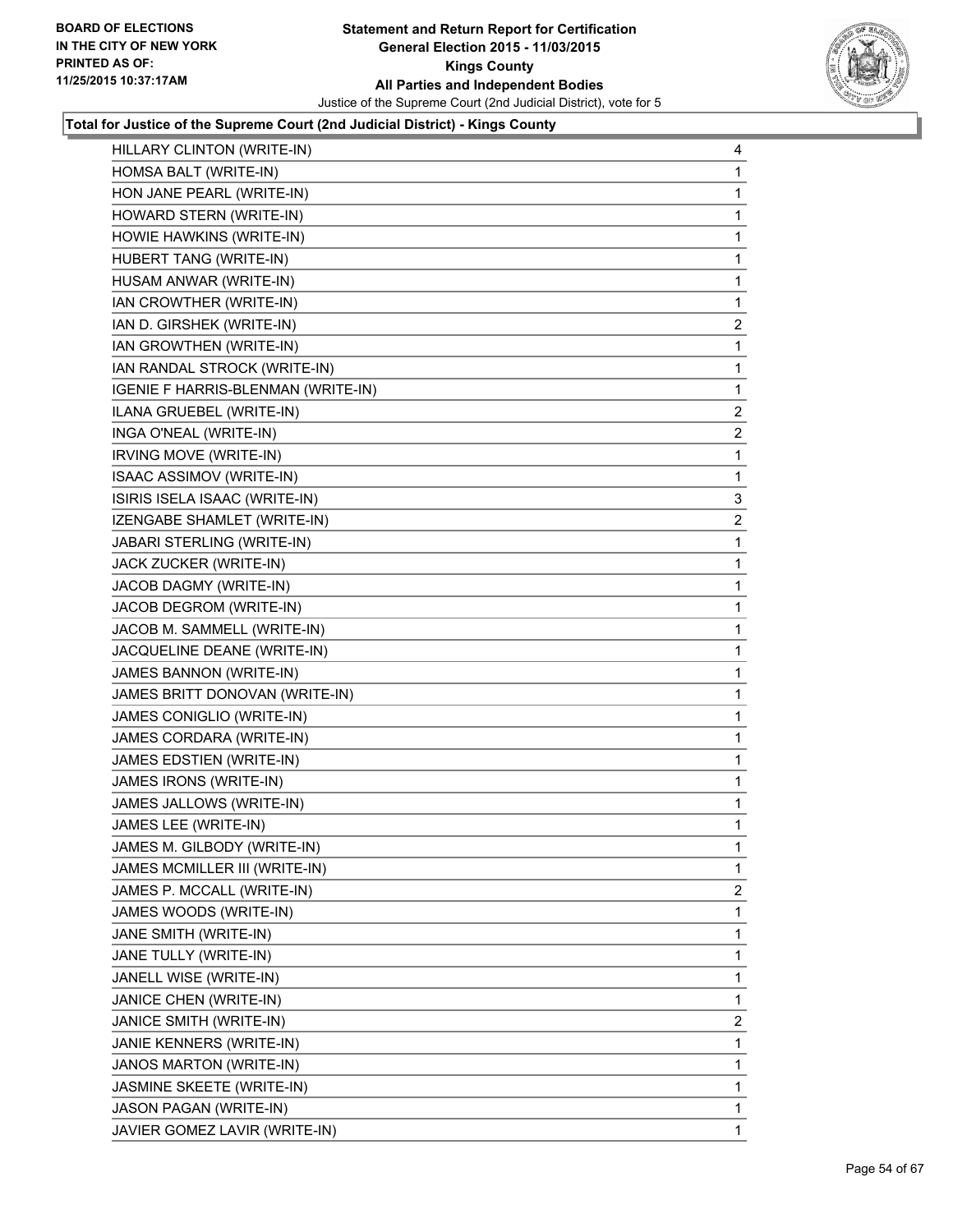

| HILLARY CLINTON (WRITE-IN)         | 4            |
|------------------------------------|--------------|
| HOMSA BALT (WRITE-IN)              | 1            |
| HON JANE PEARL (WRITE-IN)          | 1            |
| HOWARD STERN (WRITE-IN)            | 1            |
| HOWIE HAWKINS (WRITE-IN)           | 1            |
| HUBERT TANG (WRITE-IN)             | 1            |
| HUSAM ANWAR (WRITE-IN)             | 1            |
| IAN CROWTHER (WRITE-IN)            | 1            |
| IAN D. GIRSHEK (WRITE-IN)          | 2            |
| IAN GROWTHEN (WRITE-IN)            | 1            |
| IAN RANDAL STROCK (WRITE-IN)       | 1            |
| IGENIE F HARRIS-BLENMAN (WRITE-IN) | 1            |
| ILANA GRUEBEL (WRITE-IN)           | $\mathbf{2}$ |
| INGA O'NEAL (WRITE-IN)             | 2            |
| IRVING MOVE (WRITE-IN)             | 1            |
| ISAAC ASSIMOV (WRITE-IN)           | 1            |
| ISIRIS ISELA ISAAC (WRITE-IN)      | 3            |
| IZENGABE SHAMLET (WRITE-IN)        | 2            |
| JABARI STERLING (WRITE-IN)         | 1            |
| JACK ZUCKER (WRITE-IN)             | 1            |
| JACOB DAGMY (WRITE-IN)             | 1            |
| JACOB DEGROM (WRITE-IN)            | 1            |
| JACOB M. SAMMELL (WRITE-IN)        | 1            |
| JACQUELINE DEANE (WRITE-IN)        | 1            |
| JAMES BANNON (WRITE-IN)            | 1            |
| JAMES BRITT DONOVAN (WRITE-IN)     | 1            |
| JAMES CONIGLIO (WRITE-IN)          | 1            |
| JAMES CORDARA (WRITE-IN)           | 1            |
| JAMES EDSTIEN (WRITE-IN)           | 1            |
| JAMES IRONS (WRITE-IN)             | 1            |
| JAMES JALLOWS (WRITE-IN)           | 1            |
| JAMES LEE (WRITE-IN)               | 1            |
| JAMES M. GILBODY (WRITE-IN)        | 1            |
| JAMES MCMILLER III (WRITE-IN)      | 1            |
| JAMES P. MCCALL (WRITE-IN)         | 2            |
| JAMES WOODS (WRITE-IN)             | 1            |
| JANE SMITH (WRITE-IN)              | 1            |
| JANE TULLY (WRITE-IN)              | 1            |
| JANELL WISE (WRITE-IN)             | 1            |
| JANICE CHEN (WRITE-IN)             | 1            |
| JANICE SMITH (WRITE-IN)            | 2            |
| JANIE KENNERS (WRITE-IN)           | 1            |
| JANOS MARTON (WRITE-IN)            | 1            |
| JASMINE SKEETE (WRITE-IN)          | 1            |
| JASON PAGAN (WRITE-IN)             | 1            |
| JAVIER GOMEZ LAVIR (WRITE-IN)      | 1.           |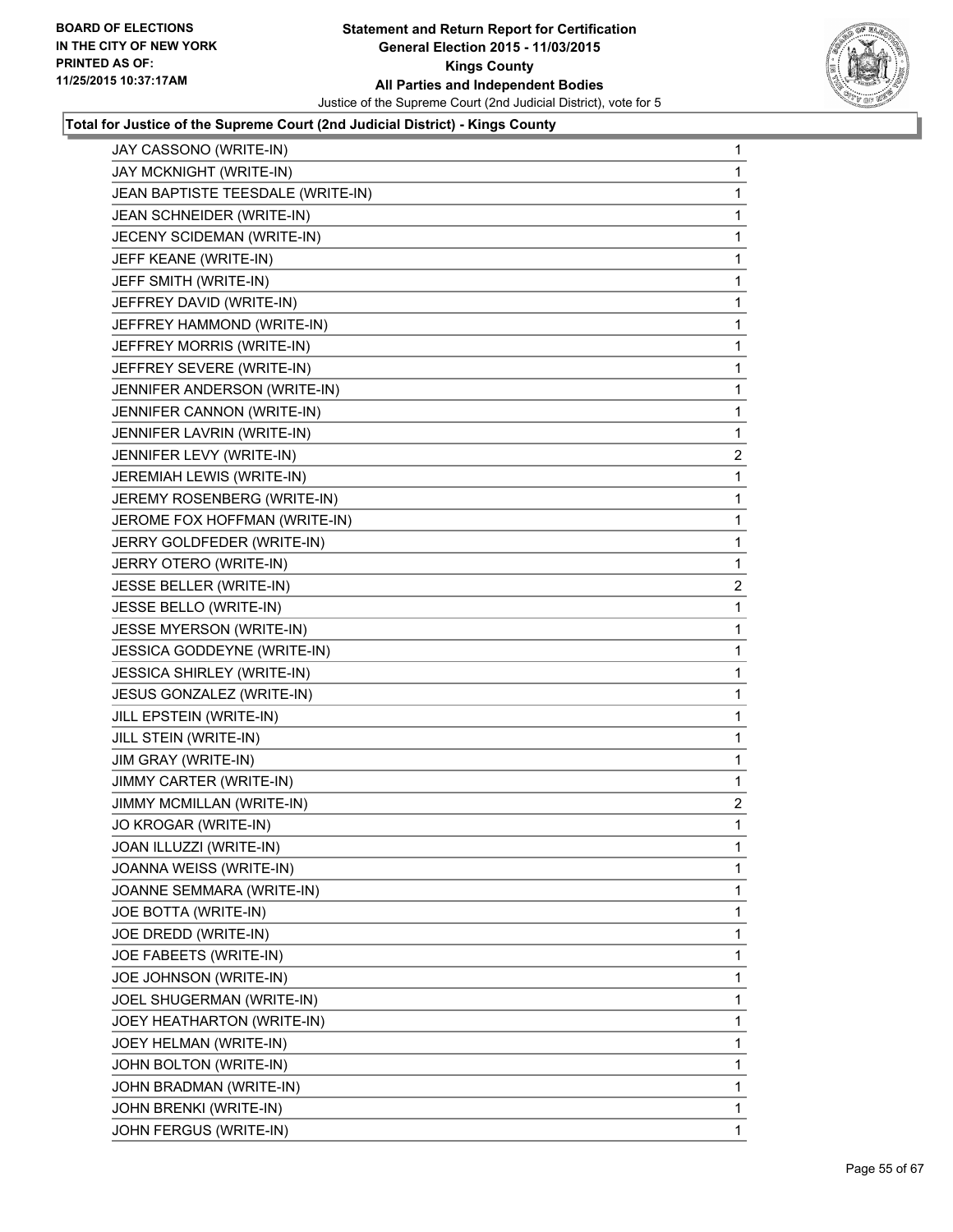

| JAY CASSONO (WRITE-IN)            | 1            |
|-----------------------------------|--------------|
| JAY MCKNIGHT (WRITE-IN)           | 1            |
| JEAN BAPTISTE TEESDALE (WRITE-IN) | 1            |
| JEAN SCHNEIDER (WRITE-IN)         | 1            |
| JECENY SCIDEMAN (WRITE-IN)        | 1            |
| JEFF KEANE (WRITE-IN)             | 1            |
| JEFF SMITH (WRITE-IN)             | 1            |
| JEFFREY DAVID (WRITE-IN)          | 1            |
| JEFFREY HAMMOND (WRITE-IN)        | 1            |
| JEFFREY MORRIS (WRITE-IN)         | 1            |
| JEFFREY SEVERE (WRITE-IN)         | 1            |
| JENNIFER ANDERSON (WRITE-IN)      | 1            |
| JENNIFER CANNON (WRITE-IN)        | 1            |
| JENNIFER LAVRIN (WRITE-IN)        | 1            |
| JENNIFER LEVY (WRITE-IN)          | 2            |
| JEREMIAH LEWIS (WRITE-IN)         | 1            |
| JEREMY ROSENBERG (WRITE-IN)       | 1            |
| JEROME FOX HOFFMAN (WRITE-IN)     | 1            |
| JERRY GOLDFEDER (WRITE-IN)        | 1            |
| JERRY OTERO (WRITE-IN)            | 1            |
| JESSE BELLER (WRITE-IN)           | 2            |
| JESSE BELLO (WRITE-IN)            | 1            |
| JESSE MYERSON (WRITE-IN)          | 1            |
| JESSICA GODDEYNE (WRITE-IN)       | 1            |
| <b>JESSICA SHIRLEY (WRITE-IN)</b> | 1            |
| JESUS GONZALEZ (WRITE-IN)         | 1            |
| JILL EPSTEIN (WRITE-IN)           | 1            |
| JILL STEIN (WRITE-IN)             | 1            |
| JIM GRAY (WRITE-IN)               | 1            |
| JIMMY CARTER (WRITE-IN)           | 1            |
| JIMMY MCMILLAN (WRITE-IN)         | $\mathbf{2}$ |
| JO KROGAR (WRITE-IN)              | 1            |
| JOAN ILLUZZI (WRITE-IN)           | 1            |
| JOANNA WEISS (WRITE-IN)           | 1            |
| JOANNE SEMMARA (WRITE-IN)         | 1            |
| JOE BOTTA (WRITE-IN)              | 1            |
| JOE DREDD (WRITE-IN)              | 1            |
| JOE FABEETS (WRITE-IN)            | 1            |
| JOE JOHNSON (WRITE-IN)            | 1            |
| JOEL SHUGERMAN (WRITE-IN)         | 1            |
| JOEY HEATHARTON (WRITE-IN)        | 1            |
| JOEY HELMAN (WRITE-IN)            | 1            |
| JOHN BOLTON (WRITE-IN)            | 1            |
| JOHN BRADMAN (WRITE-IN)           | 1            |
| JOHN BRENKI (WRITE-IN)            | 1            |
| JOHN FERGUS (WRITE-IN)            | $\mathbf{1}$ |
|                                   |              |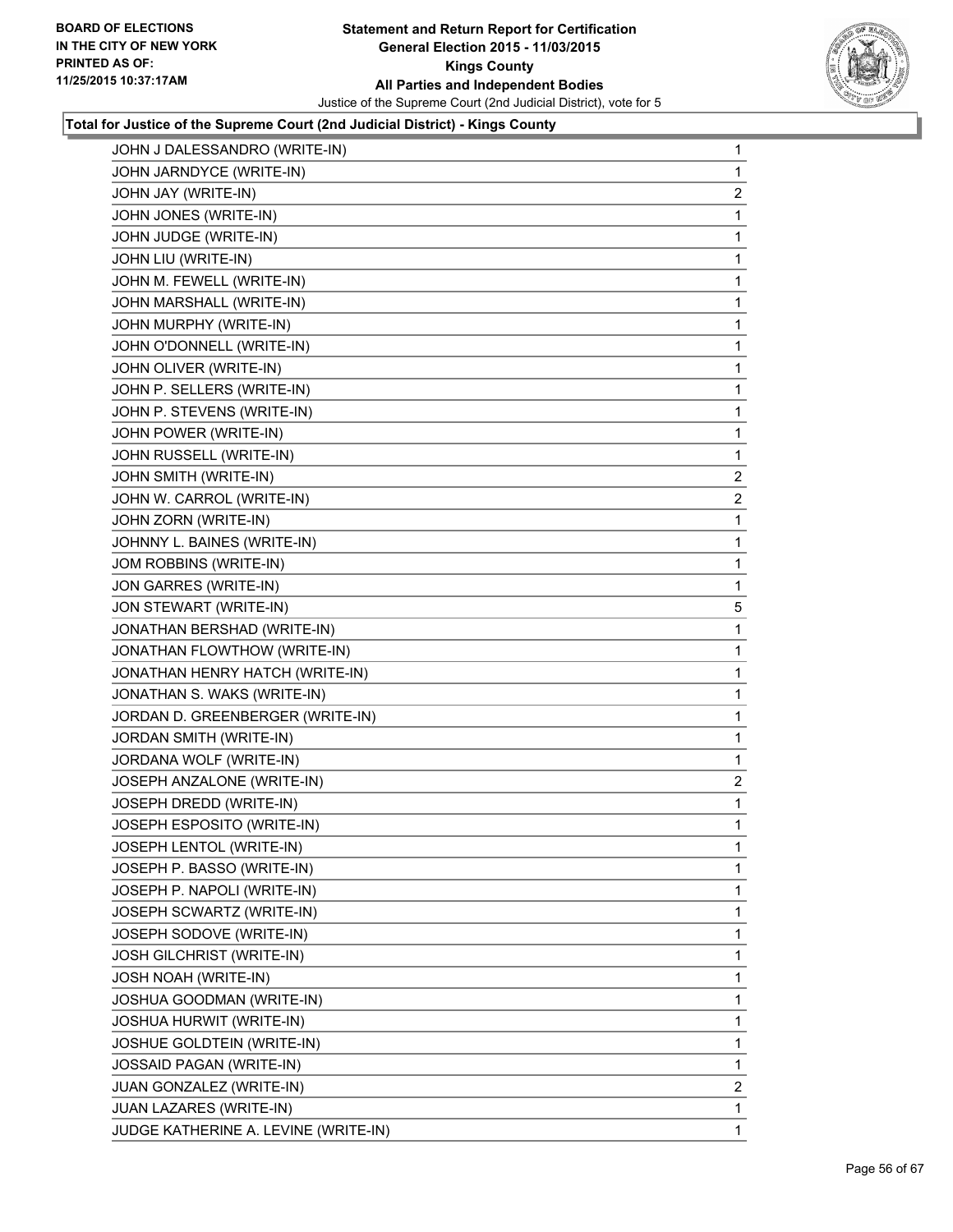

| JOHN J DALESSANDRO (WRITE-IN)        | 1            |
|--------------------------------------|--------------|
| JOHN JARNDYCE (WRITE-IN)             | 1            |
| JOHN JAY (WRITE-IN)                  | 2            |
| JOHN JONES (WRITE-IN)                | 1            |
| JOHN JUDGE (WRITE-IN)                | 1            |
| JOHN LIU (WRITE-IN)                  | 1            |
| JOHN M. FEWELL (WRITE-IN)            | 1            |
| JOHN MARSHALL (WRITE-IN)             | 1            |
| JOHN MURPHY (WRITE-IN)               | 1            |
| JOHN O'DONNELL (WRITE-IN)            | 1            |
| JOHN OLIVER (WRITE-IN)               | 1            |
| JOHN P. SELLERS (WRITE-IN)           | 1            |
| JOHN P. STEVENS (WRITE-IN)           | 1            |
| JOHN POWER (WRITE-IN)                | 1            |
| JOHN RUSSELL (WRITE-IN)              | 1            |
| JOHN SMITH (WRITE-IN)                | $\mathbf{2}$ |
| JOHN W. CARROL (WRITE-IN)            | 2            |
| JOHN ZORN (WRITE-IN)                 | 1            |
| JOHNNY L. BAINES (WRITE-IN)          | 1            |
| JOM ROBBINS (WRITE-IN)               | 1            |
| JON GARRES (WRITE-IN)                | 1            |
| JON STEWART (WRITE-IN)               | 5            |
| JONATHAN BERSHAD (WRITE-IN)          | 1            |
| JONATHAN FLOWTHOW (WRITE-IN)         | 1            |
| JONATHAN HENRY HATCH (WRITE-IN)      | 1            |
| JONATHAN S. WAKS (WRITE-IN)          | 1            |
| JORDAN D. GREENBERGER (WRITE-IN)     | 1            |
| JORDAN SMITH (WRITE-IN)              | 1            |
| JORDANA WOLF (WRITE-IN)              | 1            |
| JOSEPH ANZALONE (WRITE-IN)           | $\mathbf{2}$ |
| JOSEPH DREDD (WRITE-IN)              | 1            |
| JOSEPH ESPOSITO (WRITE-IN)           | 1            |
| JOSEPH LENTOL (WRITE-IN)             | 1            |
| JOSEPH P. BASSO (WRITE-IN)           | 1            |
| JOSEPH P. NAPOLI (WRITE-IN)          | 1            |
| JOSEPH SCWARTZ (WRITE-IN)            | 1            |
| JOSEPH SODOVE (WRITE-IN)             | 1            |
| JOSH GILCHRIST (WRITE-IN)            | 1            |
| JOSH NOAH (WRITE-IN)                 | 1            |
| JOSHUA GOODMAN (WRITE-IN)            | 1            |
| JOSHUA HURWIT (WRITE-IN)             | 1            |
| JOSHUE GOLDTEIN (WRITE-IN)           | 1            |
| JOSSAID PAGAN (WRITE-IN)             | 1            |
| <b>JUAN GONZALEZ (WRITE-IN)</b>      | 2            |
| JUAN LAZARES (WRITE-IN)              | 1            |
| JUDGE KATHERINE A. LEVINE (WRITE-IN) | 1            |
|                                      |              |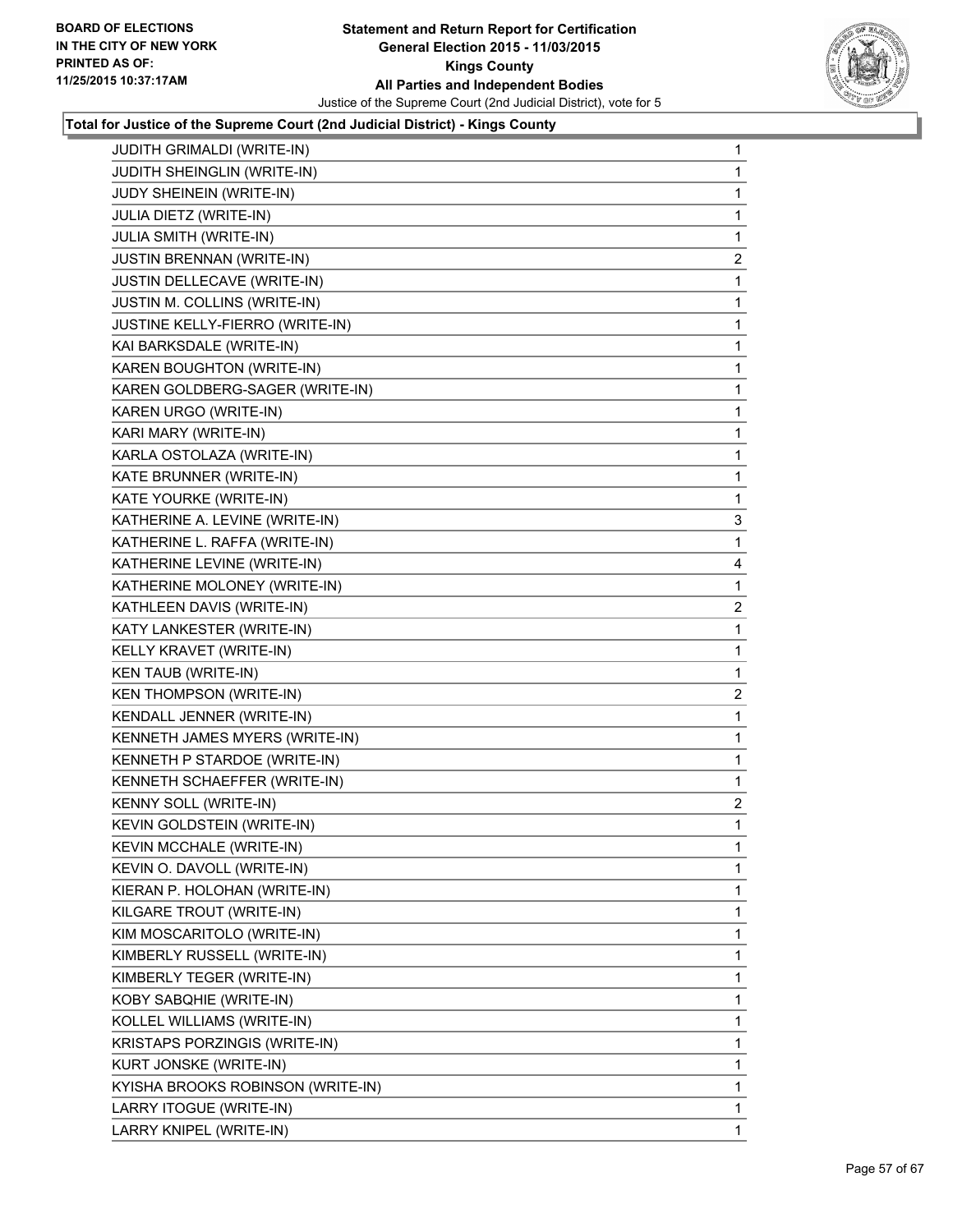

| JUDITH GRIMALDI (WRITE-IN)        | $\mathbf 1$  |
|-----------------------------------|--------------|
| JUDITH SHEINGLIN (WRITE-IN)       | 1            |
| JUDY SHEINEIN (WRITE-IN)          | 1            |
| JULIA DIETZ (WRITE-IN)            | 1            |
| <b>JULIA SMITH (WRITE-IN)</b>     | 1            |
| <b>JUSTIN BRENNAN (WRITE-IN)</b>  | 2            |
| JUSTIN DELLECAVE (WRITE-IN)       | 1            |
| JUSTIN M. COLLINS (WRITE-IN)      | 1            |
| JUSTINE KELLY-FIERRO (WRITE-IN)   | 1            |
| KAI BARKSDALE (WRITE-IN)          | 1            |
| KAREN BOUGHTON (WRITE-IN)         | 1            |
| KAREN GOLDBERG-SAGER (WRITE-IN)   | 1            |
| KAREN URGO (WRITE-IN)             | 1            |
| KARI MARY (WRITE-IN)              | 1            |
| KARLA OSTOLAZA (WRITE-IN)         | 1            |
| KATE BRUNNER (WRITE-IN)           | 1            |
| KATE YOURKE (WRITE-IN)            | 1            |
| KATHERINE A. LEVINE (WRITE-IN)    | 3            |
| KATHERINE L. RAFFA (WRITE-IN)     | 1            |
| KATHERINE LEVINE (WRITE-IN)       | 4            |
| KATHERINE MOLONEY (WRITE-IN)      | 1            |
| KATHLEEN DAVIS (WRITE-IN)         | 2            |
| KATY LANKESTER (WRITE-IN)         | 1            |
| KELLY KRAVET (WRITE-IN)           | 1            |
| <b>KEN TAUB (WRITE-IN)</b>        | 1            |
| <b>KEN THOMPSON (WRITE-IN)</b>    | 2            |
| KENDALL JENNER (WRITE-IN)         | 1            |
| KENNETH JAMES MYERS (WRITE-IN)    | 1            |
| KENNETH P STARDOE (WRITE-IN)      | 1            |
| KENNETH SCHAEFFER (WRITE-IN)      | 1            |
| KENNY SOLL (WRITE-IN)             | $\mathbf{2}$ |
| KEVIN GOLDSTEIN (WRITE-IN)        | 1            |
| KEVIN MCCHALE (WRITE-IN)          | 1            |
| KEVIN O. DAVOLL (WRITE-IN)        | 1            |
| KIERAN P. HOLOHAN (WRITE-IN)      | 1            |
| KILGARE TROUT (WRITE-IN)          | 1            |
| KIM MOSCARITOLO (WRITE-IN)        | 1            |
| KIMBERLY RUSSELL (WRITE-IN)       | 1            |
| KIMBERLY TEGER (WRITE-IN)         | 1            |
| KOBY SABQHIE (WRITE-IN)           | 1            |
| KOLLEL WILLIAMS (WRITE-IN)        | 1            |
| KRISTAPS PORZINGIS (WRITE-IN)     | 1            |
| KURT JONSKE (WRITE-IN)            | 1            |
| KYISHA BROOKS ROBINSON (WRITE-IN) | 1            |
| LARRY ITOGUE (WRITE-IN)           | 1            |
| LARRY KNIPEL (WRITE-IN)           | 1            |
|                                   |              |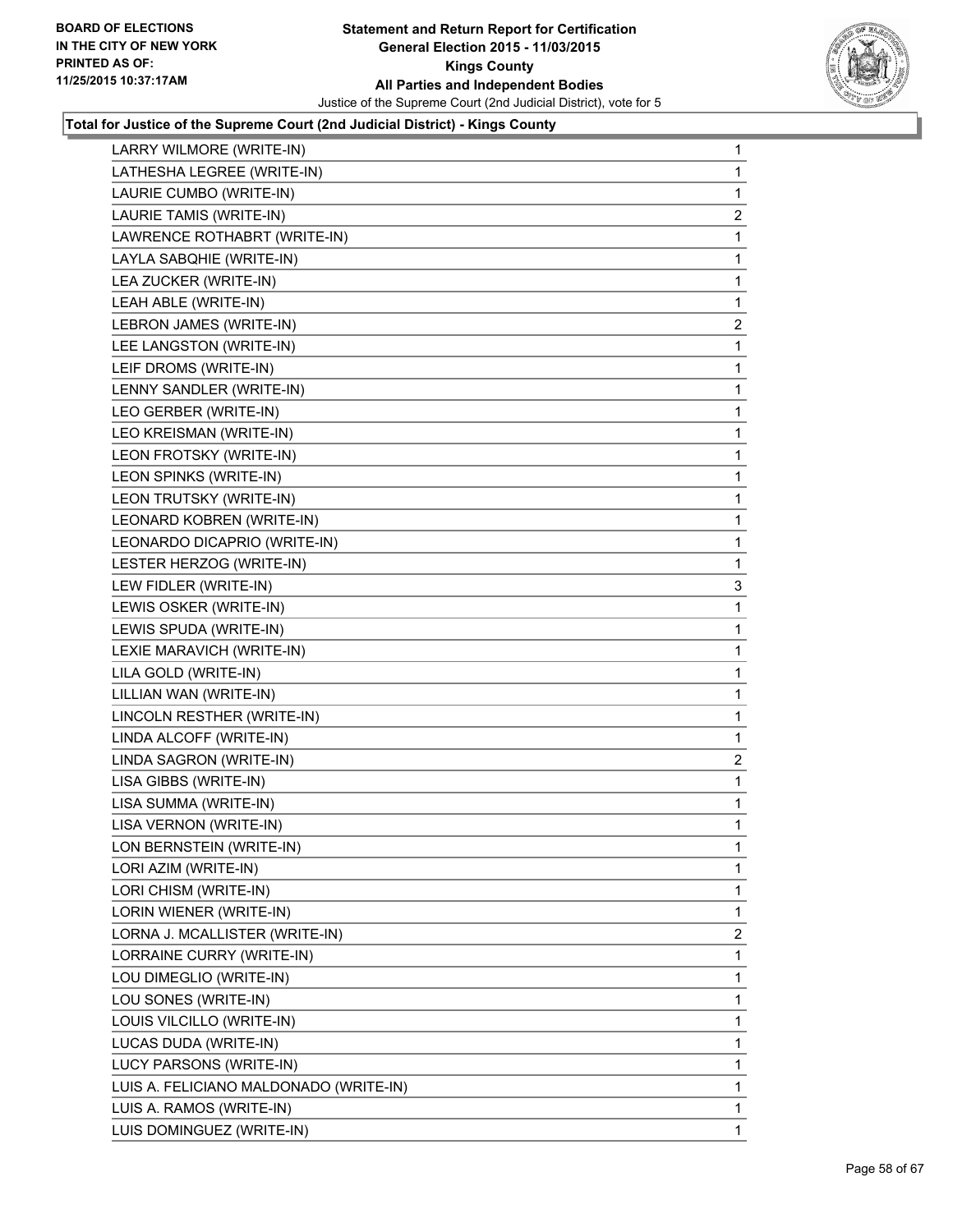

| LARRY WILMORE (WRITE-IN)               | 1              |
|----------------------------------------|----------------|
| LATHESHA LEGREE (WRITE-IN)             | 1              |
| LAURIE CUMBO (WRITE-IN)                | 1              |
| LAURIE TAMIS (WRITE-IN)                | $\overline{a}$ |
| LAWRENCE ROTHABRT (WRITE-IN)           | 1              |
| LAYLA SABQHIE (WRITE-IN)               | 1              |
| LEA ZUCKER (WRITE-IN)                  | 1              |
| LEAH ABLE (WRITE-IN)                   | 1              |
| LEBRON JAMES (WRITE-IN)                | $\mathbf{2}$   |
| LEE LANGSTON (WRITE-IN)                | 1              |
| LEIF DROMS (WRITE-IN)                  | 1              |
| LENNY SANDLER (WRITE-IN)               | 1              |
| LEO GERBER (WRITE-IN)                  | 1              |
| LEO KREISMAN (WRITE-IN)                | 1              |
| LEON FROTSKY (WRITE-IN)                | 1              |
| LEON SPINKS (WRITE-IN)                 | 1              |
| LEON TRUTSKY (WRITE-IN)                | 1              |
| LEONARD KOBREN (WRITE-IN)              | 1              |
| LEONARDO DICAPRIO (WRITE-IN)           | 1              |
| LESTER HERZOG (WRITE-IN)               | 1              |
| LEW FIDLER (WRITE-IN)                  | 3              |
| LEWIS OSKER (WRITE-IN)                 | 1              |
| LEWIS SPUDA (WRITE-IN)                 | 1              |
| LEXIE MARAVICH (WRITE-IN)              | 1              |
| LILA GOLD (WRITE-IN)                   | 1              |
| LILLIAN WAN (WRITE-IN)                 | 1              |
| LINCOLN RESTHER (WRITE-IN)             | 1              |
| LINDA ALCOFF (WRITE-IN)                | 1              |
| LINDA SAGRON (WRITE-IN)                | 2              |
| LISA GIBBS (WRITE-IN)                  | 1              |
| LISA SUMMA (WRITE-IN)                  | 1              |
| LISA VERNON (WRITE-IN)                 | 1              |
| LON BERNSTEIN (WRITE-IN)               | 1              |
| LORI AZIM (WRITE-IN)                   | 1              |
| LORI CHISM (WRITE-IN)                  | 1              |
| LORIN WIENER (WRITE-IN)                | 1              |
| LORNA J. MCALLISTER (WRITE-IN)         | 2              |
| LORRAINE CURRY (WRITE-IN)              | 1              |
| LOU DIMEGLIO (WRITE-IN)                | 1              |
| LOU SONES (WRITE-IN)                   | 1              |
| LOUIS VILCILLO (WRITE-IN)              | 1              |
| LUCAS DUDA (WRITE-IN)                  | 1              |
| LUCY PARSONS (WRITE-IN)                | 1              |
| LUIS A. FELICIANO MALDONADO (WRITE-IN) | 1              |
| LUIS A. RAMOS (WRITE-IN)               | 1              |
| LUIS DOMINGUEZ (WRITE-IN)              | 1              |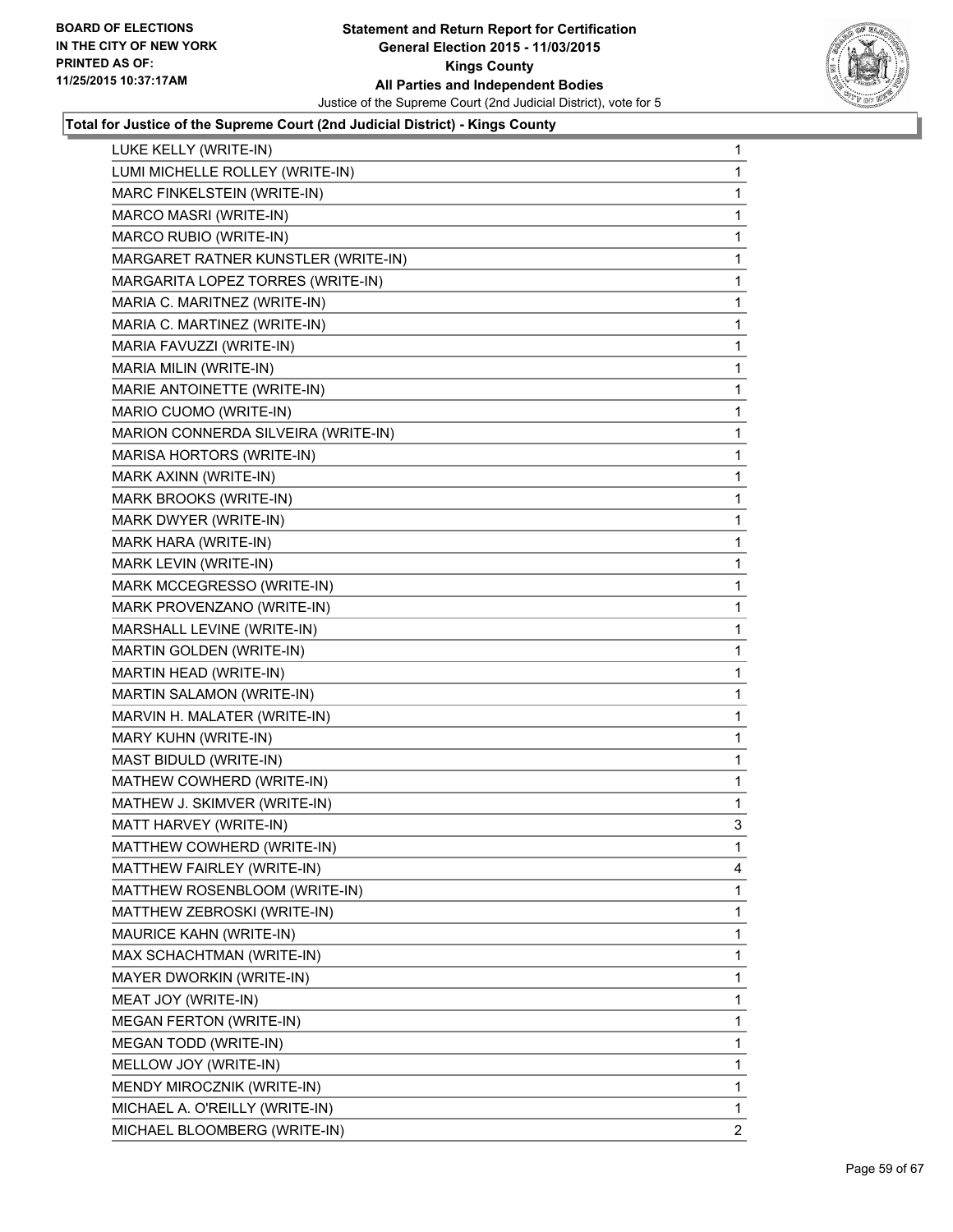

| LUKE KELLY (WRITE-IN)               | 1            |
|-------------------------------------|--------------|
| LUMI MICHELLE ROLLEY (WRITE-IN)     | 1            |
| MARC FINKELSTEIN (WRITE-IN)         | 1            |
| MARCO MASRI (WRITE-IN)              | 1            |
| MARCO RUBIO (WRITE-IN)              | 1            |
| MARGARET RATNER KUNSTLER (WRITE-IN) | 1            |
| MARGARITA LOPEZ TORRES (WRITE-IN)   | 1            |
| MARIA C. MARITNEZ (WRITE-IN)        | 1            |
| MARIA C. MARTINEZ (WRITE-IN)        | 1            |
| MARIA FAVUZZI (WRITE-IN)            | 1            |
| MARIA MILIN (WRITE-IN)              | 1            |
| MARIE ANTOINETTE (WRITE-IN)         | 1            |
| MARIO CUOMO (WRITE-IN)              | 1            |
| MARION CONNERDA SILVEIRA (WRITE-IN) | 1            |
| MARISA HORTORS (WRITE-IN)           | 1            |
| MARK AXINN (WRITE-IN)               | 1            |
| MARK BROOKS (WRITE-IN)              | 1            |
| MARK DWYER (WRITE-IN)               | 1            |
| MARK HARA (WRITE-IN)                | 1            |
| MARK LEVIN (WRITE-IN)               | 1            |
| MARK MCCEGRESSO (WRITE-IN)          | 1            |
| MARK PROVENZANO (WRITE-IN)          | 1            |
| MARSHALL LEVINE (WRITE-IN)          | 1            |
| MARTIN GOLDEN (WRITE-IN)            | 1            |
| MARTIN HEAD (WRITE-IN)              | 1            |
| MARTIN SALAMON (WRITE-IN)           | 1            |
| MARVIN H. MALATER (WRITE-IN)        | 1            |
| MARY KUHN (WRITE-IN)                | 1            |
| MAST BIDULD (WRITE-IN)              | 1            |
| MATHEW COWHERD (WRITE-IN)           | 1            |
| MATHEW J. SKIMVER (WRITE-IN)        | 1            |
| MATT HARVEY (WRITE-IN)              | 3            |
| MATTHEW COWHERD (WRITE-IN)          | 1            |
| MATTHEW FAIRLEY (WRITE-IN)          | 4            |
| MATTHEW ROSENBLOOM (WRITE-IN)       | 1            |
| MATTHEW ZEBROSKI (WRITE-IN)         | 1            |
| MAURICE KAHN (WRITE-IN)             | 1            |
| MAX SCHACHTMAN (WRITE-IN)           | 1            |
| MAYER DWORKIN (WRITE-IN)            | 1            |
| MEAT JOY (WRITE-IN)                 | 1            |
| <b>MEGAN FERTON (WRITE-IN)</b>      | 1            |
| MEGAN TODD (WRITE-IN)               | 1            |
| MELLOW JOY (WRITE-IN)               | 1            |
| MENDY MIROCZNIK (WRITE-IN)          | 1            |
| MICHAEL A. O'REILLY (WRITE-IN)      | 1            |
| MICHAEL BLOOMBERG (WRITE-IN)        | $\mathbf{2}$ |
|                                     |              |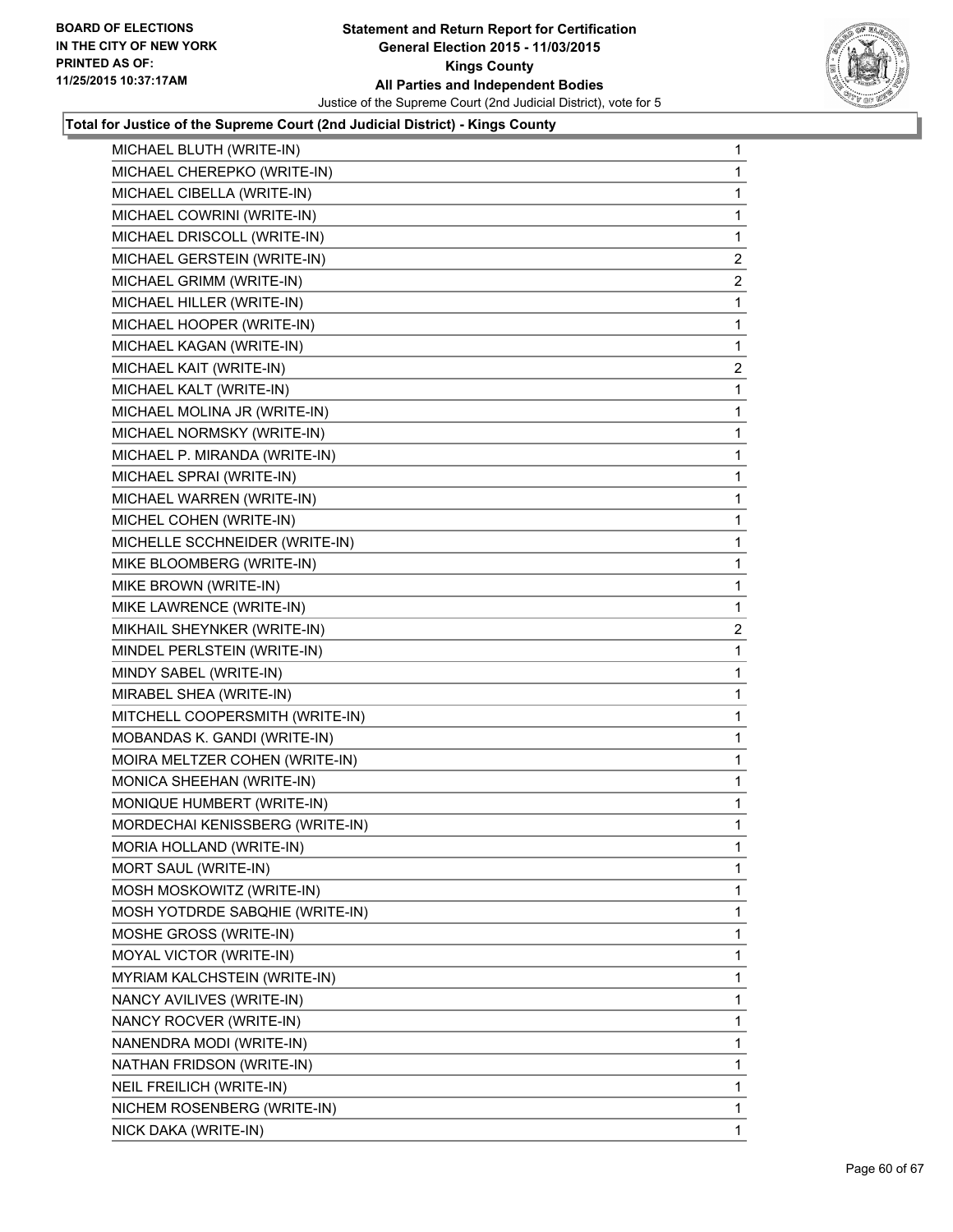

| MICHAEL BLUTH (WRITE-IN)        | $\mathbf{1}$   |
|---------------------------------|----------------|
| MICHAEL CHEREPKO (WRITE-IN)     | 1.             |
| MICHAEL CIBELLA (WRITE-IN)      | 1              |
| MICHAEL COWRINI (WRITE-IN)      | 1              |
| MICHAEL DRISCOLL (WRITE-IN)     | 1              |
| MICHAEL GERSTEIN (WRITE-IN)     | 2              |
| MICHAEL GRIMM (WRITE-IN)        | $\mathbf{2}$   |
| MICHAEL HILLER (WRITE-IN)       | 1              |
| MICHAEL HOOPER (WRITE-IN)       | 1              |
| MICHAEL KAGAN (WRITE-IN)        | 1              |
| MICHAEL KAIT (WRITE-IN)         | $\overline{2}$ |
| MICHAEL KALT (WRITE-IN)         | 1              |
| MICHAEL MOLINA JR (WRITE-IN)    | 1              |
| MICHAEL NORMSKY (WRITE-IN)      | 1              |
| MICHAEL P. MIRANDA (WRITE-IN)   | 1              |
| MICHAEL SPRAI (WRITE-IN)        | 1              |
| MICHAEL WARREN (WRITE-IN)       | 1              |
| MICHEL COHEN (WRITE-IN)         | 1              |
| MICHELLE SCCHNEIDER (WRITE-IN)  | 1              |
| MIKE BLOOMBERG (WRITE-IN)       | 1              |
| MIKE BROWN (WRITE-IN)           | 1              |
| MIKE LAWRENCE (WRITE-IN)        | 1              |
| MIKHAIL SHEYNKER (WRITE-IN)     | $\overline{2}$ |
| MINDEL PERLSTEIN (WRITE-IN)     | 1              |
| MINDY SABEL (WRITE-IN)          | 1              |
| MIRABEL SHEA (WRITE-IN)         | 1              |
| MITCHELL COOPERSMITH (WRITE-IN) | 1              |
| MOBANDAS K. GANDI (WRITE-IN)    | 1              |
| MOIRA MELTZER COHEN (WRITE-IN)  | 1              |
| MONICA SHEEHAN (WRITE-IN)       | 1              |
| MONIQUE HUMBERT (WRITE-IN)      | 1              |
| MORDECHAI KENISSBERG (WRITE-IN) | 1              |
| MORIA HOLLAND (WRITE-IN)        | 1              |
| MORT SAUL (WRITE-IN)            | 1              |
| MOSH MOSKOWITZ (WRITE-IN)       | 1              |
| MOSH YOTDRDE SABQHIE (WRITE-IN) | 1              |
| MOSHE GROSS (WRITE-IN)          | 1              |
| MOYAL VICTOR (WRITE-IN)         | 1              |
| MYRIAM KALCHSTEIN (WRITE-IN)    | 1              |
| NANCY AVILIVES (WRITE-IN)       | 1              |
| NANCY ROCVER (WRITE-IN)         | 1              |
| NANENDRA MODI (WRITE-IN)        | 1              |
| NATHAN FRIDSON (WRITE-IN)       | 1              |
| NEIL FREILICH (WRITE-IN)        | 1              |
| NICHEM ROSENBERG (WRITE-IN)     | 1              |
| NICK DAKA (WRITE-IN)            | 1.             |
|                                 |                |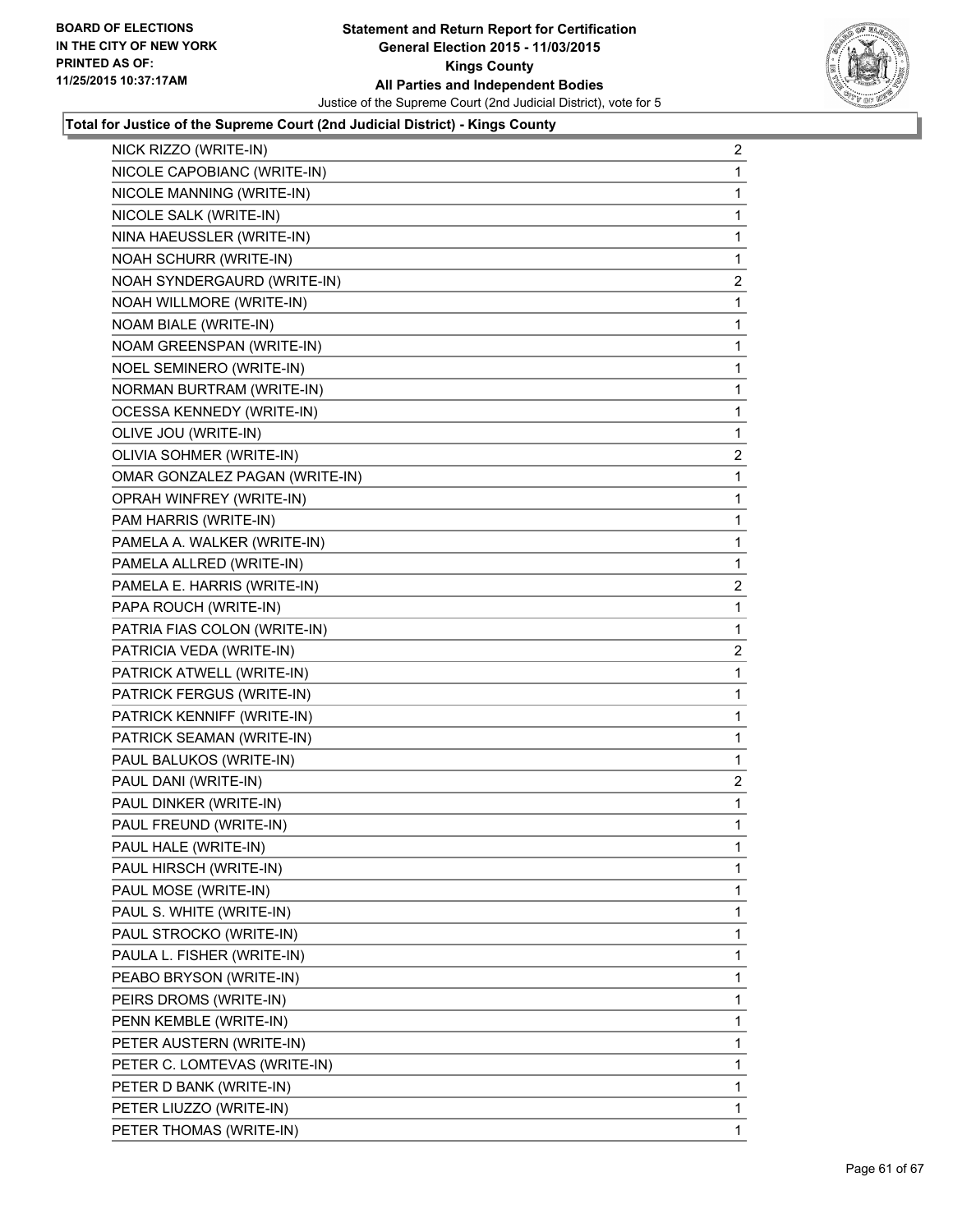

| NICK RIZZO (WRITE-IN)            | 2            |
|----------------------------------|--------------|
| NICOLE CAPOBIANC (WRITE-IN)      | 1            |
| NICOLE MANNING (WRITE-IN)        | 1            |
| NICOLE SALK (WRITE-IN)           | 1            |
| NINA HAEUSSLER (WRITE-IN)        | 1            |
| NOAH SCHURR (WRITE-IN)           | 1            |
| NOAH SYNDERGAURD (WRITE-IN)      | $\mathbf{2}$ |
| NOAH WILLMORE (WRITE-IN)         | 1            |
| NOAM BIALE (WRITE-IN)            | 1            |
| NOAM GREENSPAN (WRITE-IN)        | 1            |
| NOEL SEMINERO (WRITE-IN)         | 1            |
| NORMAN BURTRAM (WRITE-IN)        | 1            |
| <b>OCESSA KENNEDY (WRITE-IN)</b> | 1            |
| OLIVE JOU (WRITE-IN)             | 1            |
| OLIVIA SOHMER (WRITE-IN)         | 2            |
| OMAR GONZALEZ PAGAN (WRITE-IN)   | 1            |
| OPRAH WINFREY (WRITE-IN)         | 1            |
| PAM HARRIS (WRITE-IN)            | 1            |
| PAMELA A. WALKER (WRITE-IN)      | 1            |
| PAMELA ALLRED (WRITE-IN)         | 1            |
| PAMELA E. HARRIS (WRITE-IN)      | 2            |
| PAPA ROUCH (WRITE-IN)            | 1            |
| PATRIA FIAS COLON (WRITE-IN)     | 1            |
| PATRICIA VEDA (WRITE-IN)         | 2            |
| PATRICK ATWELL (WRITE-IN)        | 1            |
| PATRICK FERGUS (WRITE-IN)        | 1            |
| PATRICK KENNIFF (WRITE-IN)       | 1            |
| PATRICK SEAMAN (WRITE-IN)        | 1            |
| PAUL BALUKOS (WRITE-IN)          | 1            |
| PAUL DANI (WRITE-IN)             | 2            |
| PAUL DINKER (WRITE-IN)           | 1            |
| PAUL FREUND (WRITE-IN)           | 1            |
| PAUL HALE (WRITE-IN)             | 1            |
| PAUL HIRSCH (WRITE-IN)           | 1            |
| PAUL MOSE (WRITE-IN)             | 1            |
| PAUL S. WHITE (WRITE-IN)         | 1            |
| PAUL STROCKO (WRITE-IN)          | 1            |
| PAULA L. FISHER (WRITE-IN)       | 1            |
| PEABO BRYSON (WRITE-IN)          | 1            |
| PEIRS DROMS (WRITE-IN)           | 1            |
| PENN KEMBLE (WRITE-IN)           | 1            |
| PETER AUSTERN (WRITE-IN)         | 1            |
| PETER C. LOMTEVAS (WRITE-IN)     | 1            |
| PETER D BANK (WRITE-IN)          | 1            |
| PETER LIUZZO (WRITE-IN)          | 1            |
| PETER THOMAS (WRITE-IN)          | $\mathbf{1}$ |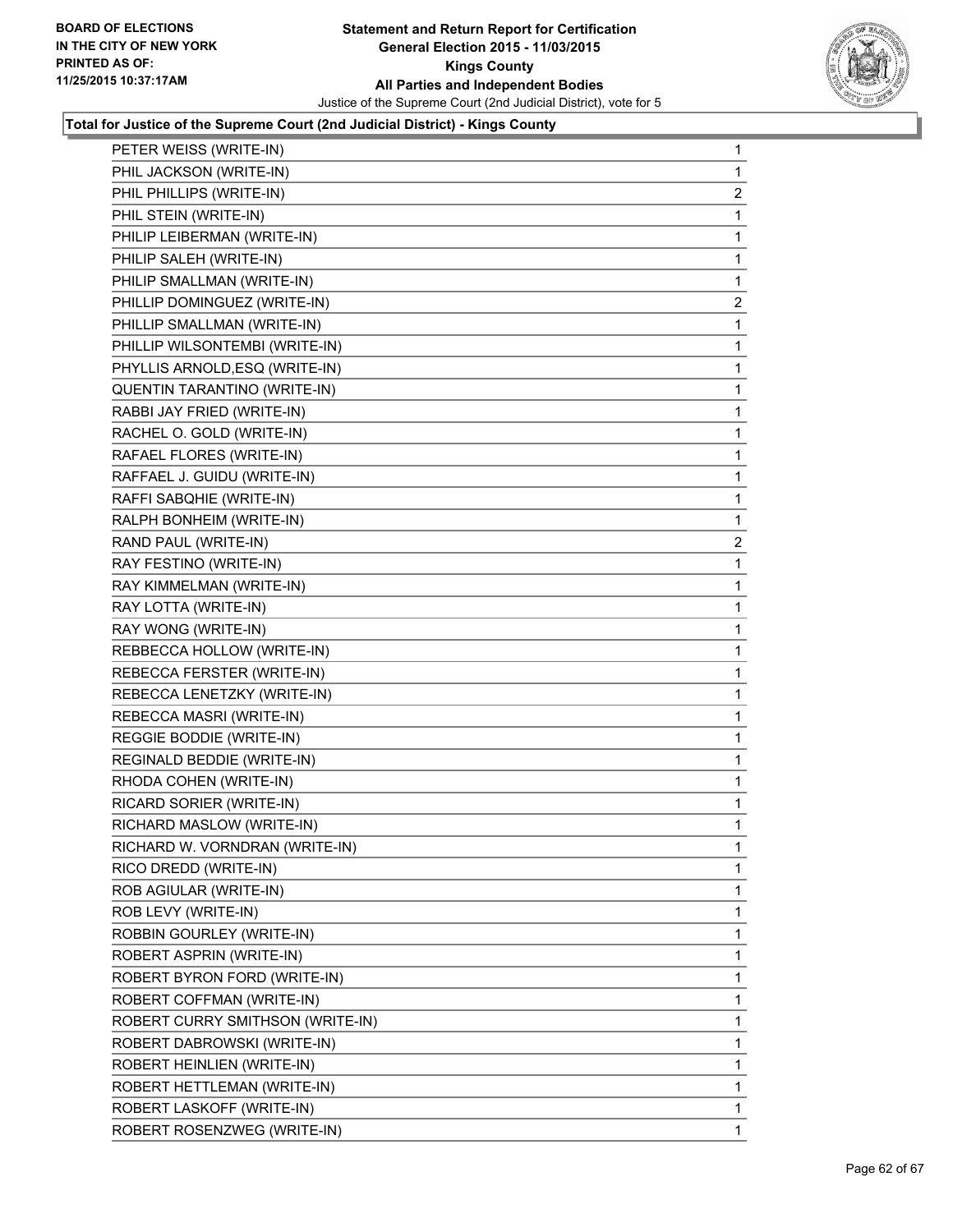

| PETER WEISS (WRITE-IN)           | 1              |
|----------------------------------|----------------|
| PHIL JACKSON (WRITE-IN)          | 1              |
| PHIL PHILLIPS (WRITE-IN)         | 2              |
| PHIL STEIN (WRITE-IN)            | 1              |
| PHILIP LEIBERMAN (WRITE-IN)      | 1              |
| PHILIP SALEH (WRITE-IN)          | 1              |
| PHILIP SMALLMAN (WRITE-IN)       | 1              |
| PHILLIP DOMINGUEZ (WRITE-IN)     | $\overline{a}$ |
| PHILLIP SMALLMAN (WRITE-IN)      | 1              |
| PHILLIP WILSONTEMBI (WRITE-IN)   | 1              |
| PHYLLIS ARNOLD, ESQ (WRITE-IN)   | 1              |
| QUENTIN TARANTINO (WRITE-IN)     | 1              |
| RABBI JAY FRIED (WRITE-IN)       | 1              |
| RACHEL O. GOLD (WRITE-IN)        | 1              |
| RAFAEL FLORES (WRITE-IN)         | 1              |
| RAFFAEL J. GUIDU (WRITE-IN)      | 1              |
| RAFFI SABQHIE (WRITE-IN)         | 1              |
| RALPH BONHEIM (WRITE-IN)         | 1              |
| RAND PAUL (WRITE-IN)             | $\mathbf{2}$   |
| RAY FESTINO (WRITE-IN)           | 1              |
| RAY KIMMELMAN (WRITE-IN)         | 1              |
| RAY LOTTA (WRITE-IN)             | 1              |
| RAY WONG (WRITE-IN)              | 1              |
| REBBECCA HOLLOW (WRITE-IN)       | 1              |
| REBECCA FERSTER (WRITE-IN)       | 1              |
| REBECCA LENETZKY (WRITE-IN)      | 1              |
| REBECCA MASRI (WRITE-IN)         | 1              |
| REGGIE BODDIE (WRITE-IN)         | 1              |
| REGINALD BEDDIE (WRITE-IN)       | 1              |
| RHODA COHEN (WRITE-IN)           | 1              |
| RICARD SORIER (WRITE-IN)         | 1              |
| RICHARD MASLOW (WRITE-IN)        | 1              |
| RICHARD W. VORNDRAN (WRITE-IN)   | 1              |
| RICO DREDD (WRITE-IN)            | 1              |
| ROB AGIULAR (WRITE-IN)           | 1              |
| ROB LEVY (WRITE-IN)              | 1              |
| ROBBIN GOURLEY (WRITE-IN)        | 1              |
| ROBERT ASPRIN (WRITE-IN)         | 1              |
| ROBERT BYRON FORD (WRITE-IN)     | 1              |
| ROBERT COFFMAN (WRITE-IN)        | 1              |
| ROBERT CURRY SMITHSON (WRITE-IN) | 1              |
| ROBERT DABROWSKI (WRITE-IN)      | 1              |
| ROBERT HEINLIEN (WRITE-IN)       | 1              |
| ROBERT HETTLEMAN (WRITE-IN)      | 1              |
| ROBERT LASKOFF (WRITE-IN)        | 1              |
| ROBERT ROSENZWEG (WRITE-IN)      | 1              |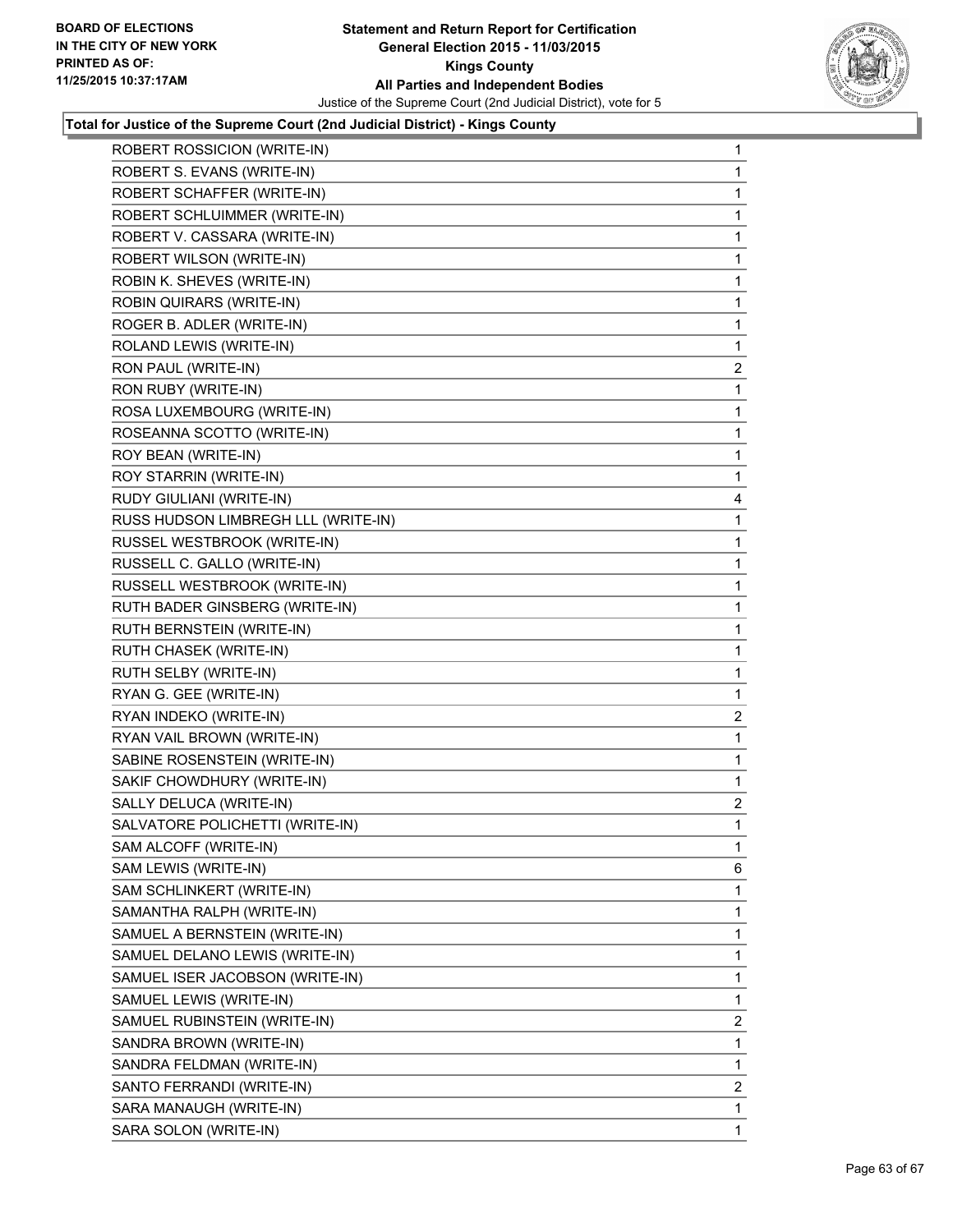

| ROBERT ROSSICION (WRITE-IN)         | 1              |
|-------------------------------------|----------------|
| ROBERT S. EVANS (WRITE-IN)          | 1              |
| ROBERT SCHAFFER (WRITE-IN)          | 1              |
| ROBERT SCHLUIMMER (WRITE-IN)        | 1              |
| ROBERT V. CASSARA (WRITE-IN)        | 1              |
| ROBERT WILSON (WRITE-IN)            | 1              |
| ROBIN K. SHEVES (WRITE-IN)          | 1              |
| ROBIN QUIRARS (WRITE-IN)            | 1              |
| ROGER B. ADLER (WRITE-IN)           | 1              |
| ROLAND LEWIS (WRITE-IN)             | 1              |
| RON PAUL (WRITE-IN)                 | 2              |
| RON RUBY (WRITE-IN)                 | 1              |
| ROSA LUXEMBOURG (WRITE-IN)          | 1              |
| ROSEANNA SCOTTO (WRITE-IN)          | 1              |
| ROY BEAN (WRITE-IN)                 | 1              |
| ROY STARRIN (WRITE-IN)              | 1              |
| RUDY GIULIANI (WRITE-IN)            | 4              |
| RUSS HUDSON LIMBREGH LLL (WRITE-IN) | 1              |
| RUSSEL WESTBROOK (WRITE-IN)         | 1              |
| RUSSELL C. GALLO (WRITE-IN)         | 1              |
| RUSSELL WESTBROOK (WRITE-IN)        | 1              |
| RUTH BADER GINSBERG (WRITE-IN)      | 1              |
| RUTH BERNSTEIN (WRITE-IN)           | 1              |
| RUTH CHASEK (WRITE-IN)              | 1              |
| RUTH SELBY (WRITE-IN)               | 1              |
| RYAN G. GEE (WRITE-IN)              | 1              |
| RYAN INDEKO (WRITE-IN)              | 2              |
| RYAN VAIL BROWN (WRITE-IN)          | 1              |
| SABINE ROSENSTEIN (WRITE-IN)        | 1              |
| SAKIF CHOWDHURY (WRITE-IN)          | 1              |
| SALLY DELUCA (WRITE-IN)             | $\overline{2}$ |
| SALVATORE POLICHETTI (WRITE-IN)     | 1              |
| SAM ALCOFF (WRITE-IN)               | 1              |
| SAM LEWIS (WRITE-IN)                | 6              |
| SAM SCHLINKERT (WRITE-IN)           | 1              |
| SAMANTHA RALPH (WRITE-IN)           | 1              |
| SAMUEL A BERNSTEIN (WRITE-IN)       | 1              |
| SAMUEL DELANO LEWIS (WRITE-IN)      | 1              |
| SAMUEL ISER JACOBSON (WRITE-IN)     | 1              |
| SAMUEL LEWIS (WRITE-IN)             | 1              |
| SAMUEL RUBINSTEIN (WRITE-IN)        | $\overline{2}$ |
| SANDRA BROWN (WRITE-IN)             | 1              |
| SANDRA FELDMAN (WRITE-IN)           | 1              |
| SANTO FERRANDI (WRITE-IN)           | 2              |
| SARA MANAUGH (WRITE-IN)             | 1              |
| SARA SOLON (WRITE-IN)               | 1              |
|                                     |                |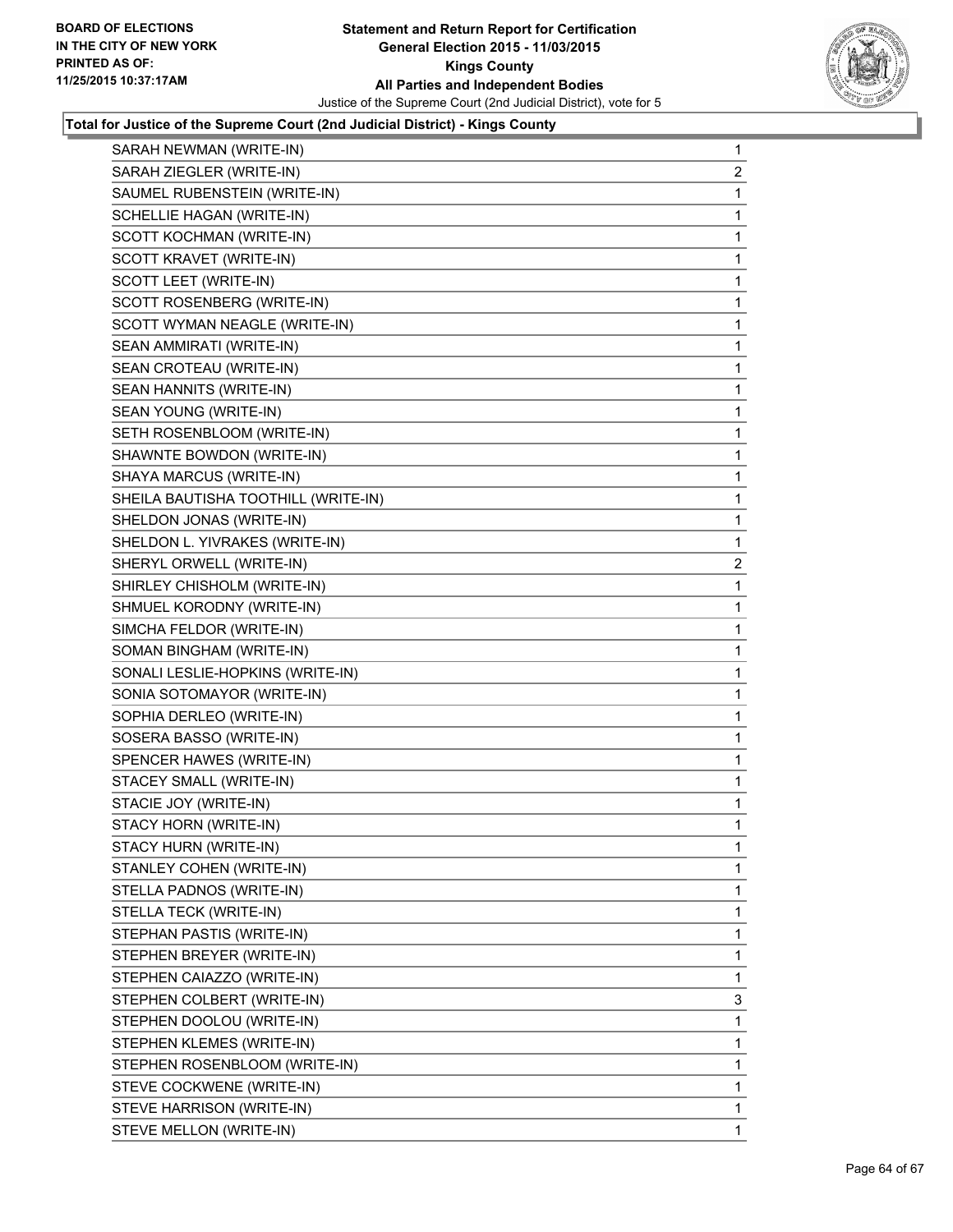

| SARAH NEWMAN (WRITE-IN)             | 1              |
|-------------------------------------|----------------|
| SARAH ZIEGLER (WRITE-IN)            | 2              |
| SAUMEL RUBENSTEIN (WRITE-IN)        | 1              |
| SCHELLIE HAGAN (WRITE-IN)           | 1              |
| SCOTT KOCHMAN (WRITE-IN)            | 1              |
| SCOTT KRAVET (WRITE-IN)             | 1              |
| SCOTT LEET (WRITE-IN)               | 1              |
| SCOTT ROSENBERG (WRITE-IN)          | 1              |
| SCOTT WYMAN NEAGLE (WRITE-IN)       | 1              |
| SEAN AMMIRATI (WRITE-IN)            | 1              |
| SEAN CROTEAU (WRITE-IN)             | 1              |
| SEAN HANNITS (WRITE-IN)             | 1              |
| SEAN YOUNG (WRITE-IN)               | 1              |
| SETH ROSENBLOOM (WRITE-IN)          | 1              |
| SHAWNTE BOWDON (WRITE-IN)           | 1              |
| SHAYA MARCUS (WRITE-IN)             | 1              |
| SHEILA BAUTISHA TOOTHILL (WRITE-IN) | 1              |
| SHELDON JONAS (WRITE-IN)            | 1              |
| SHELDON L. YIVRAKES (WRITE-IN)      | 1              |
| SHERYL ORWELL (WRITE-IN)            | $\overline{c}$ |
| SHIRLEY CHISHOLM (WRITE-IN)         | 1              |
| SHMUEL KORODNY (WRITE-IN)           | 1              |
| SIMCHA FELDOR (WRITE-IN)            | 1              |
| SOMAN BINGHAM (WRITE-IN)            | 1              |
| SONALI LESLIE-HOPKINS (WRITE-IN)    | 1              |
| SONIA SOTOMAYOR (WRITE-IN)          | 1              |
| SOPHIA DERLEO (WRITE-IN)            | 1              |
| SOSERA BASSO (WRITE-IN)             | 1              |
| SPENCER HAWES (WRITE-IN)            | 1              |
| STACEY SMALL (WRITE-IN)             | 1              |
| STACIE JOY (WRITE-IN)               | 1              |
| STACY HORN (WRITE-IN)               | 1              |
| STACY HURN (WRITE-IN)               | 1              |
| STANLEY COHEN (WRITE-IN)            | 1              |
| STELLA PADNOS (WRITE-IN)            | 1              |
| STELLA TECK (WRITE-IN)              | 1              |
| STEPHAN PASTIS (WRITE-IN)           | 1              |
| STEPHEN BREYER (WRITE-IN)           | 1              |
| STEPHEN CAIAZZO (WRITE-IN)          | 1              |
| STEPHEN COLBERT (WRITE-IN)          | 3              |
| STEPHEN DOOLOU (WRITE-IN)           | 1              |
| STEPHEN KLEMES (WRITE-IN)           | 1              |
| STEPHEN ROSENBLOOM (WRITE-IN)       | 1              |
| STEVE COCKWENE (WRITE-IN)           | 1              |
| STEVE HARRISON (WRITE-IN)           | 1              |
| STEVE MELLON (WRITE-IN)             | 1.             |
|                                     |                |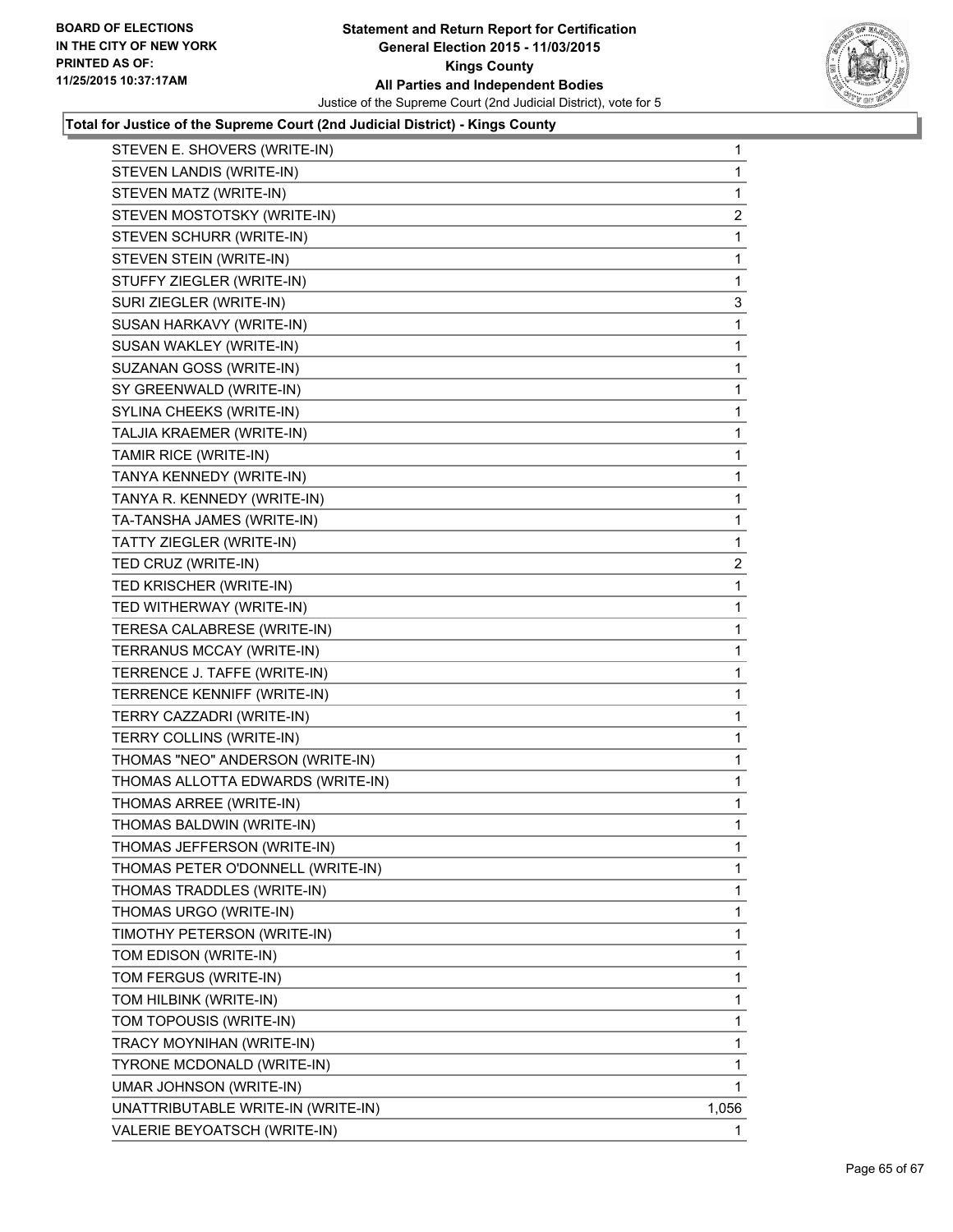

| STEVEN E. SHOVERS (WRITE-IN)       | $\mathbf 1$             |
|------------------------------------|-------------------------|
| STEVEN LANDIS (WRITE-IN)           | 1                       |
| STEVEN MATZ (WRITE-IN)             | 1                       |
| STEVEN MOSTOTSKY (WRITE-IN)        | 2                       |
| STEVEN SCHURR (WRITE-IN)           | 1                       |
| STEVEN STEIN (WRITE-IN)            | 1                       |
| STUFFY ZIEGLER (WRITE-IN)          | 1                       |
| SURI ZIEGLER (WRITE-IN)            | 3                       |
| SUSAN HARKAVY (WRITE-IN)           | 1                       |
| SUSAN WAKLEY (WRITE-IN)            | 1                       |
| SUZANAN GOSS (WRITE-IN)            | 1                       |
| SY GREENWALD (WRITE-IN)            | 1                       |
| SYLINA CHEEKS (WRITE-IN)           | 1                       |
| TALJIA KRAEMER (WRITE-IN)          | 1                       |
| TAMIR RICE (WRITE-IN)              | 1                       |
| TANYA KENNEDY (WRITE-IN)           | 1                       |
| TANYA R. KENNEDY (WRITE-IN)        | 1                       |
| TA-TANSHA JAMES (WRITE-IN)         | 1                       |
| TATTY ZIEGLER (WRITE-IN)           | 1                       |
| TED CRUZ (WRITE-IN)                | $\overline{\mathbf{c}}$ |
| TED KRISCHER (WRITE-IN)            | 1                       |
| TED WITHERWAY (WRITE-IN)           | 1                       |
| TERESA CALABRESE (WRITE-IN)        | 1                       |
| TERRANUS MCCAY (WRITE-IN)          | 1                       |
| TERRENCE J. TAFFE (WRITE-IN)       | 1                       |
| TERRENCE KENNIFF (WRITE-IN)        | 1                       |
| TERRY CAZZADRI (WRITE-IN)          | 1                       |
| TERRY COLLINS (WRITE-IN)           | 1                       |
| THOMAS "NEO" ANDERSON (WRITE-IN)   | 1                       |
| THOMAS ALLOTTA EDWARDS (WRITE-IN)  | 1                       |
| THOMAS ARREE (WRITE-IN)            | 1                       |
| THOMAS BALDWIN (WRITE-IN)          | 1                       |
| THOMAS JEFFERSON (WRITE-IN)        | 1                       |
| THOMAS PETER O'DONNELL (WRITE-IN)  | 1                       |
| THOMAS TRADDLES (WRITE-IN)         | 1                       |
| THOMAS URGO (WRITE-IN)             | 1                       |
| TIMOTHY PETERSON (WRITE-IN)        | 1                       |
| TOM EDISON (WRITE-IN)              | 1                       |
| TOM FERGUS (WRITE-IN)              | 1                       |
| TOM HILBINK (WRITE-IN)             | 1                       |
| TOM TOPOUSIS (WRITE-IN)            | 1                       |
| TRACY MOYNIHAN (WRITE-IN)          | 1                       |
| TYRONE MCDONALD (WRITE-IN)         | 1                       |
| UMAR JOHNSON (WRITE-IN)            | 1                       |
| UNATTRIBUTABLE WRITE-IN (WRITE-IN) | 1,056                   |
| VALERIE BEYOATSCH (WRITE-IN)       | 1.                      |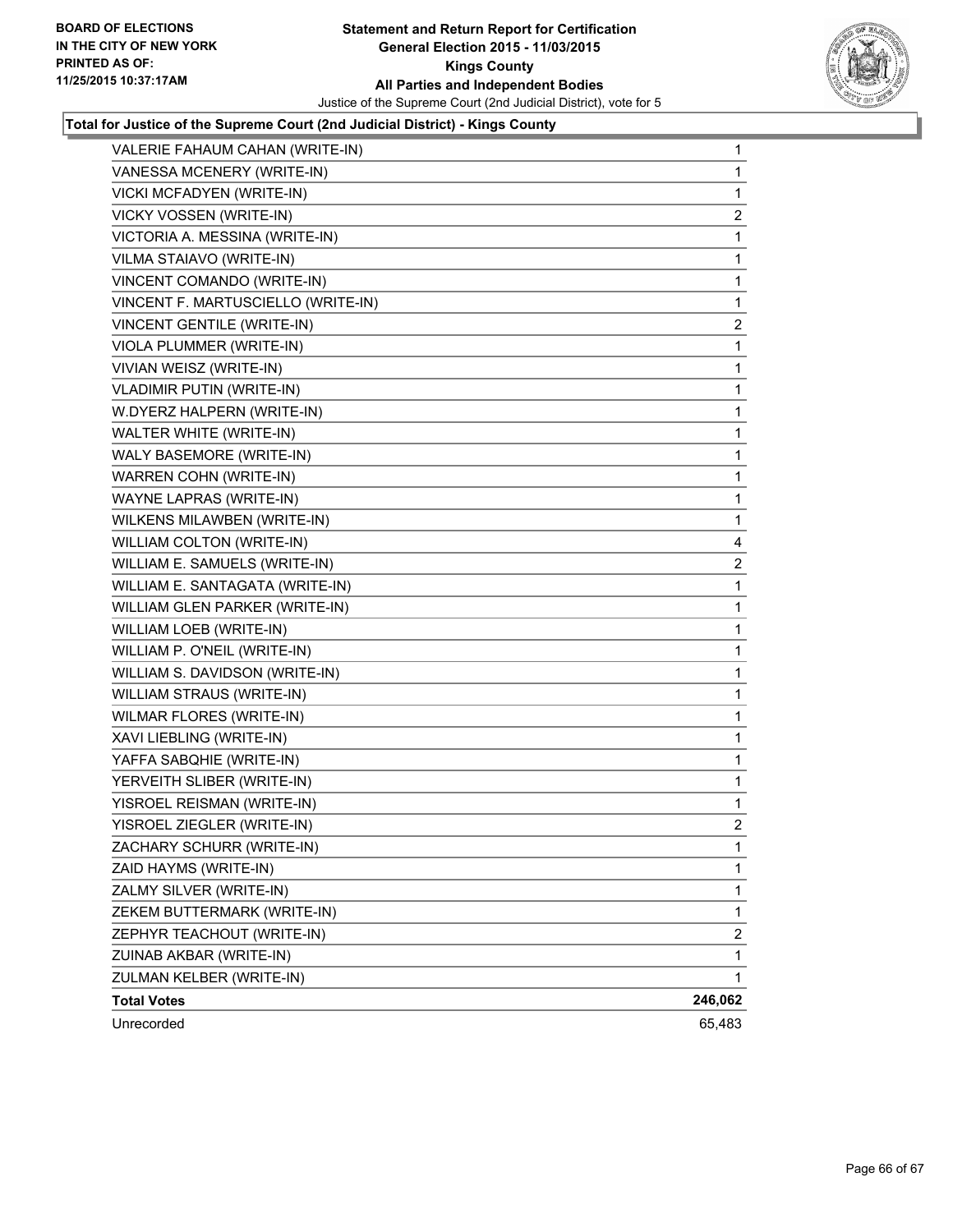

| VANESSA MCENERY (WRITE-IN)<br>1<br>VICKI MCFADYEN (WRITE-IN)<br>1<br>VICKY VOSSEN (WRITE-IN)<br>2<br>VICTORIA A. MESSINA (WRITE-IN)<br>1<br>VILMA STAIAVO (WRITE-IN)<br>1<br>VINCENT COMANDO (WRITE-IN)<br>$\mathbf 1$<br>VINCENT F. MARTUSCIELLO (WRITE-IN)<br>1<br>VINCENT GENTILE (WRITE-IN)<br>$\overline{2}$<br>VIOLA PLUMMER (WRITE-IN)<br>1<br>VIVIAN WEISZ (WRITE-IN)<br>1<br><b>VLADIMIR PUTIN (WRITE-IN)</b><br>1<br>W.DYERZ HALPERN (WRITE-IN)<br>1<br>WALTER WHITE (WRITE-IN)<br>1<br>WALY BASEMORE (WRITE-IN)<br>1<br>WARREN COHN (WRITE-IN)<br>1<br>WAYNE LAPRAS (WRITE-IN)<br>1<br>WILKENS MILAWBEN (WRITE-IN)<br>1<br>WILLIAM COLTON (WRITE-IN)<br>4<br>WILLIAM E. SAMUELS (WRITE-IN)<br>$\overline{2}$<br>WILLIAM E. SANTAGATA (WRITE-IN)<br>1<br>WILLIAM GLEN PARKER (WRITE-IN)<br>1<br>WILLIAM LOEB (WRITE-IN)<br>1<br>WILLIAM P. O'NEIL (WRITE-IN)<br>1<br>WILLIAM S. DAVIDSON (WRITE-IN)<br>1<br><b>WILLIAM STRAUS (WRITE-IN)</b><br>1<br>WILMAR FLORES (WRITE-IN)<br>1<br>XAVI LIEBLING (WRITE-IN)<br>1<br>YAFFA SABQHIE (WRITE-IN)<br>1<br>YERVEITH SLIBER (WRITE-IN)<br>1<br>YISROEL REISMAN (WRITE-IN)<br>1<br>YISROEL ZIEGLER (WRITE-IN)<br>2<br>ZACHARY SCHURR (WRITE-IN)<br>1<br>ZAID HAYMS (WRITE-IN)<br>1<br>ZALMY SILVER (WRITE-IN)<br>1<br>ZEKEM BUTTERMARK (WRITE-IN)<br>$\mathbf{1}$<br>ZEPHYR TEACHOUT (WRITE-IN)<br>2<br>ZUINAB AKBAR (WRITE-IN)<br>1<br>ZULMAN KELBER (WRITE-IN)<br>1<br>246,062<br><b>Total Votes</b><br>Unrecorded<br>65,483 | VALERIE FAHAUM CAHAN (WRITE-IN) | $\mathbf 1$ |
|-------------------------------------------------------------------------------------------------------------------------------------------------------------------------------------------------------------------------------------------------------------------------------------------------------------------------------------------------------------------------------------------------------------------------------------------------------------------------------------------------------------------------------------------------------------------------------------------------------------------------------------------------------------------------------------------------------------------------------------------------------------------------------------------------------------------------------------------------------------------------------------------------------------------------------------------------------------------------------------------------------------------------------------------------------------------------------------------------------------------------------------------------------------------------------------------------------------------------------------------------------------------------------------------------------------------------------------------------------------------------------------------------------------------------------------------------------------------------------------|---------------------------------|-------------|
|                                                                                                                                                                                                                                                                                                                                                                                                                                                                                                                                                                                                                                                                                                                                                                                                                                                                                                                                                                                                                                                                                                                                                                                                                                                                                                                                                                                                                                                                                     |                                 |             |
|                                                                                                                                                                                                                                                                                                                                                                                                                                                                                                                                                                                                                                                                                                                                                                                                                                                                                                                                                                                                                                                                                                                                                                                                                                                                                                                                                                                                                                                                                     |                                 |             |
|                                                                                                                                                                                                                                                                                                                                                                                                                                                                                                                                                                                                                                                                                                                                                                                                                                                                                                                                                                                                                                                                                                                                                                                                                                                                                                                                                                                                                                                                                     |                                 |             |
|                                                                                                                                                                                                                                                                                                                                                                                                                                                                                                                                                                                                                                                                                                                                                                                                                                                                                                                                                                                                                                                                                                                                                                                                                                                                                                                                                                                                                                                                                     |                                 |             |
|                                                                                                                                                                                                                                                                                                                                                                                                                                                                                                                                                                                                                                                                                                                                                                                                                                                                                                                                                                                                                                                                                                                                                                                                                                                                                                                                                                                                                                                                                     |                                 |             |
|                                                                                                                                                                                                                                                                                                                                                                                                                                                                                                                                                                                                                                                                                                                                                                                                                                                                                                                                                                                                                                                                                                                                                                                                                                                                                                                                                                                                                                                                                     |                                 |             |
|                                                                                                                                                                                                                                                                                                                                                                                                                                                                                                                                                                                                                                                                                                                                                                                                                                                                                                                                                                                                                                                                                                                                                                                                                                                                                                                                                                                                                                                                                     |                                 |             |
|                                                                                                                                                                                                                                                                                                                                                                                                                                                                                                                                                                                                                                                                                                                                                                                                                                                                                                                                                                                                                                                                                                                                                                                                                                                                                                                                                                                                                                                                                     |                                 |             |
|                                                                                                                                                                                                                                                                                                                                                                                                                                                                                                                                                                                                                                                                                                                                                                                                                                                                                                                                                                                                                                                                                                                                                                                                                                                                                                                                                                                                                                                                                     |                                 |             |
|                                                                                                                                                                                                                                                                                                                                                                                                                                                                                                                                                                                                                                                                                                                                                                                                                                                                                                                                                                                                                                                                                                                                                                                                                                                                                                                                                                                                                                                                                     |                                 |             |
|                                                                                                                                                                                                                                                                                                                                                                                                                                                                                                                                                                                                                                                                                                                                                                                                                                                                                                                                                                                                                                                                                                                                                                                                                                                                                                                                                                                                                                                                                     |                                 |             |
|                                                                                                                                                                                                                                                                                                                                                                                                                                                                                                                                                                                                                                                                                                                                                                                                                                                                                                                                                                                                                                                                                                                                                                                                                                                                                                                                                                                                                                                                                     |                                 |             |
|                                                                                                                                                                                                                                                                                                                                                                                                                                                                                                                                                                                                                                                                                                                                                                                                                                                                                                                                                                                                                                                                                                                                                                                                                                                                                                                                                                                                                                                                                     |                                 |             |
|                                                                                                                                                                                                                                                                                                                                                                                                                                                                                                                                                                                                                                                                                                                                                                                                                                                                                                                                                                                                                                                                                                                                                                                                                                                                                                                                                                                                                                                                                     |                                 |             |
|                                                                                                                                                                                                                                                                                                                                                                                                                                                                                                                                                                                                                                                                                                                                                                                                                                                                                                                                                                                                                                                                                                                                                                                                                                                                                                                                                                                                                                                                                     |                                 |             |
|                                                                                                                                                                                                                                                                                                                                                                                                                                                                                                                                                                                                                                                                                                                                                                                                                                                                                                                                                                                                                                                                                                                                                                                                                                                                                                                                                                                                                                                                                     |                                 |             |
|                                                                                                                                                                                                                                                                                                                                                                                                                                                                                                                                                                                                                                                                                                                                                                                                                                                                                                                                                                                                                                                                                                                                                                                                                                                                                                                                                                                                                                                                                     |                                 |             |
|                                                                                                                                                                                                                                                                                                                                                                                                                                                                                                                                                                                                                                                                                                                                                                                                                                                                                                                                                                                                                                                                                                                                                                                                                                                                                                                                                                                                                                                                                     |                                 |             |
|                                                                                                                                                                                                                                                                                                                                                                                                                                                                                                                                                                                                                                                                                                                                                                                                                                                                                                                                                                                                                                                                                                                                                                                                                                                                                                                                                                                                                                                                                     |                                 |             |
|                                                                                                                                                                                                                                                                                                                                                                                                                                                                                                                                                                                                                                                                                                                                                                                                                                                                                                                                                                                                                                                                                                                                                                                                                                                                                                                                                                                                                                                                                     |                                 |             |
|                                                                                                                                                                                                                                                                                                                                                                                                                                                                                                                                                                                                                                                                                                                                                                                                                                                                                                                                                                                                                                                                                                                                                                                                                                                                                                                                                                                                                                                                                     |                                 |             |
|                                                                                                                                                                                                                                                                                                                                                                                                                                                                                                                                                                                                                                                                                                                                                                                                                                                                                                                                                                                                                                                                                                                                                                                                                                                                                                                                                                                                                                                                                     |                                 |             |
|                                                                                                                                                                                                                                                                                                                                                                                                                                                                                                                                                                                                                                                                                                                                                                                                                                                                                                                                                                                                                                                                                                                                                                                                                                                                                                                                                                                                                                                                                     |                                 |             |
|                                                                                                                                                                                                                                                                                                                                                                                                                                                                                                                                                                                                                                                                                                                                                                                                                                                                                                                                                                                                                                                                                                                                                                                                                                                                                                                                                                                                                                                                                     |                                 |             |
|                                                                                                                                                                                                                                                                                                                                                                                                                                                                                                                                                                                                                                                                                                                                                                                                                                                                                                                                                                                                                                                                                                                                                                                                                                                                                                                                                                                                                                                                                     |                                 |             |
|                                                                                                                                                                                                                                                                                                                                                                                                                                                                                                                                                                                                                                                                                                                                                                                                                                                                                                                                                                                                                                                                                                                                                                                                                                                                                                                                                                                                                                                                                     |                                 |             |
|                                                                                                                                                                                                                                                                                                                                                                                                                                                                                                                                                                                                                                                                                                                                                                                                                                                                                                                                                                                                                                                                                                                                                                                                                                                                                                                                                                                                                                                                                     |                                 |             |
|                                                                                                                                                                                                                                                                                                                                                                                                                                                                                                                                                                                                                                                                                                                                                                                                                                                                                                                                                                                                                                                                                                                                                                                                                                                                                                                                                                                                                                                                                     |                                 |             |
|                                                                                                                                                                                                                                                                                                                                                                                                                                                                                                                                                                                                                                                                                                                                                                                                                                                                                                                                                                                                                                                                                                                                                                                                                                                                                                                                                                                                                                                                                     |                                 |             |
|                                                                                                                                                                                                                                                                                                                                                                                                                                                                                                                                                                                                                                                                                                                                                                                                                                                                                                                                                                                                                                                                                                                                                                                                                                                                                                                                                                                                                                                                                     |                                 |             |
|                                                                                                                                                                                                                                                                                                                                                                                                                                                                                                                                                                                                                                                                                                                                                                                                                                                                                                                                                                                                                                                                                                                                                                                                                                                                                                                                                                                                                                                                                     |                                 |             |
|                                                                                                                                                                                                                                                                                                                                                                                                                                                                                                                                                                                                                                                                                                                                                                                                                                                                                                                                                                                                                                                                                                                                                                                                                                                                                                                                                                                                                                                                                     |                                 |             |
|                                                                                                                                                                                                                                                                                                                                                                                                                                                                                                                                                                                                                                                                                                                                                                                                                                                                                                                                                                                                                                                                                                                                                                                                                                                                                                                                                                                                                                                                                     |                                 |             |
|                                                                                                                                                                                                                                                                                                                                                                                                                                                                                                                                                                                                                                                                                                                                                                                                                                                                                                                                                                                                                                                                                                                                                                                                                                                                                                                                                                                                                                                                                     |                                 |             |
|                                                                                                                                                                                                                                                                                                                                                                                                                                                                                                                                                                                                                                                                                                                                                                                                                                                                                                                                                                                                                                                                                                                                                                                                                                                                                                                                                                                                                                                                                     |                                 |             |
|                                                                                                                                                                                                                                                                                                                                                                                                                                                                                                                                                                                                                                                                                                                                                                                                                                                                                                                                                                                                                                                                                                                                                                                                                                                                                                                                                                                                                                                                                     |                                 |             |
|                                                                                                                                                                                                                                                                                                                                                                                                                                                                                                                                                                                                                                                                                                                                                                                                                                                                                                                                                                                                                                                                                                                                                                                                                                                                                                                                                                                                                                                                                     |                                 |             |
|                                                                                                                                                                                                                                                                                                                                                                                                                                                                                                                                                                                                                                                                                                                                                                                                                                                                                                                                                                                                                                                                                                                                                                                                                                                                                                                                                                                                                                                                                     |                                 |             |
|                                                                                                                                                                                                                                                                                                                                                                                                                                                                                                                                                                                                                                                                                                                                                                                                                                                                                                                                                                                                                                                                                                                                                                                                                                                                                                                                                                                                                                                                                     |                                 |             |
|                                                                                                                                                                                                                                                                                                                                                                                                                                                                                                                                                                                                                                                                                                                                                                                                                                                                                                                                                                                                                                                                                                                                                                                                                                                                                                                                                                                                                                                                                     |                                 |             |